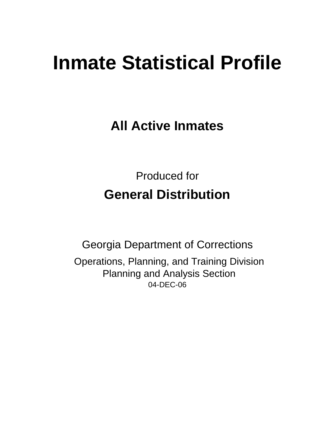# **Inmate Statistical Profile**

**All Active Inmates**

Produced for **General Distribution**

04-DEC-06 Georgia Department of Corrections Operations, Planning, and Training Division Planning and Analysis Section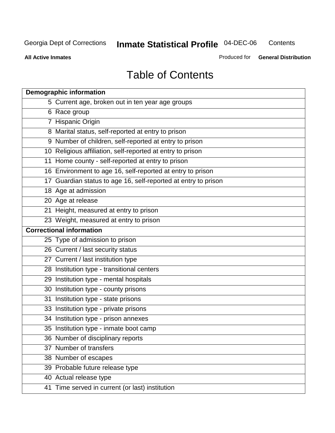**Contents** 

**All Active Inmates**

Produced for **General Distribution**

# Table of Contents

| <b>Demographic information</b>                                 |
|----------------------------------------------------------------|
| 5 Current age, broken out in ten year age groups               |
| 6 Race group                                                   |
| 7 Hispanic Origin                                              |
| 8 Marital status, self-reported at entry to prison             |
| 9 Number of children, self-reported at entry to prison         |
| 10 Religious affiliation, self-reported at entry to prison     |
| 11 Home county - self-reported at entry to prison              |
| 16 Environment to age 16, self-reported at entry to prison     |
| 17 Guardian status to age 16, self-reported at entry to prison |
| 18 Age at admission                                            |
| 20 Age at release                                              |
| 21 Height, measured at entry to prison                         |
| 23 Weight, measured at entry to prison                         |
| <b>Correctional information</b>                                |
| 25 Type of admission to prison                                 |
| 26 Current / last security status                              |
| 27 Current / last institution type                             |
| 28 Institution type - transitional centers                     |
| 29 Institution type - mental hospitals                         |
| 30 Institution type - county prisons                           |
| 31 Institution type - state prisons                            |
| 33 Institution type - private prisons                          |
| 34 Institution type - prison annexes                           |
| 35 Institution type - inmate boot camp                         |
| 36 Number of disciplinary reports                              |
| 37 Number of transfers                                         |
| 38 Number of escapes                                           |
| 39 Probable future release type                                |
| 40 Actual release type                                         |
| 41 Time served in current (or last) institution                |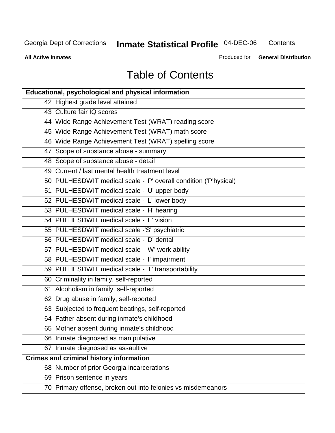**Contents** 

**All Active Inmates**

Produced for **General Distribution**

# Table of Contents

| <b>Educational, psychological and physical information</b>       |
|------------------------------------------------------------------|
| 42 Highest grade level attained                                  |
| 43 Culture fair IQ scores                                        |
| 44 Wide Range Achievement Test (WRAT) reading score              |
| 45 Wide Range Achievement Test (WRAT) math score                 |
| 46 Wide Range Achievement Test (WRAT) spelling score             |
| 47 Scope of substance abuse - summary                            |
| 48 Scope of substance abuse - detail                             |
| 49 Current / last mental health treatment level                  |
| 50 PULHESDWIT medical scale - 'P' overall condition ('P'hysical) |
| 51 PULHESDWIT medical scale - 'U' upper body                     |
| 52 PULHESDWIT medical scale - 'L' lower body                     |
| 53 PULHESDWIT medical scale - 'H' hearing                        |
| 54 PULHESDWIT medical scale - 'E' vision                         |
| 55 PULHESDWIT medical scale -'S' psychiatric                     |
| 56 PULHESDWIT medical scale - 'D' dental                         |
| 57 PULHESDWIT medical scale - 'W' work ability                   |
| 58 PULHESDWIT medical scale - 'I' impairment                     |
| 59 PULHESDWIT medical scale - 'T' transportability               |
| 60 Criminality in family, self-reported                          |
| 61 Alcoholism in family, self-reported                           |
| 62 Drug abuse in family, self-reported                           |
| 63 Subjected to frequent beatings, self-reported                 |
| 64 Father absent during inmate's childhood                       |
| 65 Mother absent during inmate's childhood                       |
| 66 Inmate diagnosed as manipulative                              |
| 67 Inmate diagnosed as assaultive                                |
| <b>Crimes and criminal history information</b>                   |
| 68 Number of prior Georgia incarcerations                        |
| 69 Prison sentence in years                                      |
| 70 Primary offense, broken out into felonies vs misdemeanors     |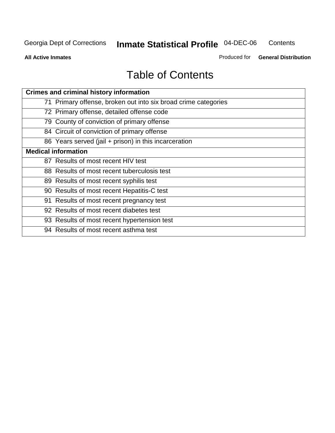**Contents** 

**All Active Inmates**

Produced for **General Distribution**

# Table of Contents

| <b>Crimes and criminal history information</b>                 |
|----------------------------------------------------------------|
| 71 Primary offense, broken out into six broad crime categories |
| 72 Primary offense, detailed offense code                      |
| 79 County of conviction of primary offense                     |
| 84 Circuit of conviction of primary offense                    |
| 86 Years served (jail + prison) in this incarceration          |
| <b>Medical information</b>                                     |
| 87 Results of most recent HIV test                             |
| 88 Results of most recent tuberculosis test                    |
| 89 Results of most recent syphilis test                        |
| 90 Results of most recent Hepatitis-C test                     |
| 91 Results of most recent pregnancy test                       |
| 92 Results of most recent diabetes test                        |
| 93 Results of most recent hypertension test                    |
| 94 Results of most recent asthma test                          |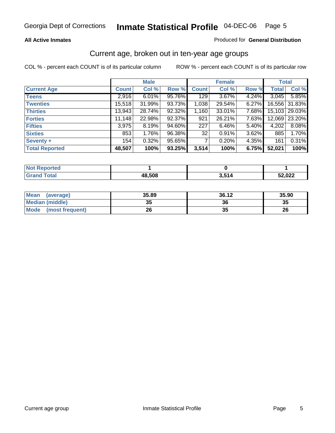#### **All Active Inmates**

#### Produced for **General Distribution**

#### Current age, broken out in ten-year age groups

|                       |              | <b>Male</b> |        |              | <b>Female</b> |       |              | <b>Total</b>  |
|-----------------------|--------------|-------------|--------|--------------|---------------|-------|--------------|---------------|
| <b>Current Age</b>    | <b>Count</b> | Col %       | Row %  | <b>Count</b> | Col %         | Row % | <b>Total</b> | Col %         |
| <b>Teens</b>          | 2,916        | 6.01%       | 95.76% | 129          | 3.67%         | 4.24% | 3,045        | 5.85%         |
| <b>Twenties</b>       | 15,518       | 31.99%      | 93.73% | 1,038        | 29.54%        | 6.27% |              | 16,556 31.83% |
| <b>Thirties</b>       | 13,943       | 28.74%      | 92.32% | 1,160        | 33.01%        | 7.68% |              | 15,103 29.03% |
| <b>Forties</b>        | 11,148       | 22.98%      | 92.37% | 921          | 26.21%        | 7.63% | 12,069       | 23.20%        |
| <b>Fifties</b>        | 3,975        | 8.19%       | 94.60% | 227          | 6.46%         | 5.40% | 4,202        | 8.08%         |
| <b>Sixties</b>        | 853          | 1.76%       | 96.38% | 32           | 0.91%         | 3.62% | 885          | 1.70%         |
| Seventy +             | 154          | 0.32%       | 95.65% |              | 0.20%         | 4.35% | 161          | 0.31%         |
| <b>Total Reported</b> | 48,507       | 100%        | 93.25% | 3,514        | 100%          | 6.75% | 52,021       | 100%          |

| <b>Not Reported</b> |        |       |        |
|---------------------|--------|-------|--------|
| <b>Total</b>        | 48,508 | 3,514 | 52,022 |

| <b>Mean</b><br>(average)       | 35.89     | 36.12   | 35.90 |
|--------------------------------|-----------|---------|-------|
| <b>Median (middle)</b>         | 25<br>JJ. | 36      | 35    |
| <b>Mode</b><br>(most frequent) | 26        | 21<br>w | 26    |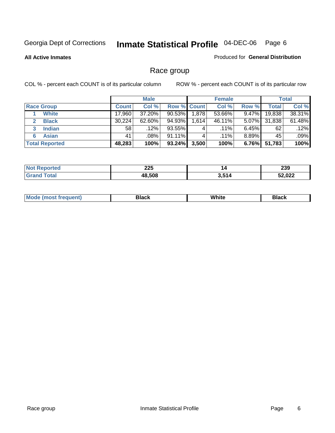**All Active Inmates**

#### Produced for **General Distribution**

### Race group

|                       |              | <b>Male</b> |                    |       | <b>Female</b> |          |        | <b>Total</b> |
|-----------------------|--------------|-------------|--------------------|-------|---------------|----------|--------|--------------|
| <b>Race Group</b>     | <b>Count</b> | Col %       | <b>Row % Count</b> |       | Col %         | Row %    | Total  | Col %        |
| <b>White</b>          | 17,960       | 37.20%      | 90.53%             | 1,878 | 53.66%        | $9.47\%$ | 19,838 | 38.31%       |
| <b>Black</b>          | 30,224       | 62.60%      | 94.93%             | 1,614 | 46.11%        | 5.07%    | 31,838 | 61.48%       |
| <b>Indian</b><br>3    | 58           | .12%        | 93.55%             | 4     | $.11\%$       | $6.45\%$ | 62     | .12%         |
| <b>Asian</b>          | 41           | .08%        | 91.11%             |       | $.11\%$       | $8.89\%$ | 45     | .09%         |
| <b>Total Reported</b> | 48,283       | 100%        | 93.24%             | 3,500 | 100%          | 6.76%    | 51,783 | 100%         |

| חרר   | 14          | <b>000</b> |
|-------|-------------|------------|
| ZZJ   |             | 2JJ        |
| 48508 | <b>1511</b> |            |

|  | $Mc$ | Black | White<br>$ -$ | 21904<br>DIACK |
|--|------|-------|---------------|----------------|
|--|------|-------|---------------|----------------|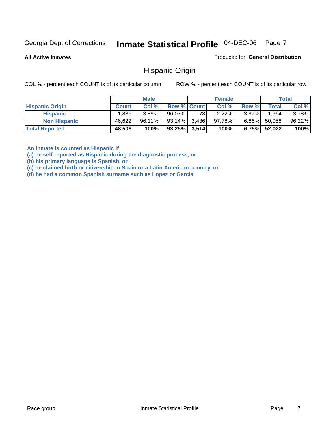**All Active Inmates**

Produced for **General Distribution**

#### Hispanic Origin

COL % - percent each COUNT is of its particular column ROW % - percent each COUNT is of its particular row

|                        |              | <b>Male</b> |                    |    | <b>Female</b> |          |        | <b>Total</b> |
|------------------------|--------------|-------------|--------------------|----|---------------|----------|--------|--------------|
| <b>Hispanic Origin</b> | <b>Count</b> | Col %       | <b>Row % Count</b> |    | Col %         | Row %    | Total  | Col %        |
| <b>Hispanic</b>        | :886,        | $3.89\%$    | 96.03%             | 78 | 2.22%         | $3.97\%$ | .964   | $3.78\%$     |
| <b>Non Hispanic</b>    | 46,622       | 96.11%      | 93.14% 3,436       |    | $97.78\%$     | $6.86\%$ | 50,058 | 96.22%       |
| <b>Total Reported</b>  | 48,508       | 100%        | $93.25\%$ 3,514    |    | 100%          | 6.75%    | 52,022 | 100%         |

**An inmate is counted as Hispanic if** 

**(a) he self-reported as Hispanic during the diagnostic process, or** 

**(b) his primary language is Spanish, or** 

**(c) he claimed birth or citizenship in Spain or a Latin American country, or** 

**(d) he had a common Spanish surname such as Lopez or Garcia**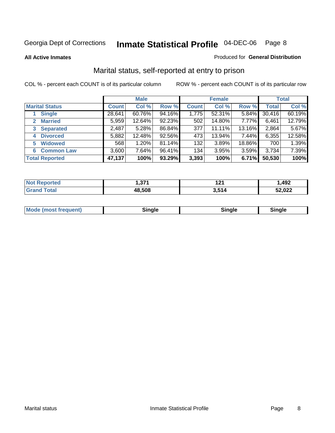**All Active Inmates**

#### Produced for **General Distribution**

### Marital status, self-reported at entry to prison

|                                | <b>Male</b>  |        |        | <b>Female</b> |        |        | <b>Total</b> |        |
|--------------------------------|--------------|--------|--------|---------------|--------|--------|--------------|--------|
| <b>Marital Status</b>          | <b>Count</b> | Col %  | Row %  | <b>Count</b>  | Col %  | Row %  | <b>Total</b> | Col %  |
| <b>Single</b>                  | 28,641       | 60.76% | 94.16% | 1,775         | 52.31% | 5.84%  | 30,416       | 60.19% |
| <b>Married</b><br>$\mathbf{2}$ | 5,959        | 12.64% | 92.23% | 502           | 14.80% | 7.77%  | 6,461        | 12.79% |
| <b>Separated</b><br>3          | 2,487        | 5.28%  | 86.84% | 377           | 11.11% | 13.16% | 2,864        | 5.67%  |
| <b>Divorced</b><br>4           | 5,882        | 12.48% | 92.56% | 473           | 13.94% | 7.44%  | 6,355        | 12.58% |
| <b>Widowed</b><br>5            | 568          | 1.20%  | 81.14% | 132           | 3.89%  | 18.86% | 700          | 1.39%  |
| <b>Common Law</b><br>6         | 3,600        | 7.64%  | 96.41% | 134           | 3.95%  | 3.59%  | 3,734        | 7.39%  |
| <b>Total Reported</b>          | 47,137       | 100%   | 93.29% | 3,393         | 100%   | 6.71%  | 50,530       | 100%   |

| 274<br>. ، در ۱ | $-24$<br>. | ,492   |
|-----------------|------------|--------|
| .508            | E4.        | 52,022 |

|  | Mode (most f<br>freauent) | `ınale |  | `inale |
|--|---------------------------|--------|--|--------|
|--|---------------------------|--------|--|--------|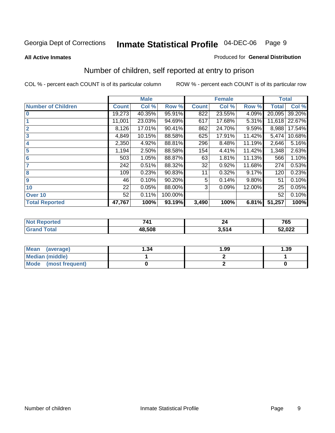#### **All Active Inmates**

#### Produced for **General Distribution**

### Number of children, self reported at entry to prison

|                           |              | <b>Male</b> |         |              | <b>Female</b> |          | <b>Total</b> |        |
|---------------------------|--------------|-------------|---------|--------------|---------------|----------|--------------|--------|
| <b>Number of Children</b> | <b>Count</b> | Col %       | Row %   | <b>Count</b> | Col %         | Row %    | <b>Total</b> | Col %  |
| $\bf{0}$                  | 19,273       | 40.35%      | 95.91%  | 822          | 23.55%        | 4.09%    | 20,095       | 39.20% |
|                           | 11,001       | 23.03%      | 94.69%  | 617          | 17.68%        | 5.31%    | 11,618       | 22.67% |
| $\overline{2}$            | 8,126        | 17.01%      | 90.41%  | 862          | 24.70%        | 9.59%    | 8,988        | 17.54% |
| 3                         | 4,849        | 10.15%      | 88.58%  | 625          | 17.91%        | 11.42%   | 5,474        | 10.68% |
| 4                         | 2,350        | 4.92%       | 88.81%  | 296          | 8.48%         | 11.19%   | 2,646        | 5.16%  |
| 5                         | 1,194        | 2.50%       | 88.58%  | 154          | 4.41%         | 11.42%   | 1,348        | 2.63%  |
| $6\phantom{a}$            | 503          | 1.05%       | 88.87%  | 63           | 1.81%         | 11.13%   | 566          | 1.10%  |
| 7                         | 242          | 0.51%       | 88.32%  | 32           | 0.92%         | 11.68%   | 274          | 0.53%  |
| 8                         | 109          | 0.23%       | 90.83%  | 11           | 0.32%         | 9.17%    | 120          | 0.23%  |
| 9                         | 46           | 0.10%       | 90.20%  | 5            | 0.14%         | $9.80\%$ | 51           | 0.10%  |
| 10                        | 22           | 0.05%       | 88.00%  | 3            | 0.09%         | 12.00%   | 25           | 0.05%  |
| Over 10                   | 52           | 0.11%       | 100.00% |              |               |          | 52           | 0.10%  |
| <b>Total Reported</b>     | 47,767       | 100%        | 93.19%  | 3,490        | 100%          | 6.81%    | 51,257       | 100%   |

| 741          | $\sim$ | 765    |
|--------------|--------|--------|
| <b>48508</b> | E4 A   | 52,022 |

| <b>Mean</b><br>(average) | ∣.34 | 1.99 | .39 |
|--------------------------|------|------|-----|
| <b>Median (middle)</b>   |      |      |     |
| Mode<br>(most frequent)  |      |      |     |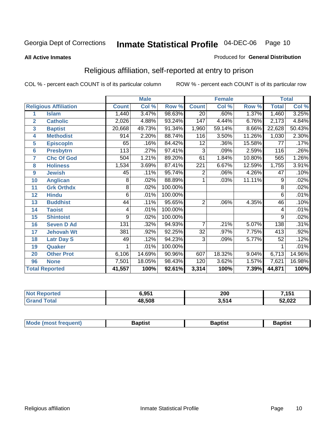#### **All Active Inmates**

#### Produced for **General Distribution**

### Religious affiliation, self-reported at entry to prison

|                  |                              |                  | <b>Male</b> |         | <b>Female</b>    |        | <b>Total</b> |              |        |
|------------------|------------------------------|------------------|-------------|---------|------------------|--------|--------------|--------------|--------|
|                  | <b>Religious Affiliation</b> | <b>Count</b>     | Col %       | Row %   | <b>Count</b>     | Col %  | Row %        | <b>Total</b> | Col %  |
| 1                | <b>Islam</b>                 | 1,440            | 3.47%       | 98.63%  | $\overline{20}$  | .60%   | 1.37%        | 1,460        | 3.25%  |
| $\overline{2}$   | <b>Catholic</b>              | 2,026            | 4.88%       | 93.24%  | 147              | 4.44%  | 6.76%        | 2,173        | 4.84%  |
| 3                | <b>Baptist</b>               | 20,668           | 49.73%      | 91.34%  | 1,960            | 59.14% | 8.66%        | 22,628       | 50.43% |
| 4                | <b>Methodist</b>             | 914              | 2.20%       | 88.74%  | 116              | 3.50%  | 11.26%       | 1,030        | 2.30%  |
| 5                | <b>EpiscopIn</b>             | 65               | .16%        | 84.42%  | 12               | .36%   | 15.58%       | 77           | .17%   |
| 6                | <b>Presbytrn</b>             | 113              | .27%        | 97.41%  | 3                | .09%   | 2.59%        | 116          | .26%   |
| 7                | <b>Chc Of God</b>            | 504              | 1.21%       | 89.20%  | 61               | 1.84%  | 10.80%       | 565          | 1.26%  |
| 8                | <b>Holiness</b>              | 1,534            | 3.69%       | 87.41%  | $\overline{221}$ | 6.67%  | 12.59%       | 1,755        | 3.91%  |
| $\boldsymbol{9}$ | <b>Jewish</b>                | 45               | .11%        | 95.74%  | 2                | .06%   | 4.26%        | 47           | .10%   |
| 10               | <b>Anglican</b>              | 8                | .02%        | 88.89%  | 1                | .03%   | 11.11%       | 9            | .02%   |
| 11               | <b>Grk Orthdx</b>            | 8                | .02%        | 100.00% |                  |        |              | 8            | .02%   |
| 12               | <b>Hindu</b>                 | 6                | .01%        | 100.00% |                  |        |              | 6            | .01%   |
| 13               | <b>Buddhist</b>              | 44               | .11%        | 95.65%  | $\overline{2}$   | .06%   | 4.35%        | 46           | .10%   |
| 14               | <b>Taoist</b>                | 4                | .01%        | 100.00% |                  |        |              | 4            | .01%   |
| 15               | <b>Shintoist</b>             | 9                | .02%        | 100.00% |                  |        |              | 9            | .02%   |
| 16               | <b>Seven D Ad</b>            | $\overline{131}$ | .32%        | 94.93%  | 7                | .21%   | 5.07%        | 138          | .31%   |
| 17               | <b>Jehovah Wt</b>            | 381              | .92%        | 92.25%  | $\overline{32}$  | .97%   | 7.75%        | 413          | .92%   |
| 18               | <b>Latr Day S</b>            | 49               | .12%        | 94.23%  | 3                | .09%   | 5.77%        | 52           | .12%   |
| 19               | Quaker                       |                  | .01%        | 100.00% |                  |        |              |              | .01%   |
| 20               | <b>Other Prot</b>            | 6,106            | 14.69%      | 90.96%  | 607              | 18.32% | 9.04%        | 6,713        | 14.96% |
| 96               | <b>None</b>                  | 7,501            | 18.05%      | 98.43%  | 120              | 3.62%  | 1.57%        | 7,621        | 16.98% |
|                  | <b>Total Reported</b>        | 41,557           | 100%        | 92.61%  | 3,314            | 100%   | 7.39%        | 44,871       | 100%   |

| Reported<br><b>NO1</b> | 6,951  | 200   | 7,151  |
|------------------------|--------|-------|--------|
| 'otal                  | 48,508 | 3,514 | 52,022 |

| <b>Mode</b><br>3aptist<br>3aptist<br>frequent)<br>Baptist<br><i><b>IMOST</b></i> |
|----------------------------------------------------------------------------------|
|----------------------------------------------------------------------------------|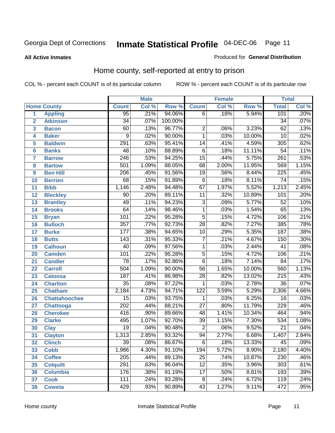#### **All Active Inmates**

#### Produced for **General Distribution**

### Home county, self-reported at entry to prison

|                 |                      |                  | <b>Male</b> |         |                  | <b>Female</b> |        | <b>Total</b>     |                            |
|-----------------|----------------------|------------------|-------------|---------|------------------|---------------|--------|------------------|----------------------------|
|                 | <b>Home County</b>   | <b>Count</b>     | Col %       | Row %   | <b>Count</b>     | Col %         | Row %  | <b>Total</b>     | $\overline{\text{Col }^9}$ |
| 1               | <b>Appling</b>       | 95               | .21%        | 94.06%  | 6                | .18%          | 5.94%  | 101              | .20%                       |
| $\overline{2}$  | <b>Atkinson</b>      | $\overline{34}$  | .07%        | 100.00% |                  |               |        | $\overline{34}$  | .07%                       |
| 3               | <b>Bacon</b>         | 60               | .13%        | 96.77%  | $\overline{2}$   | .06%          | 3.23%  | $\overline{62}$  | .13%                       |
| 4               | <b>Baker</b>         | $\overline{9}$   | .02%        | 90.00%  | $\overline{1}$   | .03%          | 10.00% | $\overline{10}$  | .02%                       |
| 5               | <b>Baldwin</b>       | 291              | .63%        | 95.41%  | $\overline{14}$  | .41%          | 4.59%  | $\overline{305}$ | .62%                       |
| $6\phantom{a}$  | <b>Banks</b>         | 48               | .10%        | 88.89%  | $\overline{6}$   | .18%          | 11.11% | $\overline{54}$  | .11%                       |
| $\overline{7}$  | <b>Barrow</b>        | $\overline{246}$ | .53%        | 94.25%  | $\overline{15}$  | .44%          | 5.75%  | $\overline{261}$ | .53%                       |
| 8               | <b>Bartow</b>        | 501              | 1.09%       | 88.05%  | 68               | 2.00%         | 11.95% | 569              | 1.15%                      |
| 9               | <b>Ben Hill</b>      | $\overline{206}$ | .45%        | 91.56%  | $\overline{19}$  | .56%          | 8.44%  | $\overline{225}$ | .45%                       |
| 10              | <b>Berrien</b>       | $\overline{68}$  | .15%        | 91.89%  | $\overline{6}$   | .18%          | 8.11%  | $\overline{74}$  | .15%                       |
| 11              | <b>Bibb</b>          | 1,146            | 2.48%       | 94.48%  | 67               | 1.97%         | 5.52%  | 1,213            | 2.45%                      |
| 12              | <b>Bleckley</b>      | $\overline{90}$  | .20%        | 89.11%  | $\overline{11}$  | .32%          | 10.89% | 101              | .20%                       |
| $\overline{13}$ | <b>Brantley</b>      | 49               | .11%        | 94.23%  | $\overline{3}$   | .09%          | 5.77%  | $\overline{52}$  | .10%                       |
| $\overline{14}$ | <b>Brooks</b>        | 64               | .14%        | 98.46%  | $\overline{1}$   | .03%          | 1.54%  | $\overline{65}$  | .13%                       |
| 15              | <b>Bryan</b>         | 101              | .22%        | 95.28%  | $\overline{5}$   | .15%          | 4.72%  | 106              | .21%                       |
| 16              | <b>Bulloch</b>       | $\overline{357}$ | .77%        | 92.73%  | $\overline{28}$  | .82%          | 7.27%  | 385              | .78%                       |
| $\overline{17}$ | <b>Burke</b>         | $\overline{177}$ | .38%        | 94.65%  | $\overline{10}$  | .29%          | 5.35%  | 187              | .38%                       |
| 18              | <b>Butts</b>         | $\overline{143}$ | .31%        | 95.33%  | $\overline{7}$   | .21%          | 4.67%  | 150              | .30%                       |
| 19              | <b>Calhoun</b>       | $\overline{40}$  | .09%        | 97.56%  | $\mathbf{1}$     | .03%          | 2.44%  | $\overline{41}$  | .08%                       |
| 20              | <b>Camden</b>        | 101              | .22%        | 95.28%  | $\overline{5}$   | .15%          | 4.72%  | 106              | .21%                       |
| 21              | <b>Candler</b>       | $\overline{78}$  | .17%        | 92.86%  | $\overline{6}$   | .18%          | 7.14%  | $\overline{84}$  | .17%                       |
| $\overline{22}$ | <b>Carroll</b>       | $\overline{504}$ | 1.09%       | 90.00%  | $\overline{56}$  | 1.65%         | 10.00% | 560              | 1.13%                      |
| 23              | <b>Catoosa</b>       | 187              | .41%        | 86.98%  | $\overline{28}$  | .82%          | 13.02% | $\overline{215}$ | .43%                       |
| 24              | <b>Charlton</b>      | $\overline{35}$  | .08%        | 97.22%  | $\mathbf{1}$     | .03%          | 2.78%  | $\overline{36}$  | .07%                       |
| 25              | <b>Chatham</b>       | 2,184            | 4.73%       | 94.71%  | $\overline{122}$ | 3.59%         | 5.29%  | 2,306            | 4.66%                      |
| 26              | <b>Chattahoochee</b> | $\overline{15}$  | .03%        | 93.75%  | 1                | .03%          | 6.25%  | $\overline{16}$  | .03%                       |
| 27              | <b>Chattooga</b>     | $\overline{202}$ | .44%        | 88.21%  | $\overline{27}$  | .80%          | 11.79% | 229              | .46%                       |
| 28              | <b>Cherokee</b>      | 416              | .90%        | 89.66%  | $\overline{48}$  | 1.41%         | 10.34% | 464              | .94%                       |
| 29              | <b>Clarke</b>        | 495              | 1.07%       | 92.70%  | $\overline{39}$  | 1.15%         | 7.30%  | $\overline{534}$ | 1.08%                      |
| 30              | <b>Clay</b>          | $\overline{19}$  | .04%        | 90.48%  | $\overline{2}$   | .06%          | 9.52%  | $\overline{21}$  | .04%                       |
| $\overline{31}$ | <b>Clayton</b>       | 1,313            | 2.85%       | 93.32%  | 94               | 2.77%         | 6.68%  | 1,407            | 2.84%                      |
| 32              | <b>Clinch</b>        | 39               | .08%        | 86.67%  | 6                | .18%          | 13.33% | 45               | .09%                       |
| 33              | <b>Cobb</b>          | 1,986            | 4.30%       | 91.10%  | 194              | 5.72%         | 8.90%  | 2,180            | 4.40%                      |
| 34              | <b>Coffee</b>        | $\overline{205}$ | .44%        | 89.13%  | $\overline{25}$  | .74%          | 10.87% | 230              | .46%                       |
| 35              | <b>Colquitt</b>      | 291              | .63%        | 96.04%  | $\overline{12}$  | .35%          | 3.96%  | $\overline{303}$ | .61%                       |
| 36              | <b>Columbia</b>      | 176              | .38%        | 91.19%  | $\overline{17}$  | .50%          | 8.81%  | 193              | .39%                       |
| 37              | <b>Cook</b>          | 111              | .24%        | 93.28%  | $\overline{8}$   | .24%          | 6.72%  | 119              | .24%                       |
| 38              | <b>Coweta</b>        | 429              | .93%        | 90.89%  | $\overline{43}$  | 1.27%         | 9.11%  | 472              | .95%                       |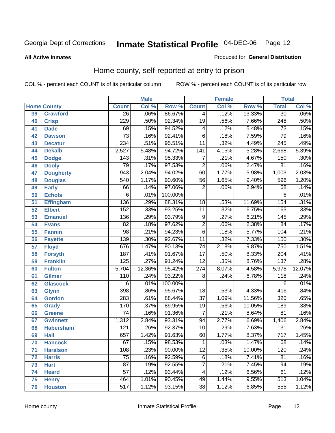**All Active Inmates**

#### Produced for **General Distribution**

### Home county, self-reported at entry to prison

|    |                    |                  | <b>Male</b> |         |                  | <b>Female</b> |        | <b>Total</b>     |         |
|----|--------------------|------------------|-------------|---------|------------------|---------------|--------|------------------|---------|
|    | <b>Home County</b> | <b>Count</b>     | Col %       | Row %   | <b>Count</b>     | Col %         | Row %  | <b>Total</b>     | Col %   |
| 39 | <b>Crawford</b>    | $\overline{26}$  | .06%        | 86.67%  | 4                | .12%          | 13.33% | $\overline{30}$  | .06%    |
| 40 | <b>Crisp</b>       | 229              | .50%        | 92.34%  | $\overline{19}$  | .56%          | 7.66%  | $\overline{248}$ | .50%    |
| 41 | <b>Dade</b>        | 69               | .15%        | 94.52%  | 4                | .12%          | 5.48%  | $\overline{73}$  | .15%    |
| 42 | <b>Dawson</b>      | $\overline{73}$  | .16%        | 92.41%  | $\overline{6}$   | .18%          | 7.59%  | 79               | .16%    |
| 43 | <b>Decatur</b>     | 234              | .51%        | 95.51%  | $\overline{11}$  | .32%          | 4.49%  | $\overline{245}$ | .49%    |
| 44 | <b>Dekalb</b>      | 2,527            | 5.48%       | 94.72%  | $\overline{141}$ | 4.15%         | 5.28%  | 2,668            | 5.39%   |
| 45 | <b>Dodge</b>       | 143              | .31%        | 95.33%  | $\overline{7}$   | .21%          | 4.67%  | 150              | .30%    |
| 46 | <b>Dooly</b>       | 79               | .17%        | 97.53%  | $\overline{2}$   | .06%          | 2.47%  | 81               | .16%    |
| 47 | <b>Dougherty</b>   | 943              | 2.04%       | 94.02%  | 60               | 1.77%         | 5.98%  | 1,003            | 2.03%   |
| 48 | <b>Douglas</b>     | 540              | 1.17%       | 90.60%  | $\overline{56}$  | 1.65%         | 9.40%  | 596              | 1.20%   |
| 49 | <b>Early</b>       | 66               | .14%        | 97.06%  | $\overline{2}$   | .06%          | 2.94%  | 68               | .14%    |
| 50 | <b>Echols</b>      | 6                | .01%        | 100.00% |                  |               |        | 6                | .01%    |
| 51 | <b>Effingham</b>   | 136              | .29%        | 88.31%  | $\overline{18}$  | .53%          | 11.69% | 154              | .31%    |
| 52 | <b>Elbert</b>      | $\overline{152}$ | .33%        | 93.25%  | $\overline{11}$  | .32%          | 6.75%  | 163              | .33%    |
| 53 | <b>Emanuel</b>     | 136              | .29%        | 93.79%  | $\overline{9}$   | .27%          | 6.21%  | $\overline{145}$ | .29%    |
| 54 | <b>Evans</b>       | $\overline{82}$  | .18%        | 97.62%  | $\overline{2}$   | .06%          | 2.38%  | 84               | .17%    |
| 55 | <b>Fannin</b>      | $\overline{98}$  | .21%        | 94.23%  | $\overline{6}$   | .18%          | 5.77%  | 104              | .21%    |
| 56 | <b>Fayette</b>     | 139              | .30%        | 92.67%  | $\overline{11}$  | .32%          | 7.33%  | 150              | .30%    |
| 57 | <b>Floyd</b>       | 676              | 1.47%       | 90.13%  | $\overline{74}$  | 2.18%         | 9.87%  | 750              | 1.51%   |
| 58 | <b>Forsyth</b>     | 187              | .41%        | 91.67%  | $\overline{17}$  | .50%          | 8.33%  | 204              | .41%    |
| 59 | <b>Franklin</b>    | 125              | .27%        | 91.24%  | $\overline{12}$  | .35%          | 8.76%  | 137              | .28%    |
| 60 | <b>Fulton</b>      | 5,704            | 12.36%      | 95.42%  | $\overline{274}$ | 8.07%         | 4.58%  | 5,978            | 12.07%  |
| 61 | Gilmer             | 110              | .24%        | 93.22%  | 8                | .24%          | 6.78%  | 118              | .24%    |
| 62 | <b>Glascock</b>    | 6                | .01%        | 100.00% |                  |               |        | 6                | .01%    |
| 63 | <b>Glynn</b>       | 398              | .86%        | 95.67%  | $\overline{18}$  | .53%          | 4.33%  | 416              | .84%    |
| 64 | <b>Gordon</b>      | 283              | .61%        | 88.44%  | $\overline{37}$  | 1.09%         | 11.56% | 320              | .65%    |
| 65 | <b>Grady</b>       | 170              | .37%        | 89.95%  | $\overline{19}$  | .56%          | 10.05% | 189              | .38%    |
| 66 | <b>Greene</b>      | 74               | .16%        | 91.36%  | 7                | .21%          | 8.64%  | 81               | .16%    |
| 67 | <b>Gwinnett</b>    | 1,312            | 2.84%       | 93.31%  | 94               | 2.77%         | 6.69%  | 1,406            | 2.84%   |
| 68 | <b>Habersham</b>   | $\overline{121}$ | .26%        | 92.37%  | $\overline{10}$  | .29%          | 7.63%  | $\overline{131}$ | .26%    |
| 69 | <b>Hall</b>        | 657              | 1.42%       | 91.63%  | 60               | 1.77%         | 8.37%  | 717              | 1.45%   |
| 70 | <b>Hancock</b>     | 67               | .15%        | 98.53%  | 1                | .03%          | 1.47%  | 68               | $.14\%$ |
| 71 | <b>Haralson</b>    | 108              | .23%        | 90.00%  | $\overline{12}$  | .35%          | 10.00% | 120              | .24%    |
| 72 | <b>Harris</b>      | 75               | .16%        | 92.59%  | 6                | .18%          | 7.41%  | 81               | .16%    |
| 73 | <b>Hart</b>        | $\overline{87}$  | .19%        | 92.55%  | 7                | .21%          | 7.45%  | 94               | .19%    |
| 74 | <b>Heard</b>       | 57               | .12%        | 93.44%  | 4                | .12%          | 6.56%  | 61               | .12%    |
| 75 | <b>Henry</b>       | 464              | 1.01%       | 90.45%  | 49               | 1.44%         | 9.55%  | 513              | 1.04%   |
| 76 | <b>Houston</b>     | $\overline{517}$ | 1.12%       | 93.15%  | $\overline{38}$  | 1.12%         | 6.85%  | 555              | 1.12%   |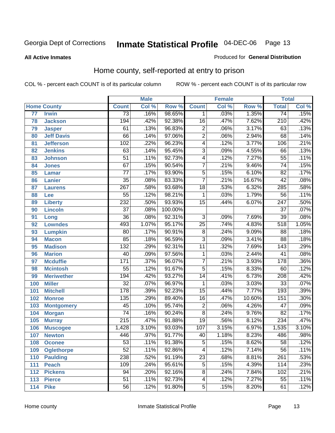Produced for **General Distribution**

#### **All Active Inmates**

### Home county, self-reported at entry to prison

|     |                    |                  | <b>Male</b> |         |                 | <b>Female</b> |        | <b>Total</b>     |       |
|-----|--------------------|------------------|-------------|---------|-----------------|---------------|--------|------------------|-------|
|     | <b>Home County</b> | <b>Count</b>     | Col %       | Row %   | <b>Count</b>    | Col %         | Row %  | <b>Total</b>     | Col % |
| 77  | <b>Irwin</b>       | $\overline{73}$  | .16%        | 98.65%  | 1               | .03%          | 1.35%  | $\overline{74}$  | .15%  |
| 78  | <b>Jackson</b>     | 194              | .42%        | 92.38%  | $\overline{16}$ | .47%          | 7.62%  | $\overline{210}$ | .42%  |
| 79  | <b>Jasper</b>      | 61               | .13%        | 96.83%  | $\overline{2}$  | .06%          | 3.17%  | 63               | .13%  |
| 80  | <b>Jeff Davis</b>  | 66               | .14%        | 97.06%  | $\overline{2}$  | .06%          | 2.94%  | 68               | .14%  |
| 81  | <b>Jefferson</b>   | 102              | .22%        | 96.23%  | $\overline{4}$  | .12%          | 3.77%  | 106              | .21%  |
| 82  | <b>Jenkins</b>     | 63               | .14%        | 95.45%  | $\overline{3}$  | .09%          | 4.55%  | 66               | .13%  |
| 83  | <b>Johnson</b>     | $\overline{51}$  | .11%        | 92.73%  | $\overline{4}$  | .12%          | 7.27%  | $\overline{55}$  | .11%  |
| 84  | <b>Jones</b>       | 67               | .15%        | 90.54%  | $\overline{7}$  | .21%          | 9.46%  | 74               | .15%  |
| 85  | <b>Lamar</b>       | $\overline{77}$  | .17%        | 93.90%  | $\overline{5}$  | .15%          | 6.10%  | $\overline{82}$  | .17%  |
| 86  | Lanier             | $\overline{35}$  | .08%        | 83.33%  | 7               | .21%          | 16.67% | 42               | .08%  |
| 87  | <b>Laurens</b>     | $\overline{267}$ | .58%        | 93.68%  | $\overline{18}$ | .53%          | 6.32%  | 285              | .58%  |
| 88  | Lee                | $\overline{55}$  | .12%        | 98.21%  | 1               | .03%          | 1.79%  | 56               | .11%  |
| 89  | <b>Liberty</b>     | 232              | .50%        | 93.93%  | $\overline{15}$ | .44%          | 6.07%  | $\overline{247}$ | .50%  |
| 90  | <b>Lincoln</b>     | $\overline{37}$  | .08%        | 100.00% |                 |               |        | $\overline{37}$  | .07%  |
| 91  | Long               | $\overline{36}$  | .08%        | 92.31%  | $\overline{3}$  | .09%          | 7.69%  | $\overline{39}$  | .08%  |
| 92  | <b>Lowndes</b>     | 493              | 1.07%       | 95.17%  | $\overline{25}$ | .74%          | 4.83%  | 518              | 1.05% |
| 93  | <b>Lumpkin</b>     | $\overline{80}$  | .17%        | 90.91%  | $\overline{8}$  | .24%          | 9.09%  | $\overline{88}$  | .18%  |
| 94  | <b>Macon</b>       | 85               | .18%        | 96.59%  | $\overline{3}$  | .09%          | 3.41%  | $\overline{88}$  | .18%  |
| 95  | <b>Madison</b>     | $\overline{132}$ | .29%        | 92.31%  | $\overline{11}$ | .32%          | 7.69%  | 143              | .29%  |
| 96  | <b>Marion</b>      | 40               | .09%        | 97.56%  | 1               | .03%          | 2.44%  | 41               | .08%  |
| 97  | <b>Mcduffie</b>    | $\overline{171}$ | .37%        | 96.07%  | $\overline{7}$  | .21%          | 3.93%  | 178              | .36%  |
| 98  | <b>Mcintosh</b>    | $\overline{55}$  | .12%        | 91.67%  | $\overline{5}$  | .15%          | 8.33%  | 60               | .12%  |
| 99  | <b>Meriwether</b>  | 194              | .42%        | 93.27%  | $\overline{14}$ | .41%          | 6.73%  | 208              | .42%  |
| 100 | <b>Miller</b>      | $\overline{32}$  | .07%        | 96.97%  | 1               | .03%          | 3.03%  | $\overline{33}$  | .07%  |
| 101 | <b>Mitchell</b>    | 178              | .39%        | 92.23%  | $\overline{15}$ | .44%          | 7.77%  | 193              | .39%  |
| 102 | <b>Monroe</b>      | $\overline{135}$ | .29%        | 89.40%  | $\overline{16}$ | .47%          | 10.60% | 151              | .30%  |
| 103 | <b>Montgomery</b>  | $\overline{45}$  | .10%        | 95.74%  | $\overline{2}$  | .06%          | 4.26%  | $\overline{47}$  | .09%  |
| 104 | <b>Morgan</b>      | $\overline{74}$  | .16%        | 90.24%  | $\overline{8}$  | .24%          | 9.76%  | 82               | .17%  |
| 105 | <b>Murray</b>      | $\overline{215}$ | .47%        | 91.88%  | $\overline{19}$ | .56%          | 8.12%  | 234              | .47%  |
| 106 | <b>Muscogee</b>    | 1,428            | 3.10%       | 93.03%  | 107             | 3.15%         | 6.97%  | 1,535            | 3.10% |
| 107 | <b>Newton</b>      | 446              | .97%        | 91.77%  | 40              | 1.18%         | 8.23%  | 486              | .98%  |
| 108 | <b>Oconee</b>      | 53               | .11%        | 91.38%  | 5               | .15%          | 8.62%  | 58               | .12%  |
| 109 | <b>Oglethorpe</b>  | $\overline{52}$  | .11%        | 92.86%  | 4               | .12%          | 7.14%  | $\overline{56}$  | .11%  |
| 110 | <b>Paulding</b>    | 238              | .52%        | 91.19%  | $\overline{23}$ | .68%          | 8.81%  | 261              | .53%  |
| 111 | <b>Peach</b>       | 109              | .24%        | 95.61%  | $\overline{5}$  | .15%          | 4.39%  | 114              | .23%  |
| 112 | <b>Pickens</b>     | 94               | .20%        | 92.16%  | $\overline{8}$  | .24%          | 7.84%  | 102              | .21%  |
| 113 | <b>Pierce</b>      | $\overline{51}$  | .11%        | 92.73%  | $\overline{4}$  | .12%          | 7.27%  | 55               | .11%  |
| 114 | <b>Pike</b>        | 56               | .12%        | 91.80%  | $\overline{5}$  | .15%          | 8.20%  | 61               | .12%  |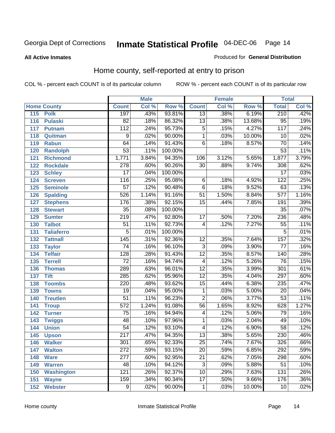#### **All Active Inmates**

#### Produced for **General Distribution**

### Home county, self-reported at entry to prison

|     |                    |                  | <b>Male</b> |         |                 | <b>Female</b> |          | <b>Total</b>     |                            |
|-----|--------------------|------------------|-------------|---------|-----------------|---------------|----------|------------------|----------------------------|
|     | <b>Home County</b> | <b>Count</b>     | Col %       | Row %   | <b>Count</b>    | Col %         | Row %    | <b>Total</b>     | $\overline{\text{Col }\%}$ |
| 115 | <b>Polk</b>        | 197              | .43%        | 93.81%  | $\overline{13}$ | .38%          | 6.19%    | 210              | .42%                       |
| 116 | <b>Pulaski</b>     | $\overline{82}$  | .18%        | 86.32%  | $\overline{13}$ | .38%          | 13.68%   | $\overline{95}$  | .19%                       |
| 117 | <b>Putnam</b>      | 112              | .24%        | 95.73%  | 5               | .15%          | 4.27%    | 117              | .24%                       |
| 118 | Quitman            | $\overline{9}$   | .02%        | 90.00%  | $\mathbf{1}$    | .03%          | 10.00%   | 10               | .02%                       |
| 119 | <b>Rabun</b>       | 64               | .14%        | 91.43%  | 6               | .18%          | 8.57%    | $\overline{70}$  | .14%                       |
| 120 | <b>Randolph</b>    | $\overline{53}$  | .11%        | 100.00% |                 |               |          | $\overline{53}$  | .11%                       |
| 121 | <b>Richmond</b>    | 1,771            | 3.84%       | 94.35%  | 106             | 3.12%         | 5.65%    | 1,877            | 3.79%                      |
| 122 | <b>Rockdale</b>    | 278              | .60%        | 90.26%  | 30              | .88%          | 9.74%    | 308              | .62%                       |
| 123 | <b>Schley</b>      | $\overline{17}$  | .04%        | 100.00% |                 |               |          | 17               | .03%                       |
| 124 | <b>Screven</b>     | $\overline{116}$ | .25%        | 95.08%  | 6               | .18%          | 4.92%    | $\overline{122}$ | .25%                       |
| 125 | <b>Seminole</b>    | 57               | .12%        | 90.48%  | 6               | .18%          | 9.52%    | 63               | .13%                       |
| 126 | <b>Spalding</b>    | 526              | 1.14%       | 91.16%  | $\overline{51}$ | 1.50%         | 8.84%    | 577              | 1.16%                      |
| 127 | <b>Stephens</b>    | 176              | .38%        | 92.15%  | $\overline{15}$ | .44%          | 7.85%    | 191              | .39%                       |
| 128 | <b>Stewart</b>     | $\overline{35}$  | .08%        | 100.00% |                 |               |          | $\overline{35}$  | .07%                       |
| 129 | <b>Sumter</b>      | $\overline{219}$ | .47%        | 92.80%  | $\overline{17}$ | .50%          | 7.20%    | 236              | .48%                       |
| 130 | <b>Talbot</b>      | $\overline{51}$  | .11%        | 92.73%  | 4               | .12%          | 7.27%    | 55               | .11%                       |
| 131 | <b>Taliaferro</b>  | $\overline{5}$   | .01%        | 100.00% |                 |               |          | 5                | .01%                       |
| 132 | <b>Tattnall</b>    | $\overline{145}$ | .31%        | 92.36%  | $\overline{12}$ | .35%          | 7.64%    | 157              | .32%                       |
| 133 | <b>Taylor</b>      | 74               | .16%        | 96.10%  | $\overline{3}$  | .09%          | 3.90%    | 77               | .16%                       |
| 134 | <b>Telfair</b>     | $\overline{128}$ | .28%        | 91.43%  | $\overline{12}$ | .35%          | 8.57%    | 140              | .28%                       |
| 135 | <b>Terrell</b>     | $\overline{72}$  | .16%        | 94.74%  | 4               | .12%          | 5.26%    | $\overline{76}$  | .15%                       |
| 136 | <b>Thomas</b>      | 289              | .63%        | 96.01%  | $\overline{12}$ | .35%          | 3.99%    | 301              | .61%                       |
| 137 | <b>Tift</b>        | 285              | .62%        | 95.96%  | $\overline{12}$ | .35%          | 4.04%    | 297              | .60%                       |
| 138 | <b>Toombs</b>      | 220              | .48%        | 93.62%  | $\overline{15}$ | .44%          | 6.38%    | 235              | .47%                       |
| 139 | <b>Towns</b>       | $\overline{19}$  | .04%        | 95.00%  | 1               | .03%          | 5.00%    | 20               | .04%                       |
| 140 | <b>Treutlen</b>    | $\overline{51}$  | .11%        | 96.23%  | $\overline{2}$  | .06%          | 3.77%    | $\overline{53}$  | .11%                       |
| 141 | <b>Troup</b>       | $\overline{572}$ | 1.24%       | 91.08%  | $\overline{56}$ | 1.65%         | 8.92%    | 628              | 1.27%                      |
| 142 | <b>Turner</b>      | $\overline{75}$  | .16%        | 94.94%  | 4               | .12%          | 5.06%    | 79               | .16%                       |
| 143 | <b>Twiggs</b>      | 48               | .10%        | 97.96%  | 1               | .03%          | 2.04%    | 49               | .10%                       |
| 144 | <b>Union</b>       | $\overline{54}$  | .12%        | 93.10%  | 4               | .12%          | 6.90%    | $\overline{58}$  | .12%                       |
| 145 | <b>Upson</b>       | $\overline{217}$ | .47%        | 94.35%  | 13              | .38%          | 5.65%    | 230              | .46%                       |
| 146 | <b>Walker</b>      | $\overline{301}$ | .65%        | 92.33%  | $\overline{25}$ | .74%          | 7.67%    | $\overline{326}$ | .66%                       |
| 147 | <b>Walton</b>      | 272              | .59%        | 93.15%  | $\overline{20}$ | .59%          | 6.85%    | 292              | .59%                       |
| 148 | <b>Ware</b>        | $\overline{277}$ | .60%        | 92.95%  | $\overline{21}$ | .62%          | 7.05%    | 298              | .60%                       |
| 149 | <b>Warren</b>      | 48               | .10%        | 94.12%  | 3               | .09%          | 5.88%    | 51               | .10%                       |
| 150 | <b>Washington</b>  | $\overline{121}$ | .26%        | 92.37%  | $\overline{10}$ | .29%          | 7.63%    | 131              | .26%                       |
| 151 | <b>Wayne</b>       | 159              | .34%        | 90.34%  | $\overline{17}$ | .50%          | $9.66\%$ | 176              | .36%                       |
| 152 | <b>Webster</b>     | $\overline{9}$   | .02%        | 90.00%  | 1               | .03%          | 10.00%   | 10               | .02%                       |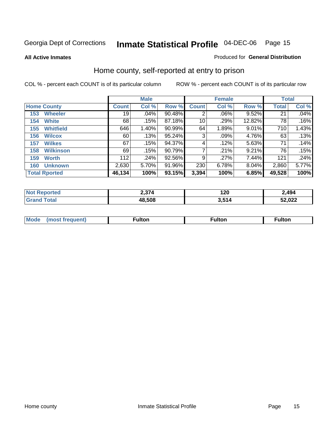**All Active Inmates**

#### Produced for **General Distribution**

### Home county, self-reported at entry to prison

|     |                      |              | <b>Male</b> |        |              | <b>Female</b> |        | <b>Total</b> |       |
|-----|----------------------|--------------|-------------|--------|--------------|---------------|--------|--------------|-------|
|     | <b>Home County</b>   | <b>Count</b> | Col %       | Row %  | <b>Count</b> | Col %         | Row %  | <b>Total</b> | Col % |
| 153 | <b>Wheeler</b>       | 19           | .04%        | 90.48% | 2            | .06%          | 9.52%  | 21           | .04%  |
| 154 | <b>White</b>         | 68           | .15%        | 87.18% | 10           | .29%          | 12.82% | 78           | .16%  |
| 155 | <b>Whitfield</b>     | 646          | 1.40%       | 90.99% | 64           | 1.89%         | 9.01%  | 710          | 1.43% |
| 156 | <b>Wilcox</b>        | 60           | .13%        | 95.24% | 3            | $.09\%$       | 4.76%  | 63           | .13%  |
| 157 | <b>Wilkes</b>        | 67           | .15%        | 94.37% | 4            | .12%          | 5.63%  | 71           | .14%  |
| 158 | <b>Wilkinson</b>     | 69           | .15%        | 90.79% | 7            | .21%          | 9.21%  | 76           | .15%  |
| 159 | <b>Worth</b>         | 112          | .24%        | 92.56% | 9            | .27%          | 7.44%  | 121          | .24%  |
| 160 | <b>Unknown</b>       | 2,630        | 5.70%       | 91.96% | 230          | 6.78%         | 8.04%  | 2,860        | 5.77% |
|     | <b>Total Rported</b> | 46,134       | 100%        | 93.15% | 3,394        | 100%          | 6.85%  | 49,528       | 100%  |

| oorted      | 271    | חה ו | 2,494  |
|-------------|--------|------|--------|
| NO.         | 4,JT   | 14 V |        |
| <b>otal</b> | 48.508 | 511  | 52,022 |

| <b>Mode</b> | ---<br>.tor | <b>ulton</b> | . |
|-------------|-------------|--------------|---|
|             |             |              |   |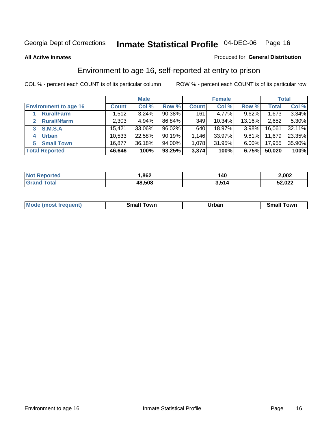**All Active Inmates**

#### Produced for **General Distribution**

### Environment to age 16, self-reported at entry to prison

|                                      |              | <b>Male</b> |        |              | <b>Female</b> |          |              | <b>Total</b> |
|--------------------------------------|--------------|-------------|--------|--------------|---------------|----------|--------------|--------------|
| <b>Environment to age 16</b>         | <b>Count</b> | Col %       | Row %  | <b>Count</b> | Col %         | Row %    | <b>Total</b> | Col %        |
| <b>Rural/Farm</b>                    | 1,512        | 3.24%       | 90.38% | 161          | 4.77%         | 9.62%    | 1,673        | 3.34%        |
| <b>Rural/Nfarm</b><br>$\overline{2}$ | 2,303        | 4.94%       | 86.84% | 349          | 10.34%        | 13.16%   | 2,652        | 5.30%        |
| <b>S.M.S.A</b><br>3                  | 15,421       | 33.06%      | 96.02% | 640          | 18.97%        | 3.98%    | 16,061       | 32.11%       |
| <b>Urban</b><br>4                    | 10,533       | 22.58%      | 90.19% | 1.146        | 33.97%        | $9.81\%$ | 11,679       | 23.35%       |
| <b>Small Town</b><br>5.              | 16,877       | 36.18%      | 94.00% | 1,078        | 31.95%        | $6.00\%$ | 17,955       | 35.90%       |
| <b>Total Reported</b>                | 46,646       | 100%        | 93.25% | 3,374        | 100%          | 6.75%    | 50,020       | 100%         |

| <b>Not Reported</b> | .862   | 140   | 2,002  |
|---------------------|--------|-------|--------|
| Total<br>'Grand .   | 48,508 | 3,514 | 52,022 |

| Mo<br>. . | . owr | <u>'''' ''</u><br>roa<br>_____ | .0W <sub>r</sub> |
|-----------|-------|--------------------------------|------------------|
|           |       |                                |                  |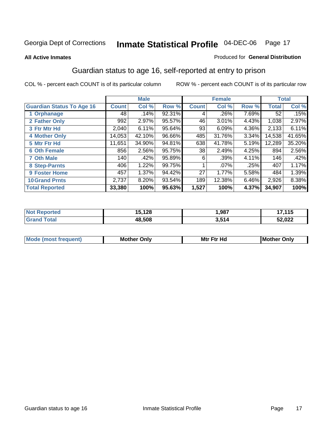#### **All Active Inmates**

#### Produced for **General Distribution**

### Guardian status to age 16, self-reported at entry to prison

|                                  |              | <b>Male</b> |        |              | <b>Female</b> |       |              | <b>Total</b> |
|----------------------------------|--------------|-------------|--------|--------------|---------------|-------|--------------|--------------|
| <b>Guardian Status To Age 16</b> | <b>Count</b> | Col %       | Row %  | <b>Count</b> | Col %         | Row % | <b>Total</b> | Col %        |
| 1 Orphanage                      | 48           | .14%        | 92.31% | 4            | .26%          | 7.69% | 52           | .15%         |
| 2 Father Only                    | 992          | 2.97%       | 95.57% | 46           | 3.01%         | 4.43% | 1,038        | 2.97%        |
| 3 Ftr Mtr Hd                     | 2,040        | 6.11%       | 95.64% | 93           | 6.09%         | 4.36% | 2,133        | 6.11%        |
| <b>4 Mother Only</b>             | 14,053       | 42.10%      | 96.66% | 485          | 31.76%        | 3.34% | 14,538       | 41.65%       |
| 5 Mtr Ftr Hd                     | 11,651       | 34.90%      | 94.81% | 638          | 41.78%        | 5.19% | 12,289       | 35.20%       |
| <b>6 Oth Female</b>              | 856          | 2.56%       | 95.75% | 38           | 2.49%         | 4.25% | 894          | 2.56%        |
| <b>7 Oth Male</b>                | 140          | .42%        | 95.89% | 6            | .39%          | 4.11% | 146          | .42%         |
| 8 Step-Parnts                    | 406          | 1.22%       | 99.75% |              | $.07\%$       | .25%  | 407          | 1.17%        |
| 9 Foster Home                    | 457          | 1.37%       | 94.42% | 27           | 1.77%         | 5.58% | 484          | 1.39%        |
| <b>10 Grand Prnts</b>            | 2,737        | 8.20%       | 93.54% | 189          | 12.38%        | 6.46% | 2,926        | 8.38%        |
| <b>Total Reported</b>            | 33,380       | 100%        | 95.63% | 1,527        | 100%          | 4.37% | 34,907       | 100%         |

| rted<br>N | $\overline{\phantom{a}}$ | ,987 | 17 4 4 E<br>$\sim$ 1 J |
|-----------|--------------------------|------|------------------------|
| _______   | 10 ENO                   | 514  | 52,022<br>JÆ,          |

| <b>Mou</b> | Mother<br>Onlv | Hд<br>Mtr Ftr | Only<br>lMoth |
|------------|----------------|---------------|---------------|
|            |                |               |               |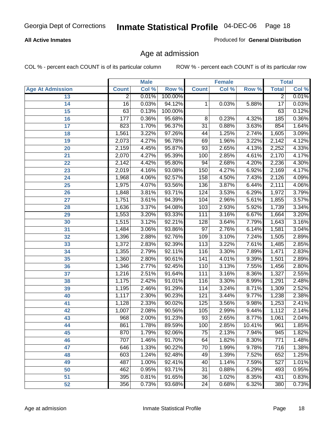#### **All Active Inmates**

Produced for **General Distribution**

### Age at admission

|                         | <b>Male</b>     |       | <b>Female</b> |                 |       | <b>Total</b> |                 |       |
|-------------------------|-----------------|-------|---------------|-----------------|-------|--------------|-----------------|-------|
| <b>Age At Admission</b> | <b>Count</b>    | Col % | Row %         | <b>Count</b>    | Col % | Row %        | <b>Total</b>    | Col % |
| 13                      | $\overline{2}$  | 0.01% | 100.00%       |                 |       |              | 2               | 0.01% |
| 14                      | $\overline{16}$ | 0.03% | 94.12%        | 1               | 0.03% | 5.88%        | $\overline{17}$ | 0.03% |
| 15                      | 63              | 0.13% | 100.00%       |                 |       |              | 63              | 0.12% |
| 16                      | 177             | 0.36% | 95.68%        | 8               | 0.23% | 4.32%        | 185             | 0.36% |
| $\overline{17}$         | 823             | 1.70% | 96.37%        | $\overline{31}$ | 0.88% | 3.63%        | 854             | 1.64% |
| 18                      | 1,561           | 3.22% | 97.26%        | 44              | 1.25% | 2.74%        | 1,605           | 3.09% |
| 19                      | 2,073           | 4.27% | 96.78%        | 69              | 1.96% | 3.22%        | 2,142           | 4.12% |
| 20                      | 2,159           | 4.45% | 95.87%        | $\overline{93}$ | 2.65% | 4.13%        | 2,252           | 4.33% |
| 21                      | 2,070           | 4.27% | 95.39%        | 100             | 2.85% | 4.61%        | 2,170           | 4.17% |
| 22                      | 2,142           | 4.42% | 95.80%        | 94              | 2.68% | 4.20%        | 2,236           | 4.30% |
| 23                      | 2,019           | 4.16% | 93.08%        | 150             | 4.27% | 6.92%        | 2,169           | 4.17% |
| 24                      | 1,968           | 4.06% | 92.57%        | 158             | 4.50% | 7.43%        | 2,126           | 4.09% |
| $\overline{25}$         | 1,975           | 4.07% | 93.56%        | 136             | 3.87% | 6.44%        | 2,111           | 4.06% |
| 26                      | 1,848           | 3.81% | 93.71%        | 124             | 3.53% | 6.29%        | 1,972           | 3.79% |
| 27                      | 1,751           | 3.61% | 94.39%        | 104             | 2.96% | 5.61%        | 1,855           | 3.57% |
| 28                      | 1,636           | 3.37% | 94.08%        | 103             | 2.93% | 5.92%        | 1,739           | 3.34% |
| 29                      | 1,553           | 3.20% | 93.33%        | 111             | 3.16% | 6.67%        | 1,664           | 3.20% |
| 30                      | 1,515           | 3.12% | 92.21%        | 128             | 3.64% | 7.79%        | 1,643           | 3.16% |
| 31                      | 1,484           | 3.06% | 93.86%        | $\overline{97}$ | 2.76% | 6.14%        | 1,581           | 3.04% |
| 32                      | 1,396           | 2.88% | 92.76%        | 109             | 3.10% | 7.24%        | 1,505           | 2.89% |
| 33                      | 1,372           | 2.83% | 92.39%        | 113             | 3.22% | 7.61%        | 1,485           | 2.85% |
| 34                      | 1,355           | 2.79% | 92.11%        | 116             | 3.30% | 7.89%        | 1,471           | 2.83% |
| 35                      | 1,360           | 2.80% | 90.61%        | 141             | 4.01% | 9.39%        | 1,501           | 2.89% |
| 36                      | 1,346           | 2.77% | 92.45%        | 110             | 3.13% | 7.55%        | 1,456           | 2.80% |
| 37                      | 1,216           | 2.51% | 91.64%        | 111             | 3.16% | 8.36%        | 1,327           | 2.55% |
| 38                      | 1,175           | 2.42% | 91.01%        | 116             | 3.30% | 8.99%        | 1,291           | 2.48% |
| 39                      | 1,195           | 2.46% | 91.29%        | 114             | 3.24% | 8.71%        | 1,309           | 2.52% |
| 40                      | 1,117           | 2.30% | 90.23%        | 121             | 3.44% | 9.77%        | 1,238           | 2.38% |
| 41                      | 1,128           | 2.33% | 90.02%        | 125             | 3.56% | 9.98%        | 1,253           | 2.41% |
| 42                      | 1,007           | 2.08% | 90.56%        | 105             | 2.99% | 9.44%        | 1,112           | 2.14% |
| 43                      | 968             | 2.00% | 91.23%        | $\overline{93}$ | 2.65% | 8.77%        | 1,061           | 2.04% |
| 44                      | 861             | 1.78% | 89.59%        | 100             | 2.85% | 10.41%       | 961             | 1.85% |
| 45                      | 870             | 1.79% | 92.06%        | 75              | 2.13% | 7.94%        | 945             | 1.82% |
| 46                      | 707             | 1.46% | 91.70%        | 64              | 1.82% | 8.30%        | 771             | 1.48% |
| 47                      | 646             | 1.33% | 90.22%        | 70              | 1.99% | 9.78%        | 716             | 1.38% |
| 48                      | 603             | 1.24% | 92.48%        | 49              | 1.39% | 7.52%        | 652             | 1.25% |
| 49                      | 487             | 1.00% | 92.41%        | 40              | 1.14% | 7.59%        | 527             | 1.01% |
| 50                      | 462             | 0.95% | 93.71%        | 31              | 0.88% | 6.29%        | 493             | 0.95% |
| 51                      | 395             | 0.81% | 91.65%        | 36              | 1.02% | 8.35%        | 431             | 0.83% |
| 52                      | 356             | 0.73% | 93.68%        | 24              | 0.68% | 6.32%        | 380             | 0.73% |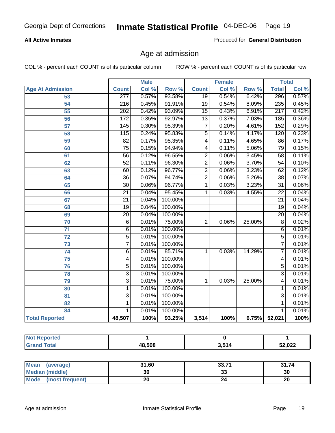#### **All Active Inmates**

Produced for **General Distribution**

### Age at admission

|                         |                  | <b>Male</b> |         |                 | <b>Female</b> |        |                  | <b>Total</b> |
|-------------------------|------------------|-------------|---------|-----------------|---------------|--------|------------------|--------------|
| <b>Age At Admission</b> | <b>Count</b>     | Col %       | Row %   | <b>Count</b>    | Col %         | Row %  | <b>Total</b>     | Col %        |
| 53                      | 277              | 0.57%       | 93.58%  | 19              | 0.54%         | 6.42%  | 296              | 0.57%        |
| 54                      | $\overline{216}$ | 0.45%       | 91.91%  | $\overline{19}$ | 0.54%         | 8.09%  | 235              | 0.45%        |
| $\overline{55}$         | $\overline{202}$ | 0.42%       | 93.09%  | $\overline{15}$ | 0.43%         | 6.91%  | $\overline{217}$ | 0.42%        |
| $\overline{56}$         | 172              | 0.35%       | 92.97%  | $\overline{13}$ | 0.37%         | 7.03%  | 185              | 0.36%        |
| $\overline{57}$         | 145              | 0.30%       | 95.39%  | $\overline{7}$  | 0.20%         | 4.61%  | 152              | 0.29%        |
| 58                      | 115              | 0.24%       | 95.83%  | $\overline{5}$  | 0.14%         | 4.17%  | 120              | 0.23%        |
| 59                      | $\overline{82}$  | 0.17%       | 95.35%  | 4               | 0.11%         | 4.65%  | 86               | 0.17%        |
| 60                      | $\overline{75}$  | 0.15%       | 94.94%  | 4               | 0.11%         | 5.06%  | 79               | 0.15%        |
| 61                      | 56               | 0.12%       | 96.55%  | $\overline{2}$  | 0.06%         | 3.45%  | 58               | 0.11%        |
| 62                      | $\overline{52}$  | 0.11%       | 96.30%  | $\overline{2}$  | 0.06%         | 3.70%  | $\overline{54}$  | 0.10%        |
| 63                      | 60               | 0.12%       | 96.77%  | $\overline{2}$  | 0.06%         | 3.23%  | 62               | 0.12%        |
| 64                      | $\overline{36}$  | 0.07%       | 94.74%  | $\overline{2}$  | 0.06%         | 5.26%  | $\overline{38}$  | 0.07%        |
| 65                      | $\overline{30}$  | 0.06%       | 96.77%  | 1               | 0.03%         | 3.23%  | $\overline{31}$  | 0.06%        |
| 66                      | $\overline{21}$  | 0.04%       | 95.45%  | 1               | 0.03%         | 4.55%  | $\overline{22}$  | 0.04%        |
| 67                      | $\overline{21}$  | 0.04%       | 100.00% |                 |               |        | $\overline{21}$  | 0.04%        |
| 68                      | $\overline{19}$  | 0.04%       | 100.00% |                 |               |        | $\overline{19}$  | 0.04%        |
| 69                      | $\overline{20}$  | 0.04%       | 100.00% |                 |               |        | $\overline{20}$  | 0.04%        |
| 70                      | $\overline{6}$   | 0.01%       | 75.00%  | $\overline{2}$  | 0.06%         | 25.00% | $\overline{8}$   | 0.02%        |
| 71                      | $\overline{6}$   | 0.01%       | 100.00% |                 |               |        | 6                | 0.01%        |
| $\overline{72}$         | $\overline{5}$   | 0.01%       | 100.00% |                 |               |        | $\overline{5}$   | 0.01%        |
| $\overline{73}$         | $\overline{7}$   | 0.01%       | 100.00% |                 |               |        | 7                | 0.01%        |
| $\overline{74}$         | $\overline{6}$   | 0.01%       | 85.71%  | 1               | 0.03%         | 14.29% | $\overline{7}$   | 0.01%        |
| $\overline{75}$         | 4                | 0.01%       | 100.00% |                 |               |        | 4                | 0.01%        |
| 76                      | $\overline{5}$   | 0.01%       | 100.00% |                 |               |        | $\overline{5}$   | 0.01%        |
| 78                      | $\overline{3}$   | 0.01%       | 100.00% |                 |               |        | $\overline{3}$   | 0.01%        |
| 79                      | $\overline{3}$   | 0.01%       | 75.00%  | $\overline{1}$  | 0.03%         | 25.00% | $\overline{4}$   | 0.01%        |
| 80                      | $\mathbf{1}$     | 0.01%       | 100.00% |                 |               |        | 1                | 0.01%        |
| $\overline{81}$         | $\overline{3}$   | 0.01%       | 100.00% |                 |               |        | $\overline{3}$   | 0.01%        |
| 82                      | $\mathbf{1}$     | 0.01%       | 100.00% |                 |               |        | 1                | 0.01%        |
| 84                      | 1                | 0.01%       | 100.00% |                 |               |        | 1                | 0.01%        |
| <b>Total Reported</b>   | 48,507           | 100%        | 93.25%  | 3,514           | 100%          | 6.75%  | 52,021           | 100%         |

| <b>Not Reported</b> |        |       |        |
|---------------------|--------|-------|--------|
| <b>Grand Total</b>  | 48,508 | 3,514 | 52,022 |

| Mean<br>(average)       | 31.60 | 33.71   | 31.74 |
|-------------------------|-------|---------|-------|
| <b>Median (middle)</b>  | 30    | ົ<br>აა | 30    |
| Mode<br>(most frequent) | 20    |         | 20    |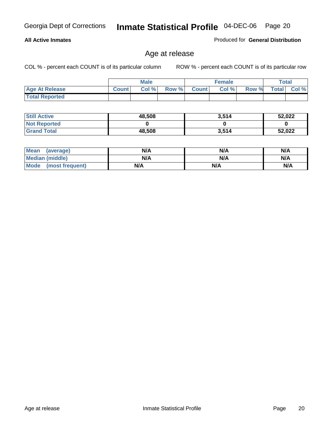#### **All Active Inmates**

Produced for **General Distribution**

### Age at release

|                       |              | <b>Male</b> |       |              | <b>Female</b> |       | <b>Total</b> |       |
|-----------------------|--------------|-------------|-------|--------------|---------------|-------|--------------|-------|
| <b>Age At Release</b> | <b>Count</b> | Col %       | Row % | <b>Count</b> | Col %         | Row % | <b>Total</b> | Col % |
| <b>Total Reported</b> |              |             |       |              |               |       |              |       |

| <b>Still Active</b> | 48,508 | 3,514 | 52,022 |
|---------------------|--------|-------|--------|
| <b>Not Reported</b> |        |       |        |
| <b>Grand Total</b>  | 48,508 | 3,514 | 52,022 |

| Mean (average)       | N/A | N/A | N/A |
|----------------------|-----|-----|-----|
| Median (middle)      | N/A | N/A | N/A |
| Mode (most frequent) | N/A | N/A | N/A |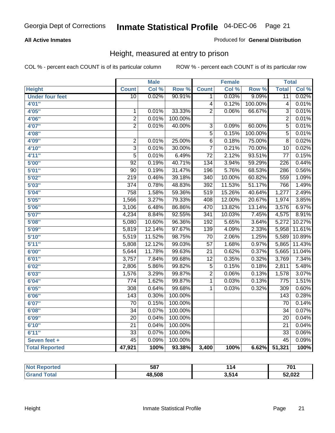#### **All Active Inmates**

Produced for **General Distribution**

### Height, measured at entry to prison

|                        |                         | <b>Male</b> |                  |                  | <b>Female</b> |         | <b>Total</b>     |        |
|------------------------|-------------------------|-------------|------------------|------------------|---------------|---------|------------------|--------|
| <b>Height</b>          | <b>Count</b>            | Col %       | Row <sup>%</sup> | <b>Count</b>     | Col %         | Row %   | <b>Total</b>     | Col %  |
| <b>Under four feet</b> | $\overline{10}$         | 0.02%       | 90.91%           | 1                | 0.03%         | 9.09%   | $\overline{11}$  | 0.02%  |
| 4'01''                 |                         |             |                  | $\overline{4}$   | 0.12%         | 100.00% | $\overline{4}$   | 0.01%  |
| 4'05"                  | $\mathbf{1}$            | 0.01%       | 33.33%           | $\overline{2}$   | 0.06%         | 66.67%  | $\overline{3}$   | 0.01%  |
| 4'06"                  | $\overline{2}$          | 0.01%       | 100.00%          |                  |               |         | $\overline{2}$   | 0.01%  |
| 4'07"                  | $\overline{2}$          | 0.01%       | 40.00%           | $\overline{3}$   | 0.09%         | 60.00%  | $\overline{5}$   | 0.01%  |
| 4'08"                  |                         |             |                  | $\overline{5}$   | 0.15%         | 100.00% | $\overline{5}$   | 0.01%  |
| 4'09"                  | $\overline{\mathbf{c}}$ | 0.01%       | 25.00%           | $\overline{6}$   | 0.18%         | 75.00%  | $\overline{8}$   | 0.02%  |
| 4'10"                  | $\overline{3}$          | 0.01%       | 30.00%           | $\overline{7}$   | 0.21%         | 70.00%  | 10               | 0.02%  |
| 4'11''                 | $\overline{5}$          | 0.01%       | 6.49%            | $\overline{72}$  | 2.12%         | 93.51%  | $\overline{77}$  | 0.15%  |
| 5'00''                 | 92                      | 0.19%       | 40.71%           | 134              | 3.94%         | 59.29%  | 226              | 0.44%  |
| 5'01''                 | $\overline{90}$         | 0.19%       | 31.47%           | 196              | 5.76%         | 68.53%  | 286              | 0.56%  |
| 5'02''                 | $\overline{219}$        | 0.46%       | 39.18%           | 340              | 10.00%        | 60.82%  | 559              | 1.09%  |
| 5'03''                 | $\overline{374}$        | 0.78%       | 48.83%           | 392              | 11.53%        | 51.17%  | 766              | 1.49%  |
| 5'04"                  | 758                     | 1.58%       | 59.36%           | $\overline{519}$ | 15.26%        | 40.64%  | 1,277            | 2.49%  |
| 5'05''                 | 1,566                   | 3.27%       | 79.33%           | 408              | 12.00%        | 20.67%  | 1,974            | 3.85%  |
| 5'06''                 | 3,106                   | 6.48%       | 86.86%           | 470              | 13.82%        | 13.14%  | 3,576            | 6.97%  |
| 5'07''                 | 4,234                   | 8.84%       | 92.55%           | $\overline{341}$ | 10.03%        | 7.45%   | 4,575            | 8.91%  |
| 5'08''                 | 5,080                   | 10.60%      | 96.36%           | 192              | 5.65%         | 3.64%   | 5,272            | 10.27% |
| 5'09''                 | 5,819                   | 12.14%      | 97.67%           | 139              | 4.09%         | 2.33%   | 5,958            | 11.61% |
| 5'10''                 | 5,519                   | 11.52%      | 98.75%           | $\overline{70}$  | 2.06%         | 1.25%   | 5,589            | 10.89% |
| 5'11''                 | 5,808                   | 12.12%      | 99.03%           | $\overline{57}$  | 1.68%         | 0.97%   | 5,865            | 11.43% |
| 6'00''                 | 5,644                   | 11.78%      | 99.63%           | $\overline{21}$  | 0.62%         | 0.37%   | 5,665            | 11.04% |
| 6'01''                 | 3,757                   | 7.84%       | 99.68%           | $\overline{12}$  | 0.35%         | 0.32%   | 3,769            | 7.34%  |
| 6'02''                 | 2,806                   | 5.86%       | 99.82%           | $\overline{5}$   | 0.15%         | 0.18%   | 2,811            | 5.48%  |
| 6'03''                 | 1,576                   | 3.29%       | 99.87%           | $\overline{2}$   | 0.06%         | 0.13%   | 1,578            | 3.07%  |
| 6'04''                 | $\overline{774}$        | 1.62%       | 99.87%           | $\mathbf 1$      | 0.03%         | 0.13%   | $\overline{775}$ | 1.51%  |
| 6'05''                 | $\overline{308}$        | 0.64%       | 99.68%           | 1                | 0.03%         | 0.32%   | $\overline{309}$ | 0.60%  |
| 6'06''                 | $\overline{143}$        | 0.30%       | 100.00%          |                  |               |         | 143              | 0.28%  |
| 6'07''                 | $\overline{70}$         | 0.15%       | 100.00%          |                  |               |         | 70               | 0.14%  |
| 6'08''                 | $\overline{34}$         | 0.07%       | 100.00%          |                  |               |         | $\overline{34}$  | 0.07%  |
| 6'09''                 | $\overline{20}$         | 0.04%       | 100.00%          |                  |               |         | $\overline{20}$  | 0.04%  |
| 6'10''                 | $\overline{21}$         | 0.04%       | 100.00%          |                  |               |         | $\overline{21}$  | 0.04%  |
| 6'11''                 | $\overline{33}$         | 0.07%       | 100.00%          |                  |               |         | $\overline{33}$  | 0.06%  |
| Seven feet +           | $\overline{45}$         | 0.09%       | 100.00%          |                  |               |         | $\overline{45}$  | 0.09%  |
| <b>Total Reported</b>  | 47,921                  | 100%        | 93.38%           | 3,400            | 100%          | 6.62%   | 51,321           | 100%   |

| oorted<br><b>NOT</b> | 587    | 14      | 704<br>v. |
|----------------------|--------|---------|-----------|
| <b>ota</b>           | 48.508 | 9 E 4 Z | 52,022    |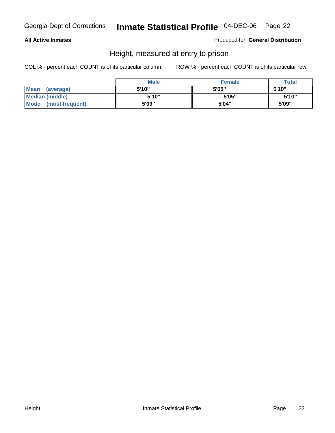#### **All Active Inmates**

Produced for **General Distribution**

### Height, measured at entry to prison

|                        | <b>Male</b> | <b>Female</b> | <b>Total</b> |
|------------------------|-------------|---------------|--------------|
| Mean (average)         | 5'10"       | 5'05"         | 5'10''       |
| <b>Median (middle)</b> | 5'10''      | 5'05"         | 5'10"        |
| Mode (most frequent)   | 5'09"       | 5'04"         | 5'09"        |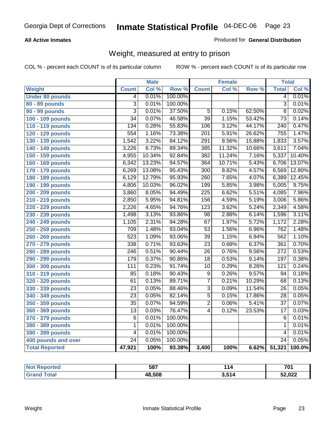#### **All Active Inmates**

#### Produced for **General Distribution**

### Weight, measured at entry to prison

|                        |                  | <b>Male</b> |         |                  | <b>Female</b> |        | <b>Total</b>     |        |
|------------------------|------------------|-------------|---------|------------------|---------------|--------|------------------|--------|
| <b>Weight</b>          | <b>Count</b>     | Col %       | Row %   | <b>Count</b>     | Col %         | Row %  | <b>Total</b>     | Col %  |
| <b>Under 80 pounds</b> | 4                | 0.01%       | 100.00% |                  |               |        | $\overline{4}$   | 0.01%  |
| 80 - 89 pounds         | $\overline{3}$   | 0.01%       | 100.00% |                  |               |        | $\overline{3}$   | 0.01%  |
| 90 - 99 pounds         | $\overline{3}$   | 0.01%       | 37.50%  | $\overline{5}$   | 0.15%         | 62.50% | $\overline{8}$   | 0.02%  |
| 100 - 109 pounds       | $\overline{34}$  | 0.07%       | 46.58%  | $\overline{39}$  | 1.15%         | 53.42% | $\overline{73}$  | 0.14%  |
| 110 - 119 pounds       | 134              | 0.28%       | 55.83%  | 106              | 3.12%         | 44.17% | $\overline{240}$ | 0.47%  |
| 120 - 129 pounds       | 554              | 1.16%       | 73.38%  | $\overline{201}$ | 5.91%         | 26.62% | 755              | 1.47%  |
| 130 - 139 pounds       | 1,542            | 3.22%       | 84.12%  | $\overline{291}$ | 8.56%         | 15.88% | 1,833            | 3.57%  |
| 140 - 149 pounds       | 3,226            | 6.73%       | 89.34%  | 385              | 11.32%        | 10.66% | 3,611            | 7.04%  |
| 150 - 159 pounds       | 4,955            | 10.34%      | 92.84%  | 382              | 11.24%        | 7.16%  | 5,337            | 10.40% |
| 160 - 169 pounds       | 6,342            | 13.23%      | 94.57%  | 364              | 10.71%        | 5.43%  | 6,706            | 13.07% |
| 170 - 179 pounds       | 6,269            | 13.08%      | 95.43%  | $\overline{300}$ | 8.82%         | 4.57%  | 6,569            | 12.80% |
| 180 - 189 pounds       | 6,129            | 12.79%      | 95.93%  | 260              | 7.65%         | 4.07%  | 6,389            | 12.45% |
| 190 - 199 pounds       | 4,806            | 10.03%      | 96.02%  | 199              | 5.85%         | 3.98%  | 5,005            | 9.75%  |
| 200 - 209 pounds       | 3,860            | 8.05%       | 94.49%  | $\overline{225}$ | 6.62%         | 5.51%  | 4,085            | 7.96%  |
| 210 - 219 pounds       | 2,850            | 5.95%       | 94.81%  | 156              | 4.59%         | 5.19%  | 3,006            | 5.86%  |
| 220 - 229 pounds       | 2,226            | 4.65%       | 94.76%  | $\overline{123}$ | 3.62%         | 5.24%  | 2,349            | 4.58%  |
| 230 - 239 pounds       | 1,498            | 3.13%       | 93.86%  | $\overline{98}$  | 2.88%         | 6.14%  | 1,596            | 3.11%  |
| 240 - 249 pounds       | 1,105            | 2.31%       | 94.28%  | 67               | 1.97%         | 5.72%  | 1,172            | 2.28%  |
| 250 - 259 pounds       | 709              | 1.48%       | 93.04%  | $\overline{53}$  | 1.56%         | 6.96%  | 762              | 1.48%  |
| 260 - 269 pounds       | 523              | 1.09%       | 93.06%  | $\overline{39}$  | 1.15%         | 6.94%  | 562              | 1.10%  |
| 270 - 279 pounds       | 338              | 0.71%       | 93.63%  | $\overline{23}$  | 0.68%         | 6.37%  | 361              | 0.70%  |
| 280 - 289 pounds       | $\overline{246}$ | 0.51%       | 90.44%  | $\overline{26}$  | 0.76%         | 9.56%  | $\overline{272}$ | 0.53%  |
| 290 - 299 pounds       | 179              | 0.37%       | 90.86%  | $\overline{18}$  | 0.53%         | 9.14%  | 197              | 0.38%  |
| 300 - 309 pounds       | 111              | 0.23%       | 91.74%  | $\overline{10}$  | 0.29%         | 8.26%  | 121              | 0.24%  |
| 310 - 319 pounds       | 85               | 0.18%       | 90.43%  | $\overline{9}$   | 0.26%         | 9.57%  | $\overline{94}$  | 0.18%  |
| 320 - 329 pounds       | 61               | 0.13%       | 89.71%  | $\overline{7}$   | 0.21%         | 10.29% | 68               | 0.13%  |
| 330 - 339 pounds       | $\overline{23}$  | 0.05%       | 88.46%  | $\overline{3}$   | 0.09%         | 11.54% | $\overline{26}$  | 0.05%  |
| 340 - 349 pounds       | $\overline{23}$  | 0.05%       | 82.14%  | $\overline{5}$   | 0.15%         | 17.86% | $\overline{28}$  | 0.05%  |
| 350 - 359 pounds       | $\overline{35}$  | 0.07%       | 94.59%  | $\overline{2}$   | 0.06%         | 5.41%  | $\overline{37}$  | 0.07%  |
| 360 - 369 pounds       | 13               | 0.03%       | 76.47%  | $\overline{4}$   | 0.12%         | 23.53% | 17               | 0.03%  |
| 370 - 379 pounds       | 6                | 0.01%       | 100.00% |                  |               |        | 6                | 0.01%  |
| 380 - 389 pounds       | 1                | 0.01%       | 100.00% |                  |               |        | 1                | 0.01%  |
| 390 - 399 pounds       | $\overline{4}$   | 0.01%       | 100.00% |                  |               |        | 4                | 0.01%  |
| 400 pounds and over    | $\overline{24}$  | 0.05%       | 100.00% |                  |               |        | $\overline{24}$  | 0.05%  |
| <b>Total Reported</b>  | 47,921           | 100%        | 93.38%  | 3,400            | 100%          | 6.62%  | 51,321           | 100.0% |

| <b>Reported</b><br>NO. | 587    | 114                        | <b>704</b> |
|------------------------|--------|----------------------------|------------|
| 'ota.                  | 48.508 | <b>3514</b><br><u>ч.ч.</u> | 52,022     |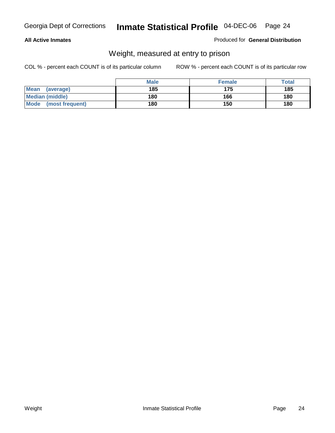#### **All Active Inmates**

#### Produced for **General Distribution**

### Weight, measured at entry to prison

|                          | <b>Male</b> | <b>Female</b> | Total |
|--------------------------|-------------|---------------|-------|
| <b>Mean</b><br>(average) | 185         | 175           | 185   |
| <b>Median (middle)</b>   | 180         | 166           | 180   |
| Mode<br>(most frequent)  | 180         | 150           | 180   |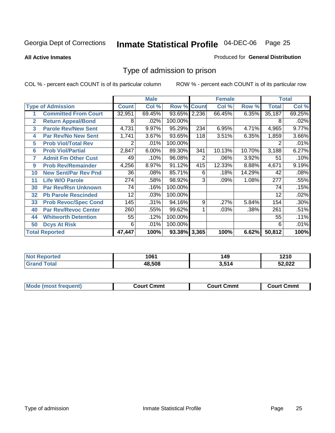#### **All Active Inmates**

#### Produced for **General Distribution**

### Type of admission to prison

|                          |                             |              | <b>Male</b> |                    |     | <b>Female</b> |        |              | <b>Total</b> |
|--------------------------|-----------------------------|--------------|-------------|--------------------|-----|---------------|--------|--------------|--------------|
| <b>Type of Admission</b> |                             | <b>Count</b> | Col %       | <b>Row % Count</b> |     | Col %         | Row %  | <b>Total</b> | Col %        |
| 1                        | <b>Committed From Court</b> | 32,951       | 69.45%      | 93.65% 2,236       |     | 66.45%        | 6.35%  | 35,187       | 69.25%       |
| $\overline{2}$           | <b>Return Appeal/Bond</b>   | 8            | .02%        | 100.00%            |     |               |        | 8            | .02%         |
| 3                        | <b>Parole Rev/New Sent</b>  | 4,731        | 9.97%       | 95.29%             | 234 | 6.95%         | 4.71%  | 4,965        | 9.77%        |
| 4                        | <b>Par Rev/No New Sent</b>  | 1,741        | 3.67%       | 93.65%             | 118 | 3.51%         | 6.35%  | 1,859        | 3.66%        |
| 5                        | <b>Prob Viol/Total Rev</b>  | 2            | .01%        | 100.00%            |     |               |        |              | .01%         |
| 6                        | <b>Prob Viol/Partial</b>    | 2,847        | 6.00%       | 89.30%             | 341 | 10.13%        | 10.70% | 3,188        | 6.27%        |
| 7                        | <b>Admit Fm Other Cust</b>  | 49           | .10%        | 96.08%             | 2   | .06%          | 3.92%  | 51           | .10%         |
| 9                        | <b>Prob Rev/Remainder</b>   | 4,256        | 8.97%       | 91.12%             | 415 | 12.33%        | 8.88%  | 4,671        | 9.19%        |
| 10                       | <b>New Sent/Par Rev Pnd</b> | 36           | .08%        | 85.71%             | 6   | .18%          | 14.29% | 42           | .08%         |
| 11                       | <b>Life W/O Parole</b>      | 274          | .58%        | 98.92%             | 3   | .09%          | 1.08%  | 277          | .55%         |
| 30                       | <b>Par Rev/Rsn Unknown</b>  | 74           | .16%        | 100.00%            |     |               |        | 74           | .15%         |
| 32                       | <b>Pb Parole Rescinded</b>  | 12           | .03%        | 100.00%            |     |               |        | 12           | .02%         |
| 33                       | <b>Prob Revoc/Spec Cond</b> | 145          | .31%        | 94.16%             | 9   | .27%          | 5.84%  | 154          | .30%         |
| 40                       | <b>Par Rev/Revoc Center</b> | 260          | .55%        | 99.62%             |     | .03%          | .38%   | 261          | .51%         |
| 44                       | <b>Whitworth Detention</b>  | 55           | .12%        | 100.00%            |     |               |        | 55           | .11%         |
| 50                       | <b>Dcys At Risk</b>         | 6            | .01%        | 100.00%            |     |               |        | 6            | .01%         |
|                          | <b>Total Reported</b>       | 47,447       | 100%        | 93.38% 3,365       |     | 100%          | 6.62%  | 50,812       | 100%         |

| Reported<br><b>NOT</b> | 1061   | 149        | 1210   |
|------------------------|--------|------------|--------|
| otal                   | 18.508 | <b>CAA</b> | 2.022ۃ |

| Mou.<br>uent)<br>most trea | Court Cmmt | Cmmt<br>COULLET. | Cmm<br>∶ourt |
|----------------------------|------------|------------------|--------------|
|                            |            |                  |              |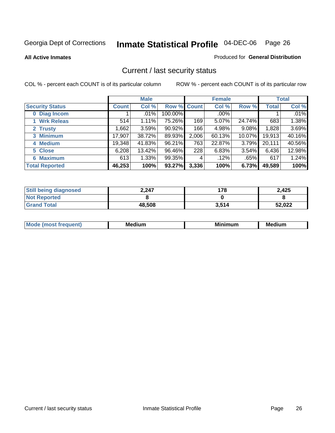**All Active Inmates**

#### Produced for **General Distribution**

### Current / last security status

|                        | <b>Male</b> |        |             | <b>Female</b> |         |        | <b>Total</b> |        |
|------------------------|-------------|--------|-------------|---------------|---------|--------|--------------|--------|
| <b>Security Status</b> | Count l     | Col %  | Row % Count |               | Col %   | Row %  | <b>Total</b> | Col %  |
| 0 Diag Incom           |             | .01%   | 100.00%     |               | $.00\%$ |        |              | .01%   |
| 1 Wrk Releas           | 514         | 1.11%  | 75.26%      | 169           | 5.07%   | 24.74% | 683          | 1.38%  |
| 2 Trusty               | .662        | 3.59%  | $90.92\%$   | 166           | 4.98%   | 9.08%  | 1,828        | 3.69%  |
| 3 Minimum              | 17,907      | 38.72% | 89.93%      | 2,006         | 60.13%  | 10.07% | 19,913       | 40.16% |
| 4 Medium               | 19,348      | 41.83% | 96.21%      | 763           | 22.87%  | 3.79%  | 20,111       | 40.56% |
| 5 Close                | 6,208       | 13.42% | 96.46%      | 228           | 6.83%   | 3.54%  | 6,436        | 12.98% |
| <b>6 Maximum</b>       | 613         | 1.33%  | 99.35%      | 4             | .12%    | .65%   | 617          | 1.24%  |
| <b>Total Reported</b>  | 46,253      | 100%   | 93.27%      | 3,336         | 100%    | 6.73%  | 49,589       | 100%   |

| <b>Still being diagnosed</b> | 2,247  | 178   | 2,425  |
|------------------------------|--------|-------|--------|
| <b>Not Reported</b>          |        |       |        |
| <b>Grand Total</b>           | 48,508 | 3.514 | 52,022 |

| <b>Mode</b><br>-------<br>auent)<br>a ta | M۵<br>. .<br>dium: | <b>BA:</b><br>mum<br>--- -- | <b>Medium</b> |
|------------------------------------------|--------------------|-----------------------------|---------------|
|                                          |                    |                             |               |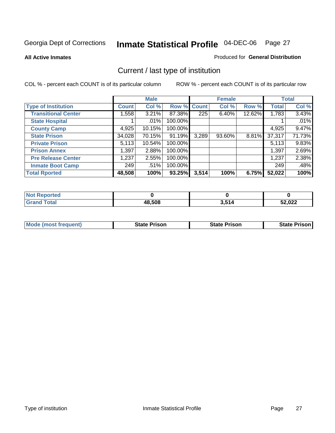**All Active Inmates**

#### Produced for **General Distribution**

### Current / last type of institution

|                            |              | <b>Male</b> |         |              | <b>Female</b> |        |              | <b>Total</b> |
|----------------------------|--------------|-------------|---------|--------------|---------------|--------|--------------|--------------|
| <b>Type of Institution</b> | <b>Count</b> | Col %       | Row %   | <b>Count</b> | Col %         | Row %  | <b>Total</b> | Col %        |
| <b>Transitional Center</b> | 1,558        | 3.21%       | 87.38%  | 225          | $6.40\%$      | 12.62% | 1,783        | 3.43%        |
| <b>State Hospital</b>      |              | $.01\%$     | 100.00% |              |               |        |              | .01%         |
| <b>County Camp</b>         | 4,925        | 10.15%      | 100.00% |              |               |        | 4,925        | 9.47%        |
| <b>State Prison</b>        | 34,028       | 70.15%      | 91.19%  | 3,289        | $93.60\%$     | 8.81%  | 37,317       | 71.73%       |
| <b>Private Prison</b>      | 5,113        | 10.54%      | 100.00% |              |               |        | 5,113        | 9.83%        |
| <b>Prison Annex</b>        | 1,397        | 2.88%       | 100.00% |              |               |        | 1,397        | 2.69%        |
| <b>Pre Release Center</b>  | 1,237        | 2.55%       | 100.00% |              |               |        | 1,237        | 2.38%        |
| <b>Inmate Boot Camp</b>    | 249          | .51%        | 100.00% |              |               |        | 249          | .48%         |
| <b>Total Rported</b>       | 48,508       | 100%        | 93.25%  | 3,514        | 100%          | 6.75%  | 52,022       | 100%         |

| <b>Not</b><br><b>Reported</b> |        |       |        |
|-------------------------------|--------|-------|--------|
| <b>Total</b>                  | 48,508 | 3,514 | 52,022 |

| <b>Mode (most frequent)</b> | State Prison | <b>State Prison</b> | <b>State Prison I</b> |
|-----------------------------|--------------|---------------------|-----------------------|
|                             |              |                     |                       |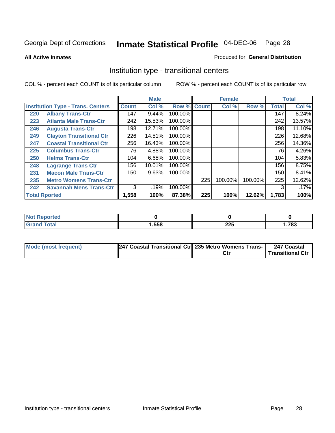**All Active Inmates**

#### Produced for **General Distribution**

### Institution type - transitional centers

|     |                                          |              | <b>Male</b> |         |              | <b>Female</b> |         |              | <b>Total</b> |
|-----|------------------------------------------|--------------|-------------|---------|--------------|---------------|---------|--------------|--------------|
|     | <b>Institution Type - Trans. Centers</b> | <b>Count</b> | Col %       | Row %   | <b>Count</b> | Col %         | Row %   | <b>Total</b> | Col %        |
| 220 | <b>Albany Trans-Ctr</b>                  | 147          | 9.44%       | 100.00% |              |               |         | 147          | 8.24%        |
| 223 | <b>Atlanta Male Trans-Ctr</b>            | 242          | 15.53%      | 100.00% |              |               |         | 242          | 13.57%       |
| 246 | <b>Augusta Trans-Ctr</b>                 | 198          | 12.71%      | 100.00% |              |               |         | 198          | 11.10%       |
| 249 | <b>Clayton Transitional Ctr</b>          | 226          | 14.51%      | 100.00% |              |               |         | 226          | 12.68%       |
| 247 | <b>Coastal Transitional Ctr</b>          | 256          | 16.43%      | 100.00% |              |               |         | 256          | 14.36%       |
| 225 | <b>Columbus Trans-Ctr</b>                | 76           | 4.88%       | 100.00% |              |               |         | 76           | 4.26%        |
| 250 | <b>Helms Trans-Ctr</b>                   | 104          | 6.68%       | 100.00% |              |               |         | 104          | 5.83%        |
| 248 | <b>Lagrange Trans Ctr</b>                | 156          | 10.01%      | 100.00% |              |               |         | 156          | 8.75%        |
| 231 | <b>Macon Male Trans-Ctr</b>              | 150          | 9.63%       | 100.00% |              |               |         | 150          | 8.41%        |
| 235 | <b>Metro Womens Trans-Ctr</b>            |              |             |         | 225          | 100.00%       | 100.00% | 225          | 12.62%       |
| 242 | <b>Savannah Mens Trans-Ctr</b>           | 3            | .19%        | 100.00% |              |               |         | 3            | .17%         |
|     | <b>Total Rported</b>                     | 1,558        | 100%        | 87.38%  | 225          | 100%          | 12.62%  | 1,783        | 100%         |

| portea<br> |      |                  |      |
|------------|------|------------------|------|
| 'nta       | ,558 | າງເ<br>ZZJ<br>__ | ,783 |

| Mode (most frequent) | 1247 Coastal Transitional Ctr 235 Metro Womens Trans- |     | 247 Coastal      |
|----------------------|-------------------------------------------------------|-----|------------------|
|                      |                                                       | Ct∣ | Transitional Ctr |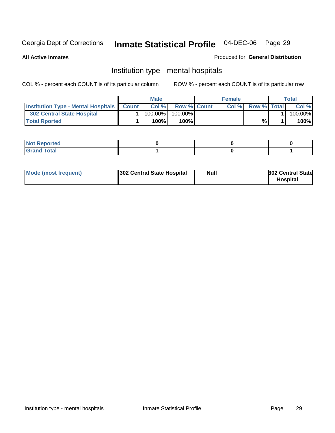**All Active Inmates**

#### Produced for **General Distribution**

### Institution type - mental hospitals

|                                                  | <b>Male</b> |                    | <b>Female</b> |                    | Total   |
|--------------------------------------------------|-------------|--------------------|---------------|--------------------|---------|
| <b>Institution Type - Mental Hospitals Count</b> | Col%        | <b>Row % Count</b> | Col%          | <b>Row % Total</b> | Col %   |
| <b>302 Central State Hospital</b>                | $100.00\%$  | 100.00%            |               |                    | 100.00% |
| <b>Total Rported</b>                             | 100%        | 100%               |               | %                  | 100%    |

| Not Reported |  |  |
|--------------|--|--|
| <b>Total</b> |  |  |

| Mode (most frequent)<br>302 Central State Hospital | Null | <b>302 Central State</b><br><b>Hospital</b> |
|----------------------------------------------------|------|---------------------------------------------|
|----------------------------------------------------|------|---------------------------------------------|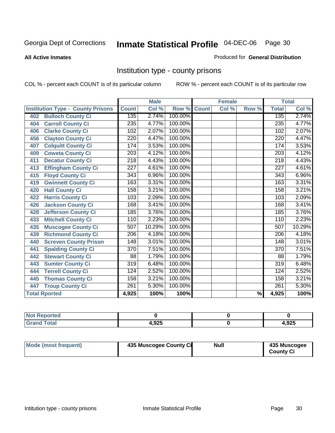#### **All Active Inmates**

#### Produced for **General Distribution**

### Institution type - county prisons

|                                          |                  | <b>Male</b> |         |              | <b>Female</b> |                          |                  | <b>Total</b> |
|------------------------------------------|------------------|-------------|---------|--------------|---------------|--------------------------|------------------|--------------|
| <b>Institution Type - County Prisons</b> | <b>Count</b>     | Col %       | Row %   | <b>Count</b> | Col %         | Row %                    | <b>Total</b>     | Col %        |
| <b>Bulloch County Ci</b><br>402          | 135              | 2.74%       | 100.00% |              |               |                          | 135              | 2.74%        |
| <b>Carroll County Ci</b><br>404          | $\overline{235}$ | 4.77%       | 100.00% |              |               |                          | 235              | 4.77%        |
| <b>Clarke County Ci</b><br>406           | 102              | 2.07%       | 100.00% |              |               |                          | 102              | 2.07%        |
| <b>Clayton County Ci</b><br>456          | 220              | 4.47%       | 100.00% |              |               |                          | 220              | 4.47%        |
| <b>Colquitt County Ci</b><br>407         | 174              | 3.53%       | 100.00% |              |               |                          | 174              | 3.53%        |
| <b>Coweta County Ci</b><br>409           | $\overline{203}$ | 4.12%       | 100.00% |              |               |                          | $\overline{203}$ | 4.12%        |
| <b>Decatur County Ci</b><br>411          | 218              | 4.43%       | 100.00% |              |               |                          | 218              | 4.43%        |
| <b>Effingham County Ci</b><br>413        | 227              | 4.61%       | 100.00% |              |               |                          | 227              | 4.61%        |
| <b>Floyd County Ci</b><br>415            | $\overline{343}$ | 6.96%       | 100.00% |              |               |                          | $\overline{343}$ | 6.96%        |
| <b>Gwinnett County Ci</b><br>419         | 163              | 3.31%       | 100.00% |              |               |                          | 163              | 3.31%        |
| <b>Hall County Ci</b><br>420             | 158              | 3.21%       | 100.00% |              |               |                          | 158              | 3.21%        |
| <b>Harris County Ci</b><br>422           | 103              | 2.09%       | 100.00% |              |               |                          | 103              | 2.09%        |
| <b>Jackson County Ci</b><br>426          | 168              | 3.41%       | 100.00% |              |               |                          | 168              | 3.41%        |
| <b>Jefferson County Ci</b><br>428        | 185              | 3.76%       | 100.00% |              |               |                          | 185              | 3.76%        |
| <b>Mitchell County Ci</b><br>433         | 110              | 2.23%       | 100.00% |              |               |                          | 110              | 2.23%        |
| <b>Muscogee County Ci</b><br>435         | 507              | 10.29%      | 100.00% |              |               |                          | 507              | 10.29%       |
| <b>Richmond County Ci</b><br>439         | $\overline{206}$ | 4.18%       | 100.00% |              |               |                          | $\overline{206}$ | 4.18%        |
| <b>Screven County Prison</b><br>440      | 148              | 3.01%       | 100.00% |              |               |                          | 148              | 3.01%        |
| <b>Spalding County Ci</b><br>441         | $\overline{370}$ | 7.51%       | 100.00% |              |               |                          | $\overline{370}$ | 7.51%        |
| <b>Stewart County Ci</b><br>442          | 88               | 1.79%       | 100.00% |              |               |                          | 88               | 1.79%        |
| <b>Sumter County Ci</b><br>443           | $\overline{319}$ | 6.48%       | 100.00% |              |               |                          | $\overline{319}$ | 6.48%        |
| <b>Terrell County Ci</b><br>444          | 124              | 2.52%       | 100.00% |              |               |                          | 124              | 2.52%        |
| <b>Thomas County Ci</b><br>445           | 158              | 3.21%       | 100.00% |              |               |                          | 158              | 3.21%        |
| <b>Troup County Ci</b><br>447            | 261              | 5.30%       | 100.00% |              |               |                          | 261              | 5.30%        |
| <b>Total Rported</b>                     | 4,925            | 100%        | 100%    |              |               | $\overline{\frac{9}{6}}$ | 4,925            | 100%         |

| τeα                                |       |              |
|------------------------------------|-------|--------------|
| $\sim$ $\sim$ $\sim$ $\sim$ $\sim$ | 4,925 | 02E<br>1.JLJ |

| Mode (most frequent) | 435 Muscogee County Ci | <b>Null</b> | 435 Muscogee     |
|----------------------|------------------------|-------------|------------------|
|                      |                        |             | <b>County Ci</b> |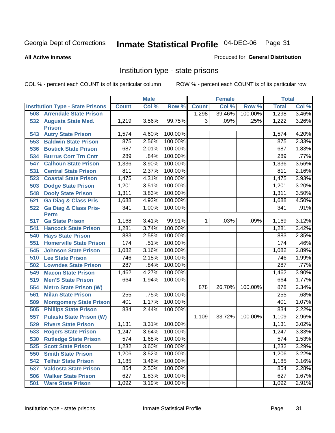**All Active Inmates**

#### Produced for **General Distribution**

### Institution type - state prisons

|     |                                                 |                  | <b>Male</b> |         |                | <b>Female</b> |         | <b>Total</b> |       |
|-----|-------------------------------------------------|------------------|-------------|---------|----------------|---------------|---------|--------------|-------|
|     | <b>Institution Type - State Prisons</b>         | <b>Count</b>     | Col %       | Row %   | <b>Count</b>   | Col %         | Row %   | <b>Total</b> | Col % |
| 508 | <b>Arrendale State Prison</b>                   |                  |             |         | 1,298          | 39.46%        | 100.00% | 1,298        | 3.46% |
|     | 532 Augusta State Med.<br><b>Prison</b>         | 1,219            | 3.56%       | 99.75%  | 3              | .09%          | .25%    | 1,222        | 3.26% |
| 543 | <b>Autry State Prison</b>                       | 1,574            | 4.60%       | 100.00% |                |               |         | 1,574        | 4.20% |
| 553 | <b>Baldwin State Prison</b>                     | 875              | 2.56%       | 100.00% |                |               |         | 875          | 2.33% |
| 536 | <b>Bostick State Prison</b>                     | 687              | 2.01%       | 100.00% |                |               |         | 687          | 1.83% |
| 534 | <b>Burrus Corr Trn Cntr</b>                     | 289              | .84%        | 100.00% |                |               |         | 289          | .77%  |
| 547 | <b>Calhoun State Prison</b>                     | 1,336            | 3.90%       | 100.00% |                |               |         | 1,336        | 3.56% |
| 531 | <b>Central State Prison</b>                     | 811              | 2.37%       | 100.00% |                |               |         | 811          | 2.16% |
| 523 | <b>Coastal State Prison</b>                     | 1,475            | 4.31%       | 100.00% |                |               |         | 1,475        | 3.93% |
| 503 | <b>Dodge State Prison</b>                       | 1,201            | 3.51%       | 100.00% |                |               |         | 1,201        | 3.20% |
| 548 | <b>Dooly State Prison</b>                       | 1,311            | 3.83%       | 100.00% |                |               |         | 1,311        | 3.50% |
| 521 | <b>Ga Diag &amp; Class Pris</b>                 | 1,688            | 4.93%       | 100.00% |                |               |         | 1,688        | 4.50% |
| 522 | <b>Ga Diag &amp; Class Pris-</b><br><b>Perm</b> | 341              | 1.00%       | 100.00% |                |               |         | 341          | .91%  |
| 517 | <b>Ga State Prison</b>                          | 1,168            | 3.41%       | 99.91%  | 1 <sup>1</sup> | .03%          | .09%    | 1,169        | 3.12% |
| 541 | <b>Hancock State Prison</b>                     | 1,281            | 3.74%       | 100.00% |                |               |         | 1,281        | 3.42% |
| 540 | <b>Hays State Prison</b>                        | 883              | 2.58%       | 100.00% |                |               |         | 883          | 2.35% |
| 551 | <b>Homerville State Prison</b>                  | 174              | .51%        | 100.00% |                |               |         | 174          | .46%  |
| 545 | <b>Johnson State Prison</b>                     | 1,082            | 3.16%       | 100.00% |                |               |         | 1,082        | 2.89% |
| 510 | <b>Lee State Prison</b>                         | 746              | 2.18%       | 100.00% |                |               |         | 746          | 1.99% |
| 502 | <b>Lowndes State Prison</b>                     | 287              | .84%        | 100.00% |                |               |         | 287          | .77%  |
| 549 | <b>Macon State Prison</b>                       | 1,462            | 4.27%       | 100.00% |                |               |         | 1,462        | 3.90% |
| 519 | <b>Men'S State Prison</b>                       | 664              | 1.94%       | 100.00% |                |               |         | 664          | 1.77% |
| 554 | <b>Metro State Prison (W)</b>                   |                  |             |         | 878            | 26.70%        | 100.00% | 878          | 2.34% |
| 561 | <b>Milan State Prison</b>                       | 255              | .75%        | 100.00% |                |               |         | 255          | .68%  |
| 509 | <b>Montgomery State Prison</b>                  | 401              | 1.17%       | 100.00% |                |               |         | 401          | 1.07% |
| 505 | <b>Phillips State Prison</b>                    | 834              | 2.44%       | 100.00% |                |               |         | 834          | 2.22% |
| 557 | <b>Pulaski State Prison (W)</b>                 |                  |             |         | 1,109          | 33.72%        | 100.00% | 1,109        | 2.96% |
| 529 | <b>Rivers State Prison</b>                      | 1,131            | 3.31%       | 100.00% |                |               |         | 1,131        | 3.02% |
| 533 | <b>Rogers State Prison</b>                      | 1,247            | 3.64%       | 100.00% |                |               |         | 1,247        | 3.33% |
| 530 | <b>Rutledge State Prison</b>                    | $\overline{574}$ | 1.68%       | 100.00% |                |               |         | 574          | 1.53% |
| 525 | <b>Scott State Prison</b>                       | 1,232            | 3.60%       | 100.00% |                |               |         | 1,232        | 3.29% |
| 550 | <b>Smith State Prison</b>                       | 1,206            | 3.52%       | 100.00% |                |               |         | 1,206        | 3.22% |
| 542 | <b>Telfair State Prison</b>                     | 1,185            | 3.46%       | 100.00% |                |               |         | 1,185        | 3.16% |
| 537 | <b>Valdosta State Prison</b>                    | 854              | 2.50%       | 100.00% |                |               |         | 854          | 2.28% |
| 506 | <b>Walker State Prison</b>                      | 627              | 1.83%       | 100.00% |                |               |         | 627          | 1.67% |
| 501 | <b>Ware State Prison</b>                        | 1,092            | 3.19%       | 100.00% |                |               |         | 1,092        | 2.91% |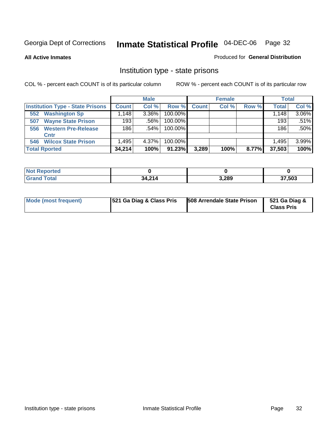**All Active Inmates**

#### Produced for **General Distribution**

### Institution type - state prisons

|                                         |                                  | <b>Male</b> |            |              | <b>Female</b> |       | <b>Total</b> |       |
|-----------------------------------------|----------------------------------|-------------|------------|--------------|---------------|-------|--------------|-------|
| <b>Institution Type - State Prisons</b> | <b>Count</b>                     | Col %       | Row %      | <b>Count</b> | Col %         | Row % | Total        | Col % |
| <b>Washington Sp</b><br>552             | $.148$ <sup><math>+</math></sup> | 3.36%       | 100.00%    |              |               |       | 1,148        | 3.06% |
| <b>Wayne State Prison</b><br>507        | 193                              | $.56\%$     | 100.00%    |              |               |       | 193          | .51%  |
| <b>Western Pre-Release</b><br>556       | 186                              | .54%        | 100.00%    |              |               |       | 186          | .50%  |
| Cntr                                    |                                  |             |            |              |               |       |              |       |
| <b>Wilcox State Prison</b><br>546       | .495                             | 4.37%       | $100.00\%$ |              |               |       | 1.495        | 3.99% |
| <b>Total Rported</b>                    | 34,214                           | 100%        | 91.23%     | 3,289        | 100%          | 8.77% | 37,503       | 100%  |

| rtea        |                   |       |             |
|-------------|-------------------|-------|-------------|
| <b>otal</b> | 34.21<br>J4.4 I 4 | 3,289 | 7,503<br>91 |

| Mode (most frequent) | <b>521 Ga Diag &amp; Class Pris</b> | 508 Arrendale State Prison | 521 Ga Diag &<br><b>Class Pris</b> |
|----------------------|-------------------------------------|----------------------------|------------------------------------|
|----------------------|-------------------------------------|----------------------------|------------------------------------|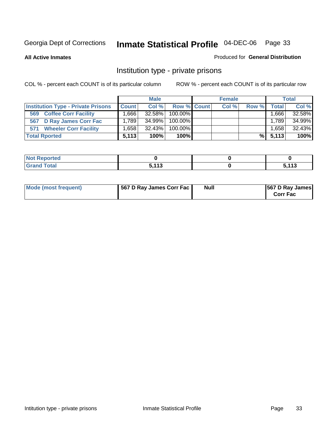#### **All Active Inmates**

#### Produced for **General Distribution**

### Institution type - private prisons

|                                           |              | <b>Male</b> |             | <b>Female</b> |       |        | <b>Total</b> |
|-------------------------------------------|--------------|-------------|-------------|---------------|-------|--------|--------------|
| <b>Institution Type - Private Prisons</b> | <b>Count</b> | Col %       | Row % Count | Col %         | Row % | Total  | Col %        |
| <b>Coffee Corr Facility</b><br>569        | 1666.        | 32.58%      | 100.00%     |               |       | ∃666.، | 32.58%       |
| 567 D Ray James Corr Fac                  | 1.789        | 34.99%      | 100.00%     |               |       | 1.789  | 34.99%       |
| <b>Wheeler Corr Facility</b><br>571       | .,658        | 32.43%      | 100.00%     |               |       | 1.658  | 32.43%       |
| <b>Total Rported</b>                      | 5.113        | 100%        | 100%        |               | %l    | 5.113  | 100%         |

| <b>Reported</b><br>' NOT |                           |             |
|--------------------------|---------------------------|-------------|
| <b>Total</b><br>$\sim$ . | <b>E 449</b><br>- 1<br>-- | EAAC<br>. . |

| Mode (most frequent) | 567 D Ray James Corr Fac | <b>Null</b> | <b>567 D Ray James</b><br><b>Corr Fac</b> |
|----------------------|--------------------------|-------------|-------------------------------------------|
|----------------------|--------------------------|-------------|-------------------------------------------|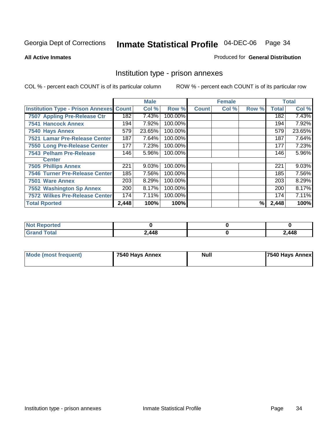#### **All Active Inmates**

#### Produced for **General Distribution**

### Institution type - prison annexes

|                                                |       | <b>Male</b> |         |              | <b>Female</b> |       |              | <b>Total</b> |
|------------------------------------------------|-------|-------------|---------|--------------|---------------|-------|--------------|--------------|
| <b>Institution Type - Prison Annexes Count</b> |       | Col %       | Row %   | <b>Count</b> | Col %         | Row % | <b>Total</b> | Col %        |
| 7507 Appling Pre-Release Ctr                   | 182   | 7.43%       | 100.00% |              |               |       | 182          | 7.43%        |
| <b>7541 Hancock Annex</b>                      | 194   | 7.92%       | 100.00% |              |               |       | 194          | 7.92%        |
| 7540 Hays Annex                                | 579   | 23.65%      | 100.00% |              |               |       | 579          | 23.65%       |
| 7521 Lamar Pre-Release Center                  | 187   | 7.64%       | 100.00% |              |               |       | 187          | 7.64%        |
| 7550 Long Pre-Release Center                   | 177   | 7.23%       | 100.00% |              |               |       | 177          | 7.23%        |
| <b>7543 Pelham Pre-Release</b>                 | 146   | 5.96%       | 100.00% |              |               |       | 146          | 5.96%        |
| <b>Center</b>                                  |       |             |         |              |               |       |              |              |
| <b>7505 Phillips Annex</b>                     | 221   | 9.03%       | 100.00% |              |               |       | 221          | 9.03%        |
| <b>7546 Turner Pre-Release Center</b>          | 185   | 7.56%       | 100.00% |              |               |       | 185          | 7.56%        |
| 7501 Ware Annex                                | 203   | 8.29%       | 100.00% |              |               |       | 203          | 8.29%        |
| <b>7552 Washington Sp Annex</b>                | 200   | 8.17%       | 100.00% |              |               |       | 200          | 8.17%        |
| <b>7572 Wilkes Pre-Release Center</b>          | 174   | 7.11%       | 100.00% |              |               |       | 174          | 7.11%        |
| <b>Total Rported</b>                           | 2,448 | 100%        | 100%    |              |               | %     | 2,448        | 100%         |

| <b>Not Reported</b> |       |       |
|---------------------|-------|-------|
| <b>Grand Total</b>  | 2,448 | 2,448 |

| <b>Mode (most frequent)</b> | 7540 Hays Annex | <b>Null</b> | 7540 Hays Annex |
|-----------------------------|-----------------|-------------|-----------------|
|-----------------------------|-----------------|-------------|-----------------|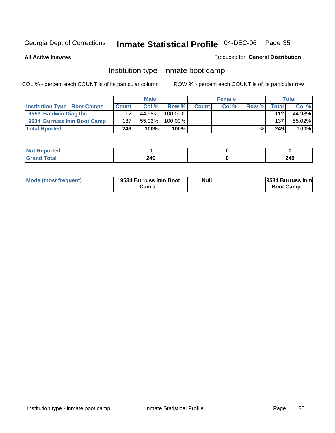**All Active Inmates**

#### Produced for **General Distribution**

### Institution type - inmate boot camp

|                                      |       | <b>Male</b> |               |              | <b>Female</b> |       |        | <b>Total</b> |
|--------------------------------------|-------|-------------|---------------|--------------|---------------|-------|--------|--------------|
| <b>Institution Type - Boot Camps</b> | Count | Col%        | Row %         | <b>Count</b> | Col %         | Row % | Totall | Col %        |
| 9553 Baldwin Diag Ibc                | 112   | 44.98%      | $100.00\%$    |              |               |       | 112    | 44.98%       |
| 9534 Burruss Inm Boot Camp           | 137   | $55.02\%$   | 100.00%       |              |               |       | 137    | 55.02%       |
| <b>Total Rported</b>                 | 249   | 100%        | 100% <b>I</b> |              |               | %     | 249    | 100%         |

| <b>tea</b> |     |     |
|------------|-----|-----|
| -          | 249 | 249 |

| Mode (most frequent) | 9534 Burruss Inm Boot<br>شcamp | Null | <b>9534 Burruss Inm</b><br><b>Boot Camp</b> |
|----------------------|--------------------------------|------|---------------------------------------------|
|----------------------|--------------------------------|------|---------------------------------------------|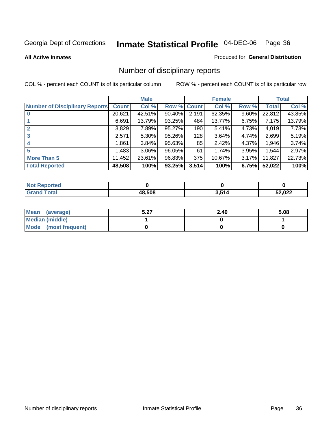**All Active Inmates**

#### Produced for **General Distribution**

### Number of disciplinary reports

|                                       |              | <b>Male</b> |        |              | <b>Female</b> |          |              | <b>Total</b> |
|---------------------------------------|--------------|-------------|--------|--------------|---------------|----------|--------------|--------------|
| <b>Number of Disciplinary Reports</b> | <b>Count</b> | Col %       | Row %  | <b>Count</b> | Col %         | Row %    | <b>Total</b> | Col %        |
|                                       | 20,621       | 42.51%      | 90.40% | 2,191        | 62.35%        | 9.60%    | 22,812       | 43.85%       |
|                                       | 6,691        | 13.79%      | 93.25% | 484          | 13.77%        | 6.75%    | 7,175        | 13.79%       |
|                                       | 3,829        | 7.89%       | 95.27% | 190          | 5.41%         | 4.73%    | 4,019        | 7.73%        |
| 3                                     | 2,571        | 5.30%       | 95.26% | 128          | 3.64%         | 4.74%    | 2,699        | 5.19%        |
|                                       | .861         | 3.84%       | 95.63% | 85           | 2.42%         | 4.37%    | 1,946        | 3.74%        |
| 5                                     | ,483         | $3.06\%$    | 96.05% | 61           | 1.74%         | 3.95%    | 1,544        | 2.97%        |
| <b>More Than 5</b>                    | 11,452       | 23.61%      | 96.83% | 375          | 10.67%        | $3.17\%$ | 11,827       | 22.73%       |
| <b>Total Reported</b>                 | 48,508       | 100%        | 93.25% | 3,514        | 100%          | 6.75%    | 52,022       | 100%         |

| N                              |            |     |        |
|--------------------------------|------------|-----|--------|
| $\mathcal{L}$ of $\mathcal{L}$ | ENO.       | 51/ | 52,022 |
|                                | <b>4</b> . |     | __     |

| Mean (average)       | 5.27<br>3.ZT | 2.40 | 5.08 |
|----------------------|--------------|------|------|
| Median (middle)      |              |      |      |
| Mode (most frequent) |              |      |      |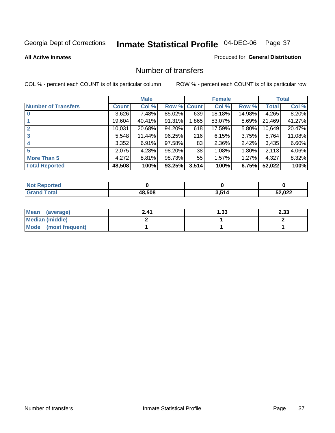#### **All Active Inmates**

#### Produced for **General Distribution**

## Number of transfers

|                            |         | <b>Male</b> |        |              | <b>Female</b> |          |              | <b>Total</b> |
|----------------------------|---------|-------------|--------|--------------|---------------|----------|--------------|--------------|
| <b>Number of Transfers</b> | Count l | Col %       | Row %  | <b>Count</b> | Col %         | Row %    | <b>Total</b> | Col %        |
|                            | 3,626   | $7.48\%$    | 85.02% | 639          | 18.18%        | 14.98%   | 4,265        | 8.20%        |
|                            | 19,604  | 40.41%      | 91.31% | .865         | 53.07%        | $8.69\%$ | 21,469       | 41.27%       |
|                            | 10,031  | 20.68%      | 94.20% | 618          | 17.59%        | 5.80%    | 10,649       | 20.47%       |
| 3                          | 5,548   | 11.44%      | 96.25% | 216          | 6.15%         | $3.75\%$ | 5,764        | 11.08%       |
|                            | 3,352   | 6.91%       | 97.58% | 83           | 2.36%         | $2.42\%$ | 3,435        | 6.60%        |
| 5                          | 2,075   | 4.28%       | 98.20% | 38           | 1.08%         | $1.80\%$ | 2,113        | 4.06%        |
| <b>More Than 5</b>         | 4,272   | 8.81%       | 98.73% | 55           | 1.57%         | 1.27%    | 4,327        | 8.32%        |
| <b>Total Reported</b>      | 48,508  | 100%        | 93.25% | 3,514        | 100%          | 6.75%    | 52,022       | 100%         |

| N         |              |      |                   |
|-----------|--------------|------|-------------------|
| $\sim$ 10 | <b>48508</b> | E4 A | $\sim$<br>,<br>__ |

| Mean (average)       | 2.41 | l.33 | 2.33 |
|----------------------|------|------|------|
| Median (middle)      |      |      |      |
| Mode (most frequent) |      |      |      |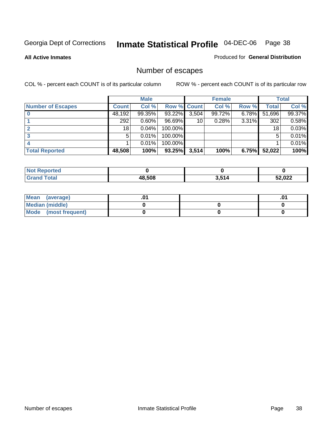**All Active Inmates**

#### Produced for **General Distribution**

# Number of escapes

|                          |              | <b>Male</b> |                    |       | <b>Female</b> |       |        | <b>Total</b> |
|--------------------------|--------------|-------------|--------------------|-------|---------------|-------|--------|--------------|
| <b>Number of Escapes</b> | <b>Count</b> | Col %       | <b>Row % Count</b> |       | Col %         | Row % | Total  | Col %        |
|                          | 48,192       | $99.35\%$   | 93.22%             | 3,504 | 99.72%        | 6.78% | 51,696 | 99.37%       |
|                          | 292          | 0.60%       | 96.69%             | 10    | 0.28%         | 3.31% | 302    | 0.58%        |
|                          | 18           | 0.04%       | 100.00%            |       |               |       | 18     | 0.03%        |
|                          | 5            | 0.01%       | 100.00%            |       |               |       | 5      | 0.01%        |
|                          |              | 0.01%       | $100.00\%$         |       |               |       |        | 0.01%        |
| <b>Total Reported</b>    | 48,508       | 100%        | 93.25%             | 3,514 | 100%          | 6.75% | 52,022 | 100%         |

| <b>Not Reported</b> |      |       |      |
|---------------------|------|-------|------|
|                     | .508 | 3,514 | ,022 |

| Mean (average)       |  | ו ש. |
|----------------------|--|------|
| Median (middle)      |  |      |
| Mode (most frequent) |  |      |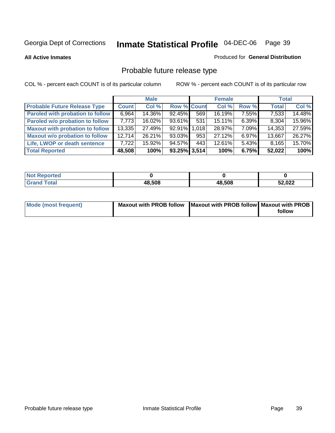**All Active Inmates**

#### Produced for **General Distribution**

# Probable future release type

|                                         |              | <b>Male</b> |                    |     | <b>Female</b> |          | <b>Total</b> |        |
|-----------------------------------------|--------------|-------------|--------------------|-----|---------------|----------|--------------|--------|
| <b>Probable Future Release Type</b>     | <b>Count</b> | Col %       | <b>Row % Count</b> |     | Col %         | Row %    | <b>Total</b> | Col %  |
| <b>Paroled with probation to follow</b> | 6,964        | 14.36%      | 92.45%             | 569 | 16.19%        | $7.55\%$ | 7,533        | 14.48% |
| Paroled w/o probation to follow         | 7.773        | $16.02\%$   | 93.61%             | 531 | $15.11\%$     | 6.39%    | 8,304        | 15.96% |
| <b>Maxout with probation to follow</b>  | 13,335       | 27.49%      | 92.91% 1.018       |     | 28.97%        | 7.09%    | 14,353       | 27.59% |
| <b>Maxout w/o probation to follow</b>   | 12.714       | 26.21%      | 93.03%             | 953 | 27.12%        | $6.97\%$ | 13,667       | 26.27% |
| Life, LWOP or death sentence            | 7,722        | 15.92%      | 94.57%             | 443 | 12.61%        | $5.43\%$ | 8,165        | 15.70% |
| <b>Total Reported</b>                   | 48,508       | 100%        | $93.25\%$ 3,514    |     | 100%          | 6.75%    | 52,022       | 100%   |

| <b>Not</b><br>Reported       |        |        |        |
|------------------------------|--------|--------|--------|
| <b>Total</b><br><b>Grand</b> | 48,508 | 48,508 | 52,022 |

| Mode (most frequent) | Maxout with PROB follow   Maxout with PROB follow   Maxout with PROB |        |
|----------------------|----------------------------------------------------------------------|--------|
|                      |                                                                      | follow |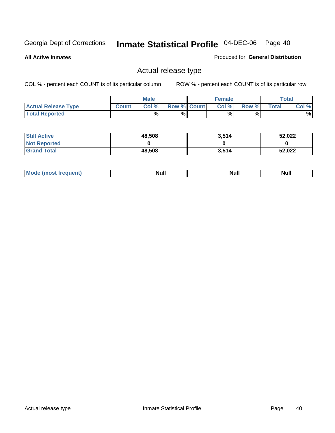**All Active Inmates**

Produced for **General Distribution**

# Actual release type

|                            |              | <b>Male</b> |                    | <b>Female</b> |        |       | $\tau$ otal |
|----------------------------|--------------|-------------|--------------------|---------------|--------|-------|-------------|
| <b>Actual Release Type</b> | <b>Count</b> | Col %       | <b>Row % Count</b> | Col %         | Row %I | Total | Col %       |
| <b>Total Reported</b>      |              | %           | %                  | %             | %      |       | %           |

| <b>Still Active</b> | 48,508 | 3,514 | 52,022 |
|---------------------|--------|-------|--------|
| <b>Not Reported</b> |        |       |        |
| <b>Grand Total</b>  | 48,508 | 3,514 | 52,022 |

| īМ | м.<br>$-$ - $-$ - $-$ - $-$ | Null | $\cdots$ |
|----|-----------------------------|------|----------|
|    |                             |      |          |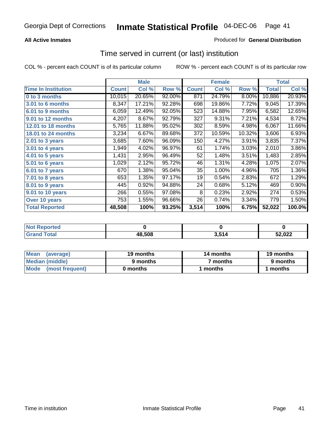### **All Active Inmates**

### Produced for **General Distribution**

## Time served in current (or last) institution

|                            |              | <b>Male</b> |        |              | <b>Female</b> |        |              | <b>Total</b> |
|----------------------------|--------------|-------------|--------|--------------|---------------|--------|--------------|--------------|
| <b>Time In Institution</b> | <b>Count</b> | Col %       | Row %  | <b>Count</b> | Col %         | Row %  | <b>Total</b> | Col %        |
| 0 to 3 months              | 10,015       | 20.65%      | 92.00% | 871          | 24.79%        | 8.00%  | 10,886       | 20.93%       |
| <b>3.01 to 6 months</b>    | 8,347        | 17.21%      | 92.28% | 698          | 19.86%        | 7.72%  | 9,045        | 17.39%       |
| 6.01 to 9 months           | 6,059        | 12.49%      | 92.05% | 523          | 14.88%        | 7.95%  | 6,582        | 12.65%       |
| 9.01 to 12 months          | 4,207        | 8.67%       | 92.79% | 327          | 9.31%         | 7.21%  | 4,534        | 8.72%        |
| <b>12.01 to 18 months</b>  | 5,765        | 11.88%      | 95.02% | 302          | 8.59%         | 4.98%  | 6,067        | 11.66%       |
| <b>18.01 to 24 months</b>  | 3,234        | 6.67%       | 89.68% | 372          | 10.59%        | 10.32% | 3,606        | 6.93%        |
| 2.01 to 3 years            | 3,685        | 7.60%       | 96.09% | 150          | 4.27%         | 3.91%  | 3,835        | 7.37%        |
| 3.01 to 4 years            | 1,949        | 4.02%       | 96.97% | 61           | 1.74%         | 3.03%  | 2,010        | 3.86%        |
| 4.01 to 5 years            | 1,431        | 2.95%       | 96.49% | 52           | 1.48%         | 3.51%  | 1,483        | 2.85%        |
| 5.01 to 6 years            | 1,029        | 2.12%       | 95.72% | 46           | 1.31%         | 4.28%  | 1,075        | 2.07%        |
| 6.01 to 7 years            | 670          | 1.38%       | 95.04% | 35           | 1.00%         | 4.96%  | 705          | 1.36%        |
| 7.01 to 8 years            | 653          | 1.35%       | 97.17% | 19           | 0.54%         | 2.83%  | 672          | 1.29%        |
| 8.01 to 9 years            | 445          | 0.92%       | 94.88% | 24           | 0.68%         | 5.12%  | 469          | 0.90%        |
| 9.01 to 10 years           | 266          | 0.55%       | 97.08% | 8            | 0.23%         | 2.92%  | 274          | 0.53%        |
| Over 10 years              | 753          | 1.55%       | 96.66% | 26           | 0.74%         | 3.34%  | 779          | 1.50%        |
| <b>Total Reported</b>      | 48,508       | 100%        | 93.25% | 3,514        | 100%          | 6.75%  | 52,022       | 100.0%       |

| <b>Not Reported</b> |        |     |        |
|---------------------|--------|-----|--------|
| $\mathsf{Total}$    | 48,508 | 514 | 52,022 |

| <b>Mean</b><br>(average) | 19 months | 14 months | 19 months |
|--------------------------|-----------|-----------|-----------|
| Median (middle)          | 9 months  | 7 months  | 9 months  |
| Mode<br>(most frequent)  | 0 months  | months    | months    |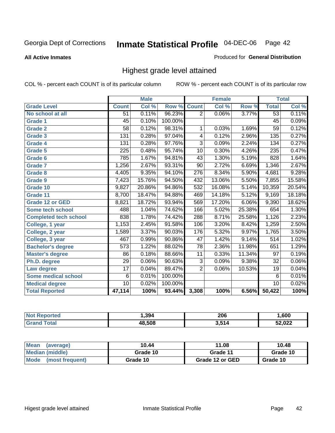#### **All Active Inmates**

#### Produced for **General Distribution**

# Highest grade level attained

|                              |                 | <b>Male</b> |         |                  | <b>Female</b> |        |                  | <b>Total</b> |
|------------------------------|-----------------|-------------|---------|------------------|---------------|--------|------------------|--------------|
| <b>Grade Level</b>           | <b>Count</b>    | Col %       | Row %   | <b>Count</b>     | Col %         | Row %  | <b>Total</b>     | Col %        |
| No school at all             | $\overline{51}$ | 0.11%       | 96.23%  | $\overline{2}$   | 0.06%         | 3.77%  | $\overline{53}$  | 0.11%        |
| Grade 1                      | $\overline{45}$ | 0.10%       | 100.00% |                  |               |        | $\overline{45}$  | 0.09%        |
| <b>Grade 2</b>               | 58              | 0.12%       | 98.31%  | 1                | 0.03%         | 1.69%  | $\overline{59}$  | 0.12%        |
| <b>Grade 3</b>               | 131             | 0.28%       | 97.04%  | 4                | 0.12%         | 2.96%  | 135              | 0.27%        |
| Grade 4                      | 131             | 0.28%       | 97.76%  | $\overline{3}$   | 0.09%         | 2.24%  | 134              | 0.27%        |
| Grade 5                      | 225             | 0.48%       | 95.74%  | 10               | 0.30%         | 4.26%  | 235              | 0.47%        |
| Grade 6                      | 785             | 1.67%       | 94.81%  | 43               | 1.30%         | 5.19%  | 828              | 1.64%        |
| <b>Grade 7</b>               | 1,256           | 2.67%       | 93.31%  | 90               | 2.72%         | 6.69%  | 1,346            | 2.67%        |
| <b>Grade 8</b>               | 4,405           | 9.35%       | 94.10%  | $\overline{276}$ | 8.34%         | 5.90%  | 4,681            | 9.28%        |
| Grade 9                      | 7,423           | 15.76%      | 94.50%  | 432              | 13.06%        | 5.50%  | 7,855            | 15.58%       |
| Grade 10                     | 9,827           | 20.86%      | 94.86%  | 532              | 16.08%        | 5.14%  | 10,359           | 20.54%       |
| Grade 11                     | 8,700           | 18.47%      | 94.88%  | 469              | 14.18%        | 5.12%  | 9,169            | 18.18%       |
| <b>Grade 12 or GED</b>       | 8,821           | 18.72%      | 93.94%  | 569              | 17.20%        | 6.06%  | 9,390            | 18.62%       |
| <b>Some tech school</b>      | 488             | 1.04%       | 74.62%  | 166              | 5.02%         | 25.38% | 654              | 1.30%        |
| <b>Completed tech school</b> | 838             | 1.78%       | 74.42%  | 288              | 8.71%         | 25.58% | 1,126            | 2.23%        |
| College, 1 year              | 1,153           | 2.45%       | 91.58%  | 106              | 3.20%         | 8.42%  | 1,259            | 2.50%        |
| College, 2 year              | 1,589           | 3.37%       | 90.03%  | 176              | 5.32%         | 9.97%  | 1,765            | 3.50%        |
| College, 3 year              | 467             | 0.99%       | 90.86%  | $\overline{47}$  | 1.42%         | 9.14%  | $\overline{514}$ | 1.02%        |
| <b>Bachelor's degree</b>     | 573             | 1.22%       | 88.02%  | $\overline{78}$  | 2.36%         | 11.98% | 651              | 1.29%        |
| <b>Master's degree</b>       | 86              | 0.18%       | 88.66%  | 11               | 0.33%         | 11.34% | 97               | 0.19%        |
| Ph.D. degree                 | 29              | 0.06%       | 90.63%  | $\overline{3}$   | 0.09%         | 9.38%  | 32               | $0.06\%$     |
| Law degree                   | $\overline{17}$ | 0.04%       | 89.47%  | $\overline{2}$   | 0.06%         | 10.53% | 19               | 0.04%        |
| <b>Some medical school</b>   | 6               | 0.01%       | 100.00% |                  |               |        | 6                | 0.01%        |
| <b>Medical degree</b>        | $\overline{10}$ | 0.02%       | 100.00% |                  |               |        | 10               | 0.02%        |
| <b>Total Reported</b>        | 47,114          | 100%        | 93.44%  | 3,308            | 100%          | 6.56%  | 50,422           | 100%         |

| .394   | 206  | .600          |
|--------|------|---------------|
| 18.508 | .514 | ממח ה:<br>UZL |

| <b>Mean</b><br>(average)       | 10.44    | 11.08           | 10.48    |
|--------------------------------|----------|-----------------|----------|
| Median (middle)                | Grade 10 | Grade 11        | Grade 10 |
| <b>Mode</b><br>(most frequent) | Grade 10 | Grade 12 or GED | Grade 10 |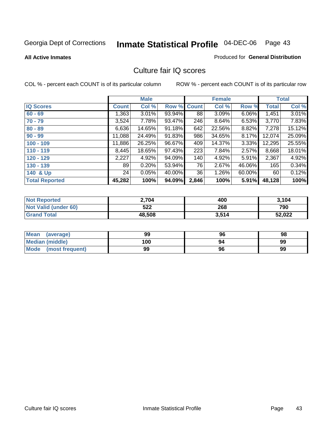#### **All Active Inmates**

#### Produced for **General Distribution**

## Culture fair IQ scores

|                       |              | <b>Male</b> |        |              | <b>Female</b> |        |              | <b>Total</b> |
|-----------------------|--------------|-------------|--------|--------------|---------------|--------|--------------|--------------|
| <b>IQ Scores</b>      | <b>Count</b> | Col %       | Row %  | <b>Count</b> | Col %         | Row %  | <b>Total</b> | Col %        |
| $60 - 69$             | 1,363        | 3.01%       | 93.94% | 88           | 3.09%         | 6.06%  | 1,451        | 3.01%        |
| $70 - 79$             | 3,524        | 7.78%       | 93.47% | 246          | 8.64%         | 6.53%  | 3,770        | 7.83%        |
| $80 - 89$             | 6,636        | 14.65%      | 91.18% | 642          | 22.56%        | 8.82%  | 7,278        | 15.12%       |
| $90 - 99$             | 11,088       | 24.49%      | 91.83% | 986          | 34.65%        | 8.17%  | 12,074       | 25.09%       |
| $100 - 109$           | 11,886       | 26.25%      | 96.67% | 409          | 14.37%        | 3.33%  | 12,295       | 25.55%       |
| $110 - 119$           | 8,445        | 18.65%      | 97.43% | 223          | 7.84%         | 2.57%  | 8,668        | 18.01%       |
| $120 - 129$           | 2,227        | 4.92%       | 94.09% | 140          | 4.92%         | 5.91%  | 2,367        | 4.92%        |
| $130 - 139$           | 89           | 0.20%       | 53.94% | 76           | 2.67%         | 46.06% | 165          | 0.34%        |
| 140 & Up              | 24           | 0.05%       | 40.00% | 36           | 1.26%         | 60.00% | 60           | 0.12%        |
| <b>Total Reported</b> | 45,282       | 100%        | 94.09% | 2,846        | 100%          | 5.91%  | 48,128       | 100%         |

| <b>Not Reported</b>  | 2,704  | 400   | 3,104  |
|----------------------|--------|-------|--------|
| Not Valid (under 60) | 522    | 268   | 790    |
| <b>Grand Total</b>   | 48,508 | 3,514 | 52,022 |

| <b>Mean</b><br>(average) | 99  | 96 | 98 |
|--------------------------|-----|----|----|
| Median (middle)          | 100 | 94 | 99 |
| Mode (most frequent)     | 99  | 96 | 99 |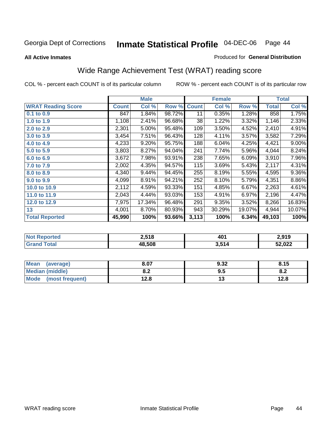#### **All Active Inmates**

#### Produced for **General Distribution**

# Wide Range Achievement Test (WRAT) reading score

|                           |              | <b>Male</b> |        |              | <b>Female</b> |        |              | <b>Total</b> |
|---------------------------|--------------|-------------|--------|--------------|---------------|--------|--------------|--------------|
| <b>WRAT Reading Score</b> | <b>Count</b> | Col %       | Row %  | <b>Count</b> | Col %         | Row %  | <b>Total</b> | Col %        |
| 0.1 to 0.9                | 847          | 1.84%       | 98.72% | 11           | 0.35%         | 1.28%  | 858          | 1.75%        |
| 1.0 to 1.9                | 1,108        | 2.41%       | 96.68% | 38           | 1.22%         | 3.32%  | 1,146        | 2.33%        |
| 2.0 to 2.9                | 2,301        | 5.00%       | 95.48% | 109          | 3.50%         | 4.52%  | 2,410        | 4.91%        |
| 3.0 to 3.9                | 3,454        | 7.51%       | 96.43% | 128          | 4.11%         | 3.57%  | 3,582        | 7.29%        |
| 4.0 to 4.9                | 4,233        | 9.20%       | 95.75% | 188          | 6.04%         | 4.25%  | 4,421        | $9.00\%$     |
| 5.0 to 5.9                | 3,803        | 8.27%       | 94.04% | 241          | 7.74%         | 5.96%  | 4,044        | 8.24%        |
| 6.0 to 6.9                | 3,672        | 7.98%       | 93.91% | 238          | 7.65%         | 6.09%  | 3,910        | 7.96%        |
| 7.0 to 7.9                | 2,002        | 4.35%       | 94.57% | 115          | 3.69%         | 5.43%  | 2,117        | 4.31%        |
| 8.0 to 8.9                | 4,340        | 9.44%       | 94.45% | 255          | 8.19%         | 5.55%  | 4,595        | $9.36\%$     |
| 9.0 to 9.9                | 4,099        | 8.91%       | 94.21% | 252          | 8.10%         | 5.79%  | 4,351        | 8.86%        |
| 10.0 to 10.9              | 2,112        | 4.59%       | 93.33% | 151          | 4.85%         | 6.67%  | 2,263        | 4.61%        |
| 11.0 to 11.9              | 2,043        | 4.44%       | 93.03% | 153          | 4.91%         | 6.97%  | 2,196        | 4.47%        |
| 12.0 to 12.9              | 7,975        | 17.34%      | 96.48% | 291          | 9.35%         | 3.52%  | 8,266        | 16.83%       |
| 13                        | 4,001        | 8.70%       | 80.93% | 943          | 30.29%        | 19.07% | 4,944        | 10.07%       |
| <b>Total Reported</b>     | 45,990       | 100%        | 93.66% | 3,113        | 100%          | 6.34%  | 49,103       | 100%         |

| <b>orted</b><br>NO.         | 2,518  | 401   | 2.919  |
|-----------------------------|--------|-------|--------|
| <b>otal</b><br><b>Grand</b> | 48.508 | 3,514 | 52,022 |

| <b>Mean</b><br>(average) | 8.07       | 9.32 | 8.15 |
|--------------------------|------------|------|------|
| <b>Median (middle)</b>   | י ה<br>0.Z | ຩ.   | o.z  |
| Mode<br>(most frequent)  | 12.8       | . .  | 12.8 |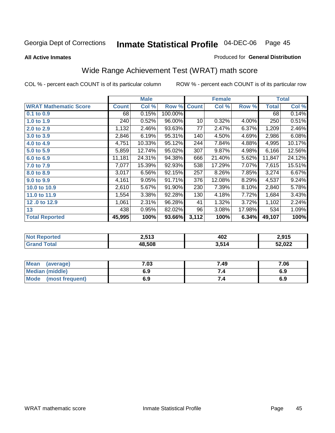**All Active Inmates**

#### Produced for **General Distribution**

# Wide Range Achievement Test (WRAT) math score

|                              |              | <b>Male</b> |         |              | <b>Female</b> |        |              | <b>Total</b> |
|------------------------------|--------------|-------------|---------|--------------|---------------|--------|--------------|--------------|
| <b>WRAT Mathematic Score</b> | <b>Count</b> | Col %       | Row %   | <b>Count</b> | Col %         | Row %  | <b>Total</b> | Col %        |
| $0.1$ to $0.9$               | 68           | 0.15%       | 100.00% |              |               |        | 68           | 0.14%        |
| 1.0 to 1.9                   | 240          | 0.52%       | 96.00%  | 10           | 0.32%         | 4.00%  | 250          | 0.51%        |
| 2.0 to 2.9                   | 1,132        | 2.46%       | 93.63%  | 77           | 2.47%         | 6.37%  | 1,209        | 2.46%        |
| 3.0 to 3.9                   | 2,846        | 6.19%       | 95.31%  | 140          | 4.50%         | 4.69%  | 2,986        | 6.08%        |
| 4.0 to 4.9                   | 4,751        | 10.33%      | 95.12%  | 244          | 7.84%         | 4.88%  | 4,995        | 10.17%       |
| 5.0 to 5.9                   | 5,859        | 12.74%      | 95.02%  | 307          | 9.87%         | 4.98%  | 6,166        | 12.56%       |
| 6.0 to 6.9                   | 11,181       | 24.31%      | 94.38%  | 666          | 21.40%        | 5.62%  | 11,847       | 24.12%       |
| 7.0 to 7.9                   | 7,077        | 15.39%      | 92.93%  | 538          | 17.29%        | 7.07%  | 7,615        | 15.51%       |
| 8.0 to 8.9                   | 3,017        | 6.56%       | 92.15%  | 257          | 8.26%         | 7.85%  | 3,274        | 6.67%        |
| 9.0 to 9.9                   | 4,161        | 9.05%       | 91.71%  | 376          | 12.08%        | 8.29%  | 4,537        | 9.24%        |
| 10.0 to 10.9                 | 2,610        | 5.67%       | 91.90%  | 230          | 7.39%         | 8.10%  | 2,840        | 5.78%        |
| 11.0 to 11.9                 | 1,554        | 3.38%       | 92.28%  | 130          | 4.18%         | 7.72%  | 1,684        | 3.43%        |
| 12.0 to 12.9                 | 1,061        | 2.31%       | 96.28%  | 41           | 1.32%         | 3.72%  | 1,102        | 2.24%        |
| 13                           | 438          | 0.95%       | 82.02%  | 96           | 3.08%         | 17.98% | 534          | 1.09%        |
| <b>Total Reported</b>        | 45,995       | 100%        | 93.66%  | 3,112        | 100%          | 6.34%  | 49,107       | 100%         |

| 2,513  | 402<br>$ -$ | ን 015<br>2.J I J |
|--------|-------------|------------------|
| 48.508 | 3,514       | 52,022           |

| <b>Mean</b><br>(average)       | 7.03 | 7.49 | 7.06 |
|--------------------------------|------|------|------|
| <b>Median (middle)</b>         | 6.9  |      | 6.9  |
| <b>Mode</b><br>(most frequent) | 6.9  | 7.4  | 6.9  |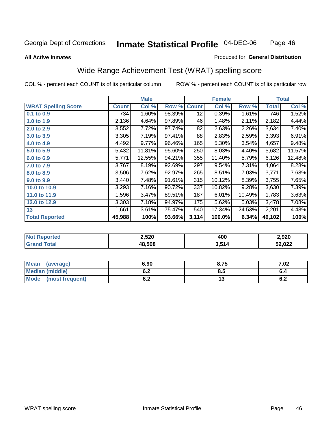#### **All Active Inmates**

#### Produced for **General Distribution**

# Wide Range Achievement Test (WRAT) spelling score

|                            |              | <b>Male</b> |        |              | <b>Female</b> |        |              | <b>Total</b> |
|----------------------------|--------------|-------------|--------|--------------|---------------|--------|--------------|--------------|
| <b>WRAT Spelling Score</b> | <b>Count</b> | Col %       | Row %  | <b>Count</b> | Col %         | Row %  | <b>Total</b> | Col %        |
| 0.1 to 0.9                 | 7341         | 1.60%       | 98.39% | 12           | 0.39%         | 1.61%  | 746          | 1.52%        |
| 1.0 to 1.9                 | 2,136        | 4.64%       | 97.89% | 46           | 1.48%         | 2.11%  | 2,182        | 4.44%        |
| 2.0 to 2.9                 | 3,552        | 7.72%       | 97.74% | 82           | 2.63%         | 2.26%  | 3,634        | 7.40%        |
| 3.0 to 3.9                 | 3,305        | 7.19%       | 97.41% | 88           | 2.83%         | 2.59%  | 3,393        | 6.91%        |
| 4.0 to 4.9                 | 4,492        | 9.77%       | 96.46% | 165          | 5.30%         | 3.54%  | 4,657        | 9.48%        |
| 5.0 to 5.9                 | 5,432        | 11.81%      | 95.60% | 250          | 8.03%         | 4.40%  | 5,682        | 11.57%       |
| 6.0 to 6.9                 | 5,771        | 12.55%      | 94.21% | 355          | 11.40%        | 5.79%  | 6,126        | 12.48%       |
| 7.0 to 7.9                 | 3,767        | 8.19%       | 92.69% | 297          | 9.54%         | 7.31%  | 4,064        | 8.28%        |
| 8.0 to 8.9                 | 3,506        | 7.62%       | 92.97% | 265          | 8.51%         | 7.03%  | 3,771        | 7.68%        |
| 9.0 to 9.9                 | 3,440        | 7.48%       | 91.61% | 315          | 10.12%        | 8.39%  | 3,755        | 7.65%        |
| 10.0 to 10.9               | 3,293        | 7.16%       | 90.72% | 337          | 10.82%        | 9.28%  | 3,630        | 7.39%        |
| 11.0 to 11.9               | 1,596        | 3.47%       | 89.51% | 187          | 6.01%         | 10.49% | 1,783        | 3.63%        |
| 12.0 to 12.9               | 3,303        | 7.18%       | 94.97% | 175          | 5.62%         | 5.03%  | 3,478        | 7.08%        |
| 13                         | 1,661        | 3.61%       | 75.47% | 540          | 17.34%        | 24.53% | 2,201        | 4.48%        |
| <b>Total Reported</b>      | 45,988       | 100%        | 93.66% | 3,114        | 100.0%        | 6.34%  | 49,102       | 100%         |

| NG | 2,520  | 400   | 2,920  |
|----|--------|-------|--------|
|    | 18.508 | 3,514 | 52,022 |

| <b>Mean</b><br>(average)       | 6.90       | 8.75 | 7.02 |
|--------------------------------|------------|------|------|
| <b>Median (middle)</b>         | ο.Ζ        | ბ.მ  |      |
| <b>Mode</b><br>(most frequent) | . .<br>U.Z | . J  | ν.Ζ  |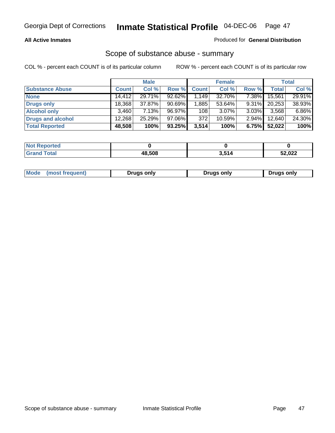#### **All Active Inmates**

### Produced for **General Distribution**

### Scope of substance abuse - summary

|                        |              | <b>Male</b> |           |              | <b>Female</b> |          |              | <b>Total</b> |
|------------------------|--------------|-------------|-----------|--------------|---------------|----------|--------------|--------------|
| <b>Substance Abuse</b> | <b>Count</b> | Col %       | Row %     | <b>Count</b> | Col %         | Row %    | <b>Total</b> | Col %        |
| <b>None</b>            | 14.412       | 29.71%      | 92.62%    | .149         | 32.70%        | $7.38\%$ | 15,561       | 29.91%       |
| <b>Drugs only</b>      | 18,368       | 37.87%      | $90.69\%$ | 1,885        | 53.64%        | $9.31\%$ | 20,253       | 38.93%       |
| <b>Alcohol only</b>    | 3.460        | 7.13%       | 96.97%    | 108          | $3.07\%$      | $3.03\%$ | 3,568        | 6.86%        |
| Drugs and alcohol      | 12,268       | $25.29\%$   | 97.06%    | 372          | 10.59%        | $2.94\%$ | 12,640       | 24.30%       |
| <b>Total Reported</b>  | 48,508       | 100%        | 93.25%    | 3,514        | 100%          | 6.75%    | 52,022       | 100%         |

| <b>Not</b><br><b>Reported</b> |        |     |        |
|-------------------------------|--------|-----|--------|
| <b>Total</b><br><b>Grand</b>  | 48.508 | 514 | 52,022 |

| Drugs only | Mode<br>(most frequent) | Drugs only | Drugs only |
|------------|-------------------------|------------|------------|
|------------|-------------------------|------------|------------|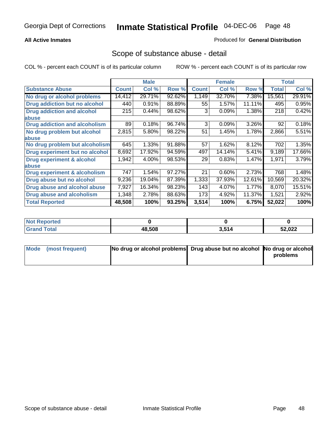### **All Active Inmates**

### Produced for **General Distribution**

### Scope of substance abuse - detail

|                                      |              | <b>Male</b> |        |              | <b>Female</b> |        |              | <b>Total</b> |
|--------------------------------------|--------------|-------------|--------|--------------|---------------|--------|--------------|--------------|
| <b>Substance Abuse</b>               | <b>Count</b> | Col %       | Row %  | <b>Count</b> | Col %         | Row %  | <b>Total</b> | Col %        |
| No drug or alcohol problems          | 14,412       | 29.71%      | 92.62% | 1,149        | 32.70%        | 7.38%  | 15,561       | 29.91%       |
| Drug addiction but no alcohol        | 440          | 0.91%       | 88.89% | 55           | 1.57%         | 11.11% | 495          | 0.95%        |
| <b>Drug addiction and alcohol</b>    | 215          | 0.44%       | 98.62% | 3            | 0.09%         | 1.38%  | 218          | 0.42%        |
| <b>labuse</b>                        |              |             |        |              |               |        |              |              |
| <b>Drug addiction and alcoholism</b> | 89           | 0.18%       | 96.74% | 3            | 0.09%         | 3.26%  | 92           | 0.18%        |
| No drug problem but alcohol          | 2,815        | 5.80%       | 98.22% | 51           | 1.45%         | 1.78%  | 2,866        | 5.51%        |
| abuse                                |              |             |        |              |               |        |              |              |
| No drug problem but alcoholism       | 645          | 1.33%       | 91.88% | 57           | 1.62%         | 8.12%  | 702          | 1.35%        |
| Drug experiment but no alcohol       | 8,692        | 17.92%      | 94.59% | 497          | 14.14%        | 5.41%  | 9,189        | 17.66%       |
| <b>Drug experiment &amp; alcohol</b> | 1,942        | 4.00%       | 98.53% | 29           | 0.83%         | 1.47%  | 1,971        | 3.79%        |
| abuse                                |              |             |        |              |               |        |              |              |
| Drug experiment & alcoholism         | 747          | 1.54%       | 97.27% | 21           | 0.60%         | 2.73%  | 768          | 1.48%        |
| Drug abuse but no alcohol            | 9,236        | 19.04%      | 87.39% | 1,333        | 37.93%        | 12.61% | 10,569       | 20.32%       |
| Drug abuse and alcohol abuse         | 7,927        | 16.34%      | 98.23% | 143          | 4.07%         | 1.77%  | 8,070        | 15.51%       |
| Drug abuse and alcoholism            | 1,348        | 2.78%       | 88.63% | 173          | 4.92%         | 11.37% | 1,521        | 2.92%        |
| <b>Total Reported</b>                | 48,508       | 100%        | 93.25% | 3,514        | 100%          | 6.75%  | 52,022       | 100%         |

| <b>Not Reported</b> |        |               |        |
|---------------------|--------|---------------|--------|
| 'otal               | 48.508 | 514<br>וי טוט | 52,022 |

| Mode (most frequent) | No drug or alcohol problems Drug abuse but no alcohol No drug or alcohol |          |
|----------------------|--------------------------------------------------------------------------|----------|
|                      |                                                                          | problems |
|                      |                                                                          |          |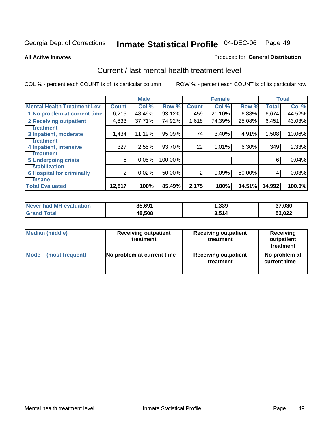#### **All Active Inmates**

#### Produced for **General Distribution**

## Current / last mental health treatment level

|                                    |              | <b>Male</b> |         |              | <b>Female</b> |          |              | <b>Total</b> |
|------------------------------------|--------------|-------------|---------|--------------|---------------|----------|--------------|--------------|
| <b>Mental Health Treatment Lev</b> | <b>Count</b> | Col %       | Row %   | <b>Count</b> | Col%          | Row %    | <b>Total</b> | Col%         |
| 1 No problem at current time       | 6,215        | 48.49%      | 93.12%  | 459          | 21.10%        | $6.88\%$ | 6,674        | 44.52%       |
| <b>2 Receiving outpatient</b>      | 4,833        | 37.71%      | 74.92%  | 1,618        | 74.39%        | 25.08%   | 6,451        | 43.03%       |
| treatment                          |              |             |         |              |               |          |              |              |
| 3 Inpatient, moderate              | 1,434        | 11.19%      | 95.09%  | 74           | 3.40%         | 4.91%    | 1,508        | 10.06%       |
| treatment                          |              |             |         |              |               |          |              |              |
| 4 Inpatient, intensive             | 327          | 2.55%       | 93.70%  | 22           | 1.01%         | 6.30%    | 349          | 2.33%        |
| treatment                          |              |             |         |              |               |          |              |              |
| <b>5 Undergoing crisis</b>         | 6            | 0.05%       | 100.00% |              |               |          | 6            | 0.04%        |
| stabilization                      |              |             |         |              |               |          |              |              |
| <b>6 Hospital for criminally</b>   | 2            | 0.02%       | 50.00%  | 2            | 0.09%         | 50.00%   | 4            | 0.03%        |
| insane                             |              |             |         |              |               |          |              |              |
| <b>Total Evaluated</b>             | 12,817       | 100%        | 85.49%  | 2,175        | 100%          | 14.51%   | 14,992       | 100.0%       |

| Never had MH evaluation | 35,691 | 339, ا | 37,030 |
|-------------------------|--------|--------|--------|
| <b>Grand Total</b>      | 48,508 | 3,514  | 52,022 |

| Median (middle) | <b>Receiving outpatient</b><br>treatment | <b>Receiving outpatient</b><br>treatment | <b>Receiving</b><br>outpatient<br>treatment |
|-----------------|------------------------------------------|------------------------------------------|---------------------------------------------|
| Mode            | No problem at current time               | <b>Receiving outpatient</b>              | No problem at                               |
| (most frequent) |                                          | treatment                                | current time                                |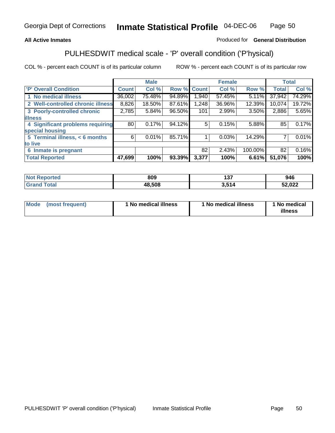### **All Active Inmates**

### Produced for **General Distribution**

# PULHESDWIT medical scale - 'P' overall condition ('P'hysical)

|                                   |                 | <b>Male</b> |        |              | <b>Female</b> |         |              | <b>Total</b> |
|-----------------------------------|-----------------|-------------|--------|--------------|---------------|---------|--------------|--------------|
| 'P' Overall Condition             | <b>Count</b>    | Col %       | Row %  | <b>Count</b> | Col %         | Row %   | <b>Total</b> | Col %        |
| 1 No medical illness              | 36,002          | 75.48%      | 94.89% | 1,940        | 57.45%        | 5.11%   | 37,942       | 74.29%       |
| 2 Well-controlled chronic illness | 8,826           | 18.50%      | 87.61% | 1,248        | 36.96%        | 12.39%  | 10,074       | 19.72%       |
| 3 Poorly-controlled chronic       | 2,785           | 5.84%       | 96.50% | 101          | 2.99%         | 3.50%   | 2,886        | 5.65%        |
| <b>illness</b>                    |                 |             |        |              |               |         |              |              |
| 4 Significant problems requiring  | 80 <sub>1</sub> | 0.17%       | 94.12% | 5            | 0.15%         | 5.88%   | 85           | 0.17%        |
| special housing                   |                 |             |        |              |               |         |              |              |
| 5 Terminal illness, < 6 months    | 6               | 0.01%       | 85.71% |              | 0.03%         | 14.29%  |              | 0.01%        |
| to live                           |                 |             |        |              |               |         |              |              |
| 6 Inmate is pregnant              |                 |             |        | 82           | 2.43%         | 100.00% | 82           | 0.16%        |
| <b>Total Reported</b>             | 47,699          | 100%        | 93.39% | 3,377        | 100%          | 6.61%   | 51,076       | 100%         |

| <b>Not</b><br>Reported       | 809    | ィヘラ<br>וטו   | 946    |
|------------------------------|--------|--------------|--------|
| <b>Total</b><br><b>Grand</b> | 48,508 | E4 A<br>רויט | 52,022 |

| Mode (most frequent) | 1 No medical illness | 1 No medical illness | 1 No medical |
|----------------------|----------------------|----------------------|--------------|
|                      |                      |                      | illness      |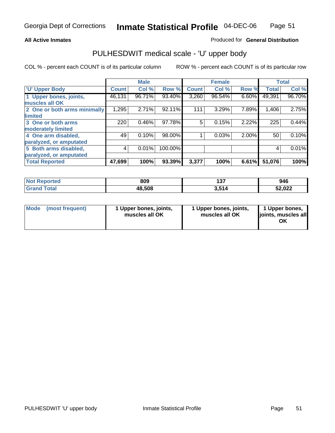#### **All Active Inmates**

#### Produced for **General Distribution**

## PULHESDWIT medical scale - 'U' upper body

|                              |              | <b>Male</b> |         |              | <b>Female</b> |       |              | <b>Total</b> |
|------------------------------|--------------|-------------|---------|--------------|---------------|-------|--------------|--------------|
| <b>U' Upper Body</b>         | <b>Count</b> | Col %       | Row %   | <b>Count</b> | Col %         | Row % | <b>Total</b> | Col %        |
| 1 Upper bones, joints,       | 46,131       | 96.71%      | 93.40%  | 3,260        | 96.54%        | 6.60% | 49,391       | 96.70%       |
| muscles all OK               |              |             |         |              |               |       |              |              |
| 2 One or both arms minimally | 1,295        | 2.71%       | 92.11%  | 111          | 3.29%         | 7.89% | 1,406        | 2.75%        |
| limited                      |              |             |         |              |               |       |              |              |
| 3 One or both arms           | 220          | 0.46%       | 97.78%  | 5            | 0.15%         | 2.22% | 225          | 0.44%        |
| moderately limited           |              |             |         |              |               |       |              |              |
| 4 One arm disabled,          | 49           | 0.10%       | 98.00%  |              | 0.03%         | 2.00% | 50           | 0.10%        |
| paralyzed, or amputated      |              |             |         |              |               |       |              |              |
| 5 Both arms disabled,        | 4            | 0.01%       | 100.00% |              |               |       | 4            | 0.01%        |
| paralyzed, or amputated      |              |             |         |              |               |       |              |              |
| <b>Total Reported</b>        | 47,699       | 100%        | 93.39%  | 3,377        | 100%          | 6.61% | 51,076       | 100%         |

| <b>Not</b><br><b>rted</b> | 809    | ィクフ<br>וטו  | 946    |
|---------------------------|--------|-------------|--------|
| $T0$ tal                  | 48,508 | E4 A<br>J.J | 52,022 |

| <b>Mode</b> | (most frequent) | 1 Upper bones, joints,<br>muscles all OK | 1 Upper bones, joints,<br>muscles all OK | 1 Upper bones,<br>joints, muscles all<br>ΟK |
|-------------|-----------------|------------------------------------------|------------------------------------------|---------------------------------------------|
|-------------|-----------------|------------------------------------------|------------------------------------------|---------------------------------------------|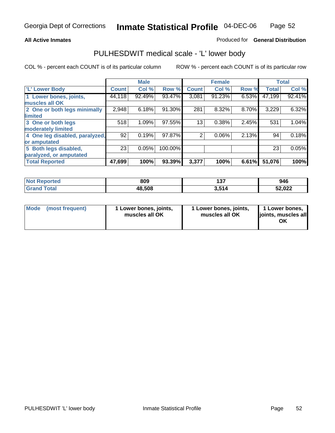#### **All Active Inmates**

### Produced for **General Distribution**

## PULHESDWIT medical scale - 'L' lower body

|                                |              | <b>Male</b> |         |              | <b>Female</b> |       |              | <b>Total</b> |
|--------------------------------|--------------|-------------|---------|--------------|---------------|-------|--------------|--------------|
| 'L' Lower Body                 | <b>Count</b> | Col %       | Row %   | <b>Count</b> | Col %         | Row % | <b>Total</b> | Col %        |
| 1 Lower bones, joints,         | 44,118       | 92.49%      | 93.47%  | 3,081        | 91.23%        | 6.53% | 47,199       | 92.41%       |
| muscles all OK                 |              |             |         |              |               |       |              |              |
| 2 One or both legs minimally   | 2,948        | 6.18%       | 91.30%  | 281          | 8.32%         | 8.70% | 3,229        | 6.32%        |
| limited                        |              |             |         |              |               |       |              |              |
| 3 One or both legs             | 518          | 1.09%       | 97.55%  | 13           | 0.38%         | 2.45% | 531          | 1.04%        |
| moderately limited             |              |             |         |              |               |       |              |              |
| 4 One leg disabled, paralyzed, | 92           | 0.19%       | 97.87%  | 2            | 0.06%         | 2.13% | 94           | 0.18%        |
| or amputated                   |              |             |         |              |               |       |              |              |
| 5 Both legs disabled,          | 23           | 0.05%       | 100.00% |              |               |       | 23           | 0.05%        |
| paralyzed, or amputated        |              |             |         |              |               |       |              |              |
| <b>Total Reported</b>          | 47,699       | 100%        | 93.39%  | 3,377        | 100%          | 6.61% | 51,076       | 100%         |

| <b>Not Reported</b>        | 809    | ィクフ<br>וטו | 946    |
|----------------------------|--------|------------|--------|
| $\tau$ otal<br><b>Gran</b> | 48,508 | 3,514      | 52,022 |

|  | Mode (most frequent) | 1 Lower bones, joints,<br>muscles all OK | 1 Lower bones, joints,<br>muscles all OK | 1 Lower bones,<br>joints, muscles all<br>OK |
|--|----------------------|------------------------------------------|------------------------------------------|---------------------------------------------|
|--|----------------------|------------------------------------------|------------------------------------------|---------------------------------------------|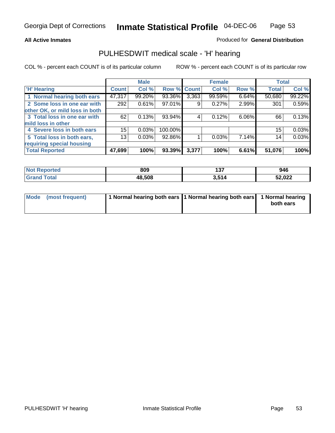#### **All Active Inmates**

### Produced for **General Distribution**

## PULHESDWIT medical scale - 'H' hearing

|                                |              | <b>Male</b> |             |       | <b>Female</b> |          | <b>Total</b> |        |
|--------------------------------|--------------|-------------|-------------|-------|---------------|----------|--------------|--------|
| <b>H'</b> Hearing              | <b>Count</b> | Col %       | Row % Count |       | Col %         | Row %    | <b>Total</b> | Col %  |
| 1 Normal hearing both ears     | 47,317       | 99.20%      | 93.36%      | 3,363 | 99.59%        | 6.64%    | 50,680       | 99.22% |
| 2 Some loss in one ear with    | 292          | 0.61%       | 97.01%      | 9     | 0.27%         | 2.99%    | 301          | 0.59%  |
| other OK, or mild loss in both |              |             |             |       |               |          |              |        |
| 3 Total loss in one ear with   | 62           | 0.13%       | 93.94%      | 4     | 0.12%         | $6.06\%$ | 66           | 0.13%  |
| mild loss in other             |              |             |             |       |               |          |              |        |
| 4 Severe loss in both ears     | 15           | 0.03%       | 100.00%     |       |               |          | 15           | 0.03%  |
| 5 Total loss in both ears,     | 13           | 0.03%       | 92.86%      |       | 0.03%         | 7.14%    | 14           | 0.03%  |
| requiring special housing      |              |             |             |       |               |          |              |        |
| <b>Total Reported</b>          | 47,699       | 100%        | 93.39%      | 3,377 | 100%          | 6.61%    | 51,076       | 100%   |

| orted | 809    | --<br>י טו     | 946              |
|-------|--------|----------------|------------------|
| 'ota  | 48.508 | ) E <i>a A</i> | こへ へへへ<br>32.UZZ |

| Mode (most frequent) | 1 Normal hearing both ears   1 Normal hearing both ears   1 Normal hearing |           |
|----------------------|----------------------------------------------------------------------------|-----------|
|                      |                                                                            | both ears |
|                      |                                                                            |           |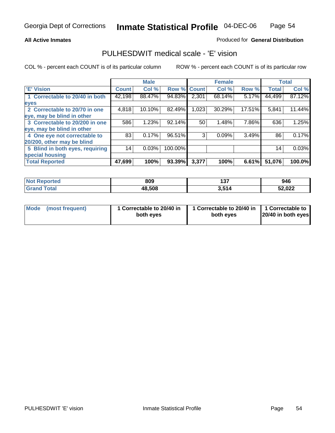#### **All Active Inmates**

### Produced for **General Distribution**

## PULHESDWIT medical scale - 'E' vision

|                                 |              | <b>Male</b> |             |       | <b>Female</b> |        |              | <b>Total</b> |
|---------------------------------|--------------|-------------|-------------|-------|---------------|--------|--------------|--------------|
| 'E' Vision                      | <b>Count</b> | Col %       | Row % Count |       | Col %         | Row %  | <b>Total</b> | Col %        |
| 1 Correctable to 20/40 in both  | 42,198       | 88.47%      | 94.83%      | 2,301 | 68.14%        | 5.17%  | 44,499       | 87.12%       |
| eyes                            |              |             |             |       |               |        |              |              |
| 2 Correctable to 20/70 in one   | 4,818        | 10.10%      | 82.49%      | 1,023 | 30.29%        | 17.51% | 5,841        | 11.44%       |
| eye, may be blind in other      |              |             |             |       |               |        |              |              |
| 3 Correctable to 20/200 in one  | 586          | 1.23%       | 92.14%      | 50    | 1.48%         | 7.86%  | 636          | 1.25%        |
| eye, may be blind in other      |              |             |             |       |               |        |              |              |
| 4 One eye not correctable to    | 83           | 0.17%       | 96.51%      | 3     | 0.09%         | 3.49%  | 86           | 0.17%        |
| 20/200, other may be blind      |              |             |             |       |               |        |              |              |
| 5 Blind in both eyes, requiring | 14           | 0.03%       | 100.00%     |       |               |        | 14           | 0.03%        |
| special housing                 |              |             |             |       |               |        |              |              |
| <b>Total Reported</b>           | 47,699       | 100%        | 93.39%      | 3,377 | 100%          | 6.61%  | 51,076       | 100.0%       |

| <b>Not Reported</b>         | 809    | ィっフ<br>וטו | 946    |
|-----------------------------|--------|------------|--------|
| <b>Total</b><br><b>Gran</b> | 48,508 | 3,514      | 52,022 |

| Mode (most frequent) | 1 Correctable to 20/40 in<br>both eves | 1 Correctable to 20/40 in   1 Correctable to  <br>both eves | 20/40 in both eyes |
|----------------------|----------------------------------------|-------------------------------------------------------------|--------------------|
|----------------------|----------------------------------------|-------------------------------------------------------------|--------------------|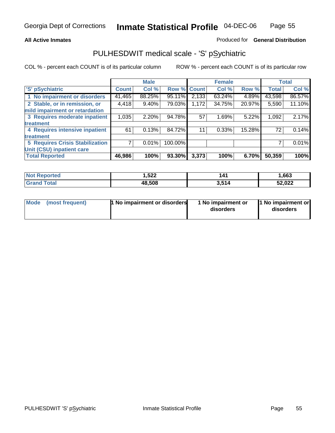#### **All Active Inmates**

#### Produced for **General Distribution**

# PULHESDWIT medical scale - 'S' pSychiatric

|                                        |              | <b>Male</b> |         |              | <b>Female</b> |        |              | <b>Total</b> |
|----------------------------------------|--------------|-------------|---------|--------------|---------------|--------|--------------|--------------|
| 'S' pSychiatric                        | <b>Count</b> | Col %       | Row %   | <b>Count</b> | Col %         | Row %  | <b>Total</b> | Col %        |
| 1 No impairment or disorders           | 41,465       | 88.25%      | 95.11%  | 2,133        | 63.24%        | 4.89%  | 43,598       | 86.57%       |
| 2 Stable, or in remission, or          | 4,418        | $9.40\%$    | 79.03%  | 1,172        | 34.75%        | 20.97% | 5,590        | 11.10%       |
| mild impairment or retardation         |              |             |         |              |               |        |              |              |
| 3 Requires moderate inpatient          | 1,035        | 2.20%       | 94.78%  | 57           | 1.69%         | 5.22%  | 1,092        | 2.17%        |
| treatment                              |              |             |         |              |               |        |              |              |
| 4 Requires intensive inpatient         | 61           | 0.13%       | 84.72%  | 11           | 0.33%         | 15.28% | 72           | 0.14%        |
| treatment                              |              |             |         |              |               |        |              |              |
| <b>5 Requires Crisis Stabilization</b> |              | 0.01%       | 100.00% |              |               |        |              | 0.01%        |
| Unit (CSU) inpatient care              |              |             |         |              |               |        |              |              |
| <b>Total Reported</b>                  | 46,986       | 100%        | 93.30%  | 3,373        | 100%          | 6.70%  | 50,359       | 100%         |

| <b>Not Reported</b>         | 522. ا | 141   | ,663   |
|-----------------------------|--------|-------|--------|
| $\tau$ otal<br><b>Grand</b> | 48,508 | 3,514 | 52,022 |

| Mode (most frequent) | <b>1</b> No impairment or disorders | 1 No impairment or<br>disorders | 1 No impairment or<br>disorders |
|----------------------|-------------------------------------|---------------------------------|---------------------------------|
|                      |                                     |                                 |                                 |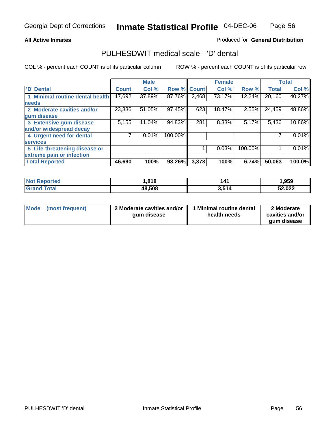#### **All Active Inmates**

### Produced for **General Distribution**

### PULHESDWIT medical scale - 'D' dental

|                                 |              | <b>Male</b> |             |       | <b>Female</b> |         |              | <b>Total</b> |
|---------------------------------|--------------|-------------|-------------|-------|---------------|---------|--------------|--------------|
| 'D' Dental                      | <b>Count</b> | Col %       | Row % Count |       | Col %         | Row %   | <b>Total</b> | Col %        |
| 1 Minimal routine dental health | 17,692       | 37.89%      | 87.76%      | 2,468 | 73.17%        | 12.24%  | 20,160       | 40.27%       |
| <b>needs</b>                    |              |             |             |       |               |         |              |              |
| 2 Moderate cavities and/or      | 23,836       | 51.05%      | 97.45%      | 623   | 18.47%        | 2.55%   | 24,459       | 48.86%       |
| gum disease                     |              |             |             |       |               |         |              |              |
| 3 Extensive gum disease         | 5,155        | 11.04%      | 94.83%      | 281   | 8.33%         | 5.17%   | 5,436        | 10.86%       |
| and/or widespread decay         |              |             |             |       |               |         |              |              |
| 4 Urgent need for dental        |              | 0.01%       | 100.00%     |       |               |         |              | 0.01%        |
| <b>services</b>                 |              |             |             |       |               |         |              |              |
| 5 Life-threatening disease or   |              |             |             |       | 0.03%         | 100.00% |              | 0.01%        |
| extreme pain or infection       |              |             |             |       |               |         |              |              |
| <b>Total Reported</b>           | 46,690       | 100%        | 93.26%      | 3,373 | 100%          | 6.74%   | 50,063       | 100.0%       |

| <b>Not Reported</b>     | ,818   | 141   | l,959  |
|-------------------------|--------|-------|--------|
| <b>Total</b><br>' Grand | 48,508 | 3,514 | 52,022 |

| <b>Mode</b> | (most frequent) | 2 Moderate cavities and/or<br>qum disease | 1 Minimal routine dental<br>health needs | 2 Moderate<br>cavities and/or |
|-------------|-----------------|-------------------------------------------|------------------------------------------|-------------------------------|
|             |                 |                                           |                                          | qum disease                   |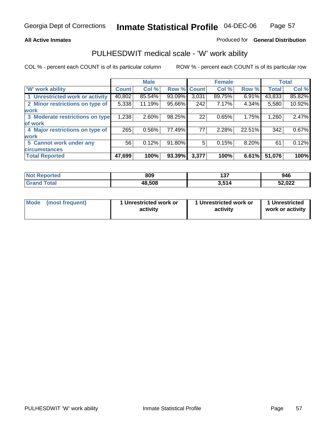#### **All Active Inmates**

### Produced for **General Distribution**

## PULHESDWIT medical scale - 'W' work ability

|                                 |              | <b>Male</b> |        |              | <b>Female</b> |        |              | <b>Total</b> |
|---------------------------------|--------------|-------------|--------|--------------|---------------|--------|--------------|--------------|
| W' work ability                 | <b>Count</b> | Col %       | Row %  | <b>Count</b> | Col %         | Row %  | <b>Total</b> | Col %        |
| 1 Unrestricted work or activity | 40,802       | 85.54%      | 93.09% | 3,031        | 89.75%        | 6.91%  | 43,833       | 85.82%       |
| 2 Minor restrictions on type of | 5,338        | 11.19%      | 95.66% | 242          | 7.17%         | 4.34%  | 5,580        | 10.92%       |
| <b>work</b>                     |              |             |        |              |               |        |              |              |
| 3 Moderate restrictions on type | 1,238        | $2.60\%$    | 98.25% | 22           | 0.65%         | 1.75%  | 1,260        | 2.47%        |
| of work                         |              |             |        |              |               |        |              |              |
| 4 Major restrictions on type of | 265          | $0.56\%$    | 77.49% | 77           | 2.28%         | 22.51% | 342          | 0.67%        |
| <b>work</b>                     |              |             |        |              |               |        |              |              |
| 5 Cannot work under any         | 56           | 0.12%       | 91.80% | 5            | 0.15%         | 8.20%  | 61           | 0.12%        |
| <b>circumstances</b>            |              |             |        |              |               |        |              |              |
| <b>Total Reported</b>           | 47,699       | 100%        | 93.39% | 3,377        | 100%          | 6.61%  | 51,076       | 100%         |

| <b>Not Reported</b>   | 809    | 4.27<br>וטו | 946    |
|-----------------------|--------|-------------|--------|
| Total<br><b>Grand</b> | 48,508 | 3,514       | 52,022 |

| Mode (most frequent) | 1 Unrestricted work or | 1 Unrestricted work or | 1 Unrestricted   |
|----------------------|------------------------|------------------------|------------------|
|                      | activity               | activity               | work or activity |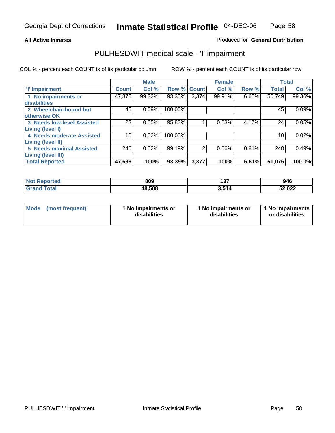#### **All Active Inmates**

#### Produced for **General Distribution**

# PULHESDWIT medical scale - 'I' impairment

|                                   |              | <b>Male</b> |         |              | <b>Female</b> |       | <b>Total</b> |        |
|-----------------------------------|--------------|-------------|---------|--------------|---------------|-------|--------------|--------|
| <b>T' Impairment</b>              | <b>Count</b> | Col %       | Row %   | <b>Count</b> | Col %         | Row % | <b>Total</b> | Col %  |
| 1 No impairments or               | 47,375       | 99.32%      | 93.35%  | 3,374        | 99.91%        | 6.65% | 50,749       | 99.36% |
| disabilities                      |              |             |         |              |               |       |              |        |
| 2 Wheelchair-bound but            | 45           | 0.09%       | 100.00% |              |               |       | 45           | 0.09%  |
| otherwise OK                      |              |             |         |              |               |       |              |        |
| <b>3 Needs low-level Assisted</b> | 23           | 0.05%       | 95.83%  |              | 0.03%         | 4.17% | 24           | 0.05%  |
| Living (level I)                  |              |             |         |              |               |       |              |        |
| 4 Needs moderate Assisted         | 10           | 0.02%       | 100.00% |              |               |       | 10           | 0.02%  |
| <b>Living (level II)</b>          |              |             |         |              |               |       |              |        |
| <b>5 Needs maximal Assisted</b>   | 246          | 0.52%       | 99.19%  | 2            | 0.06%         | 0.81% | 248          | 0.49%  |
| <b>Living (level III)</b>         |              |             |         |              |               |       |              |        |
| <b>Total Reported</b>             | 47,699       | 100%        | 93.39%  | 3,377        | 100%          | 6.61% | 51,076       | 100.0% |

| oorted<br>∣Not Rep         | 809    | 107<br>1 J I | 946    |
|----------------------------|--------|--------------|--------|
| <b>otal</b><br><b>Grat</b> | 48,508 | E4 A<br>J.J  | 52,022 |

| <b>Mode</b> | (most frequent) | 1 No impairments or<br>disabilities | 1 No impairments or<br>disabilities | 1 No impairments<br>or disabilities |
|-------------|-----------------|-------------------------------------|-------------------------------------|-------------------------------------|
|-------------|-----------------|-------------------------------------|-------------------------------------|-------------------------------------|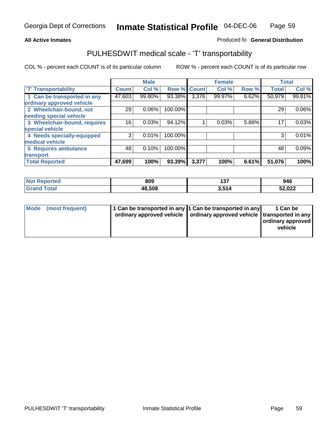#### **Inmate Statistical Profile** 04-DEC-06 Page Page 59

### **All Active Inmates Allowski** Produced fo **General Distribution**

## PULHESDWIT medical scale - 'T' transportability

|                              |              | <b>Male</b> |             |       | <b>Female</b> |       |              | <b>Total</b> |
|------------------------------|--------------|-------------|-------------|-------|---------------|-------|--------------|--------------|
| <b>T' Transportability</b>   | <b>Count</b> | Col %       | Row % Count |       | Col %         | Row % | <b>Total</b> | Col %        |
| 1 Can be transported in any  | 47,603       | 99.80%      | 93.38%      | 3,376 | 99.97%        | 6.62% | 50,979       | 99.81%       |
| ordinary approved vehicle    |              |             |             |       |               |       |              |              |
| 2 Wheelchair-bound, not      | 29           | 0.06%       | 100.00%     |       |               |       | 29           | $0.06\%$     |
| needing special vehicle      |              |             |             |       |               |       |              |              |
| 3 Wheelchair-bound, requires | 16           | 0.03%       | 94.12%      |       | 0.03%         | 5.88% | 17           | 0.03%        |
| special vehicle              |              |             |             |       |               |       |              |              |
| 4 Needs specially-equipped   | 3            | 0.01%       | 100.00%     |       |               |       |              | 0.01%        |
| medical vehicle              |              |             |             |       |               |       |              |              |
| <b>5 Requires ambulance</b>  | 48           | 0.10%       | 100.00%     |       |               |       | 48           | 0.09%        |
| transport                    |              |             |             |       |               |       |              |              |
| <b>Total Reported</b>        | 47,699       | 100%        | 93.39%      | 3,377 | 100%          | 6.61% | 51,076       | 100%         |

| <b>Not</b><br>Reported       | 809    | 497<br>1 J I | 946    |
|------------------------------|--------|--------------|--------|
| <b>Total</b><br><b>Grand</b> | 48,508 | 3,514        | 52,022 |

| Mode (most frequent) | 1 Can be transported in any 1 Can be transported in any | ordinary approved vehicle   ordinary approved vehicle   transported in any | 1 Can be<br>  ordinary approved  <br>vehicle |
|----------------------|---------------------------------------------------------|----------------------------------------------------------------------------|----------------------------------------------|
|                      |                                                         |                                                                            |                                              |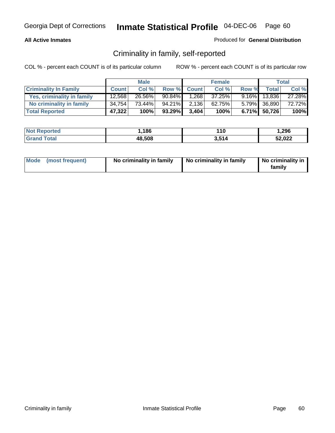#### **All Active Inmates**

### Produced for **General Distribution**

# Criminality in family, self-reported

|                              |              | <b>Male</b> |        |              | <b>Female</b> |       |                 | <b>Total</b> |
|------------------------------|--------------|-------------|--------|--------------|---------------|-------|-----------------|--------------|
| <b>Criminality In Family</b> | <b>Count</b> | Col %       | Row %  | <b>Count</b> | Col %         | Row % | <b>Total</b>    | Col %        |
| Yes, criminality in family   | 12,568       | 26.56%      | 90.84% | 1,268        | 37.25%        |       | $9.16\%$ 13,836 | 27.28%       |
| No criminality in family     | 34,754       | 73.44%      | 94.21% | 2,136        | 62.75%        |       | 5.79% 36,890    | 72.72%       |
| <b>Total Reported</b>        | 47,322       | 100%        | 93.29% | 3.404        | 100%          |       | $6.71\%$ 50,726 | 100%         |

| <b>Not Reported</b> | .186،  | 110   | 296. ا |
|---------------------|--------|-------|--------|
| fotal               | 48,508 | 3.514 | 52,022 |

| Mode (most frequent) |  | No criminality in family | No criminality in family | No criminality in<br>family |
|----------------------|--|--------------------------|--------------------------|-----------------------------|
|----------------------|--|--------------------------|--------------------------|-----------------------------|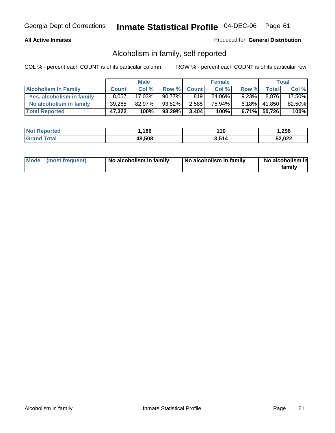### **All Active Inmates**

### Produced for **General Distribution**

# Alcoholism in family, self-reported

|                             |              | <b>Male</b> |        |              | <b>Female</b> |          |                 | <b>Total</b> |
|-----------------------------|--------------|-------------|--------|--------------|---------------|----------|-----------------|--------------|
| <b>Alcoholism In Family</b> | <b>Count</b> | Col %       | Row %  | <b>Count</b> | Col %         | Row %    | <b>Total</b>    | Col %        |
| Yes, alcoholism in family   | 8.057        | 17.03%      | 90.77% | 819          | 24.06%        | $9.23\%$ | 8.876           | 17.50%       |
| No alcoholism in family     | 39.265       | 82.97%      | 93.82% | 2,585        | 75.94%        |          | $6.18\%$ 41,850 | 82.50%       |
| <b>Total Reported</b>       | 47,322       | 100%        | 93.29% | 3.404        | 100%          |          | $6.71\%$ 50,726 | 100%         |

| <b>Not Reported</b>   | 186,   | l 10  | .296.  |
|-----------------------|--------|-------|--------|
| Total<br><b>Grand</b> | 48,508 | 3,514 | 52,022 |

|  | Mode (most frequent) | No alcoholism in family | No alcoholism in family | No alcoholism in<br>family |
|--|----------------------|-------------------------|-------------------------|----------------------------|
|--|----------------------|-------------------------|-------------------------|----------------------------|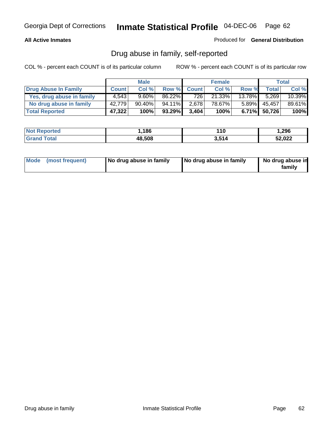### **All Active Inmates**

Produced for **General Distribution**

# Drug abuse in family, self-reported

|                           |              | <b>Male</b> |           |              | <b>Female</b> |           |              | <b>Total</b> |
|---------------------------|--------------|-------------|-----------|--------------|---------------|-----------|--------------|--------------|
| Drug Abuse In Family      | <b>Count</b> | Col %       | Row %     | <b>Count</b> | Col %         | Row %     | <b>Total</b> | Col %        |
| Yes, drug abuse in family | 4.543        | $9.60\%$    | $86.22\%$ | 726          | $21.33\%$     | $13.78\%$ | 5.269        | 10.39%       |
| No drug abuse in family   | 42,779       | 90.40%      | 94.11%    | 2,678        | 78.67%        | $5.89\%$  | 45,457       | 89.61%       |
| <b>Total Reported</b>     | 47,322       | 100%        | 93.29%    | 3.404        | 100%          | 6.71%     | 50,726       | 100%         |

| <b>Not Reported</b> | .186،  | 110   | 296. ا |
|---------------------|--------|-------|--------|
| fotal               | 48,508 | 3.514 | 52,022 |

|  | Mode (most frequent) | No drug abuse in family | No drug abuse in family | No drug abuse in<br>family |
|--|----------------------|-------------------------|-------------------------|----------------------------|
|--|----------------------|-------------------------|-------------------------|----------------------------|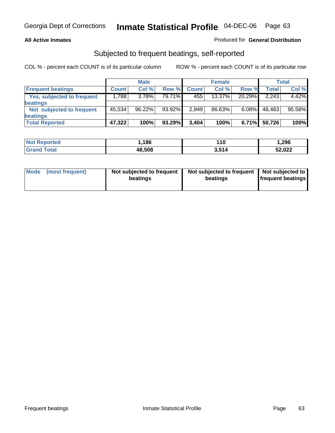#### **All Active Inmates**

### Produced for **General Distribution**

## Subjected to frequent beatings, self-reported

|                                   |              | <b>Male</b> |        |              | <b>Female</b> |          |        | Total  |
|-----------------------------------|--------------|-------------|--------|--------------|---------------|----------|--------|--------|
| <b>Frequent beatings</b>          | <b>Count</b> | Col %       | Row %  | <b>Count</b> | Col %         | Row %    | Total  | Col %  |
| <b>Yes, subjected to frequent</b> | 1,788        | $3.78\%$    | 79.71% | 455          | $13.37\%$     | 20.29%   | 2,243  | 4.42%  |
| <b>beatings</b>                   |              |             |        |              |               |          |        |        |
| Not subjected to frequent         | 45.534       | 96.22%      | 93.92% | 2,949        | 86.63%        | $6.08\%$ | 48,483 | 95.58% |
| <b>beatings</b>                   |              |             |        |              |               |          |        |        |
| <b>Total Reported</b>             | 47,322       | 100%        | 93.29% | 3,404        | 100%          | 6.71%    | 50,726 | 100%   |

| <b>Not F</b><br>Reported | ,186   | 10    | 1,296  |
|--------------------------|--------|-------|--------|
| <b>f</b> otal<br>⊪Grar   | 48,508 | 3,514 | 52,022 |

| <b>Mode</b> | (most frequent) | Not subjected to frequent<br>beatings | Not subjected to frequent<br>beatings | Not subjected to<br>frequent beatings |
|-------------|-----------------|---------------------------------------|---------------------------------------|---------------------------------------|
|             |                 |                                       |                                       |                                       |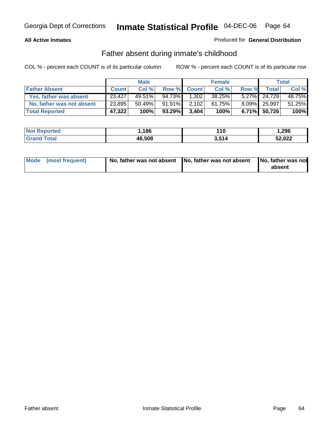### **All Active Inmates**

### Produced for **General Distribution**

# Father absent during inmate's childhood

|                           |              | <b>Male</b> |           |              | <b>Female</b> |          |              | <b>Total</b> |
|---------------------------|--------------|-------------|-----------|--------------|---------------|----------|--------------|--------------|
| <b>Father Absent</b>      | <b>Count</b> | Col %       | Row %     | <b>Count</b> | Col %         | Row %    | <b>Total</b> | Col %        |
| Yes, father was absent    | 23,427       | 49.51%      | 94.73%    | 1,302        | 38.25%        |          | 5.27% 24.729 | 48.75%       |
| No, father was not absent | 23,895       | 50.49%      | $91.91\%$ | 2,102        | 61.75%        |          | 8.09% 25,997 | 51.25%       |
| <b>Total Reported</b>     | 47,322       | 100%        | 93.29%    | 3,404        | 100%          | $6.71\%$ | 50,726       | 100%         |

| <b>Not Reported</b> | 186،،  | 110   | 1,296  |
|---------------------|--------|-------|--------|
| <b>Grand Total</b>  | 48,508 | 3,514 | 52,022 |

| Mode (most frequent) |  | 「No, father was not absent ┃No, father was not absent ┃No, father was not | absent |
|----------------------|--|---------------------------------------------------------------------------|--------|
|----------------------|--|---------------------------------------------------------------------------|--------|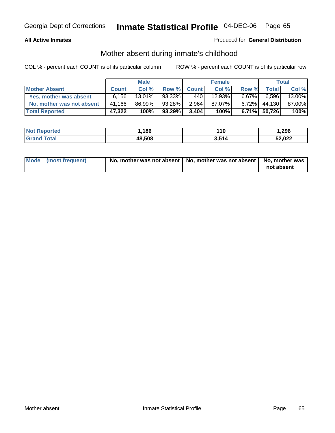### **All Active Inmates**

### Produced for **General Distribution**

# Mother absent during inmate's childhood

|                           | <b>Male</b>  |           |        | <b>Female</b> |        |          | Total           |        |
|---------------------------|--------------|-----------|--------|---------------|--------|----------|-----------------|--------|
| <b>Mother Absent</b>      | <b>Count</b> | Col %     | Row %  | <b>Count</b>  | Col %  | Row %    | <b>Total</b>    | Col %  |
| Yes, mother was absent    | 6.156        | $13.01\%$ | 93.33% | 440           | 12.93% | $6.67\%$ | 6,596           | 13.00% |
| No, mother was not absent | 41.166       | 86.99%    | 93.28% | 2,964         | 87.07% | $6.72\%$ | 44,130          | 87.00% |
| <b>Total Reported</b>     | 47,322       | 100%      | 93.29% | 3.404         | 100%   |          | $6.71\%$ 50,726 | 100%   |

| <b>Not Reported</b> | .186،  | 110   | 296. ا |
|---------------------|--------|-------|--------|
| fotal               | 48,508 | 3.514 | 52,022 |

| Mode (most frequent) | No, mother was not absent   No, mother was not absent   No, mother was | not absent |
|----------------------|------------------------------------------------------------------------|------------|
|----------------------|------------------------------------------------------------------------|------------|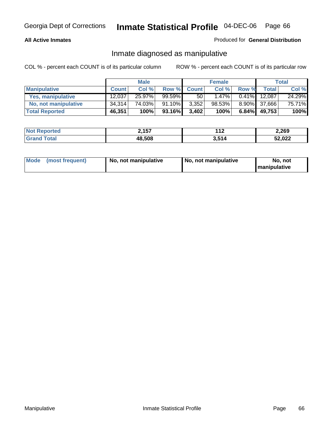### **All Active Inmates**

### Produced for **General Distribution**

### Inmate diagnosed as manipulative

|                       | <b>Male</b>  |        |           | <b>Female</b>   |          |          | Total        |        |
|-----------------------|--------------|--------|-----------|-----------------|----------|----------|--------------|--------|
| <b>Manipulative</b>   | <b>Count</b> | Col %  | Row %     | <b>Count</b>    | Col %    | Row %    | <b>Total</b> | Col %  |
| Yes, manipulative     | 12.037       | 25.97% | $99.59\%$ | 50 <sub>1</sub> | $1.47\%$ | $0.41\%$ | 12.087       | 24.29% |
| No, not manipulative  | 34,314       | 74.03% | $91.10\%$ | 3,352           | 98.53%   | $8.90\%$ | 37,666       | 75.71% |
| <b>Total Reported</b> | 46,351       | 100%   | 93.16%    | 3,402           | 100%     | 6.84%    | 49,753       | 100%   |

| <b>Not Reported</b>          | 2,157  | 44 C<br>▁▎◢ | 2,269  |
|------------------------------|--------|-------------|--------|
| <b>Total</b><br><b>Grand</b> | 48,508 | 3,514       | 52,022 |

| <b>Mode</b><br>No. not manipulative<br>(most frequent) | No. not manipulative | No. not<br>  manipulative |
|--------------------------------------------------------|----------------------|---------------------------|
|--------------------------------------------------------|----------------------|---------------------------|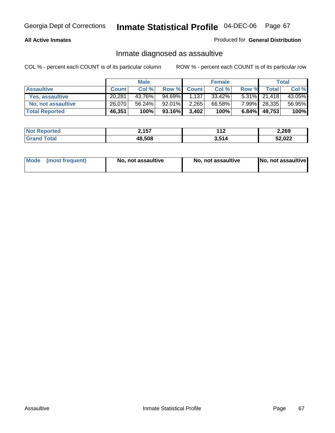#### **All Active Inmates**

#### Produced for **General Distribution**

# Inmate diagnosed as assaultive

|                       | <b>Male</b>  |        | <b>Female</b> |              |        | <b>Total</b> |                 |        |
|-----------------------|--------------|--------|---------------|--------------|--------|--------------|-----------------|--------|
| <b>Assaultive</b>     | <b>Count</b> | Col %  | Row %         | <b>Count</b> | Col %  | Row %        | Total           | Col %  |
| Yes, assaultive       | 20.281       | 43.76% | 94.69%        | 1,137        | 33.42% |              | $5.31\%$ 21,418 | 43.05% |
| No, not assaultive    | 26,070       | 56.24% | 92.01%        | 2,265        | 66.58% | $7.99\%$     | 28,335          | 56.95% |
| <b>Total Reported</b> | 46,351       | 100%   | 93.16%        | 3,402        | 100%   | $6.84\%$     | 49,753          | 100%   |

| <b>Not Reported</b> | 2,157  | 149<br>- 14 | 2,269  |
|---------------------|--------|-------------|--------|
| <b>Grand Total</b>  | 48,508 | 3.514       | 52,022 |

| Mode | ↑ (most frequent) | No, not assaultive | No, not assaultive | [No, not assaultive] |
|------|-------------------|--------------------|--------------------|----------------------|
|------|-------------------|--------------------|--------------------|----------------------|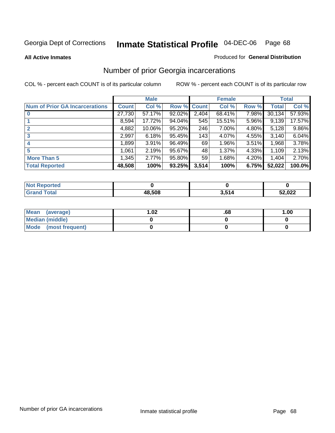#### **All Active Inmates**

#### Produced for **General Distribution**

# Number of prior Georgia incarcerations

|                                       |              | <b>Male</b> |                    |       | <b>Female</b> |       |        | <b>Total</b> |
|---------------------------------------|--------------|-------------|--------------------|-------|---------------|-------|--------|--------------|
| <b>Num of Prior GA Incarcerations</b> | <b>Count</b> | Col %       | <b>Row % Count</b> |       | Col %         | Row % | Total  | Col %        |
| $\bf{0}$                              | 27,730       | 57.17%      | 92.02%             | 2,404 | 68.41%        | 7.98% | 30,134 | 57.93%       |
|                                       | 8,594        | 17.72%      | $94.04\%$          | 545   | 15.51%        | 5.96% | 9,139  | 17.57%       |
|                                       | 4,882        | 10.06%      | 95.20%             | 246   | 7.00%         | 4.80% | 5,128  | 9.86%        |
| 3                                     | 2,997        | 6.18%       | 95.45%             | 143   | 4.07%         | 4.55% | 3.140  | 6.04%        |
|                                       | 1,899        | 3.91%       | 96.49%             | 69    | 1.96%         | 3.51% | 1,968  | 3.78%        |
| 5                                     | 1,061        | 2.19%       | 95.67%             | 48    | 1.37%         | 4.33% | 1,109  | 2.13%        |
| <b>More Than 5</b>                    | 1,345        | 2.77%       | 95.80%             | 59    | 1.68%         | 4.20% | 1,404  | 2.70%        |
| <b>Total Reported</b>                 | 48,508       | 100%        | 93.25%             | 3,514 | 100%          | 6.75% | 52,022 | 100.0%       |

| orted<br>NO.           |        |     |        |
|------------------------|--------|-----|--------|
| <b>Total</b><br>. Grat | 18.508 | 511 | 52,022 |

| Mean (average)       | .02 | .00 | 1.00 |
|----------------------|-----|-----|------|
| Median (middle)      |     |     |      |
| Mode (most frequent) |     |     |      |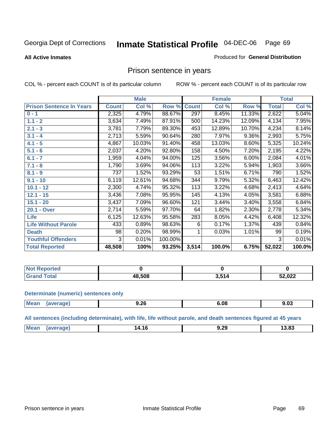#### **All Active Inmates**

#### Produced for **General Distribution**

# Prison sentence in years

COL % - percent each COUNT is of its particular column ROW % - percent each COUNT is of its particular row

|                                 | <b>Male</b>  |        |         | <b>Female</b> |        |          | <b>Total</b> |        |
|---------------------------------|--------------|--------|---------|---------------|--------|----------|--------------|--------|
| <b>Prison Sentence In Years</b> | <b>Count</b> | Col %  | Row %   | <b>Count</b>  | Col %  | Row %    | <b>Total</b> | Col %  |
| $0 - 1$                         | 2,325        | 4.79%  | 88.67%  | 297           | 8.45%  | 11.33%   | 2,622        | 5.04%  |
| $1.1 - 2$                       | 3,634        | 7.49%  | 87.91%  | 500           | 14.23% | 12.09%   | 4,134        | 7.95%  |
| $2.1 - 3$                       | 3,781        | 7.79%  | 89.30%  | 453           | 12.89% | 10.70%   | 4,234        | 8.14%  |
| $3.1 - 4$                       | 2,713        | 5.59%  | 90.64%  | 280           | 7.97%  | $9.36\%$ | 2,993        | 5.75%  |
| $4.1 - 5$                       | 4,867        | 10.03% | 91.40%  | 458           | 13.03% | 8.60%    | 5,325        | 10.24% |
| $5.1 - 6$                       | 2,037        | 4.20%  | 92.80%  | 158           | 4.50%  | 7.20%    | 2,195        | 4.22%  |
| $6.1 - 7$                       | 1,959        | 4.04%  | 94.00%  | 125           | 3.56%  | 6.00%    | 2,084        | 4.01%  |
| $7.1 - 8$                       | 1,790        | 3.69%  | 94.06%  | 113           | 3.22%  | 5.94%    | 1,903        | 3.66%  |
| $8.1 - 9$                       | 737          | 1.52%  | 93.29%  | 53            | 1.51%  | 6.71%    | 790          | 1.52%  |
| $9.1 - 10$                      | 6,119        | 12.61% | 94.68%  | 344           | 9.79%  | 5.32%    | 6,463        | 12.42% |
| $10.1 - 12$                     | 2,300        | 4.74%  | 95.32%  | 113           | 3.22%  | 4.68%    | 2,413        | 4.64%  |
| $12.1 - 15$                     | 3,436        | 7.08%  | 95.95%  | 145           | 4.13%  | 4.05%    | 3,581        | 6.88%  |
| $15.1 - 20$                     | 3,437        | 7.09%  | 96.60%  | 121           | 3.44%  | 3.40%    | 3,558        | 6.84%  |
| 20.1 - Over                     | 2,714        | 5.59%  | 97.70%  | 64            | 1.82%  | 2.30%    | 2,778        | 5.34%  |
| <b>Life</b>                     | 6,125        | 12.63% | 95.58%  | 283           | 8.05%  | 4.42%    | 6,408        | 12.32% |
| <b>Life Without Parole</b>      | 433          | 0.89%  | 98.63%  | 6             | 0.17%  | 1.37%    | 439          | 0.84%  |
| <b>Death</b>                    | 98           | 0.20%  | 98.99%  |               | 0.03%  | 1.01%    | 99           | 0.19%  |
| <b>Youthful Offenders</b>       | 3            | 0.01%  | 100.00% |               |        |          | 3            | 0.01%  |
| <b>Total Reported</b>           | 48,508       | 100%   | 93.25%  | 3,514         | 100.0% | 6.75%    | 52,022       | 100.0% |

| <b>Not Reported</b> |       |            |        |
|---------------------|-------|------------|--------|
| 'otal<br>. Grr      | 8.508 | <b>647</b> | 52,022 |

#### **Determinate (numeric) sentences only**

| Mear<br>ane | . .<br>9.ZO | …<br>v | .<br>7.UJ |
|-------------|-------------|--------|-----------|
|             |             |        |           |

**All sentences (including determinate), with life, life without parole, and death sentences figured at 45 years**

| <b>Mean</b> | amre | 14.10 | ne.<br>л.<br>J.ZJ<br>__ | מה חו<br>ა.ია |
|-------------|------|-------|-------------------------|---------------|
|             |      |       |                         |               |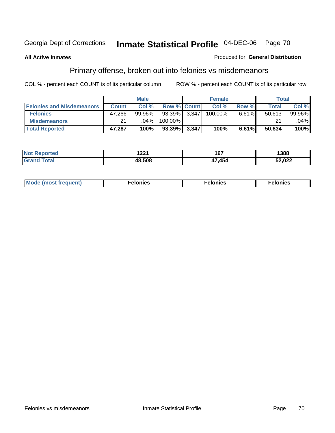#### **All Active Inmates**

#### Produced for **General Distribution**

# Primary offense, broken out into felonies vs misdemeanors

|                                  | <b>Male</b>  |           |                    | <b>Female</b> |            |          | Total        |           |
|----------------------------------|--------------|-----------|--------------------|---------------|------------|----------|--------------|-----------|
| <b>Felonies and Misdemeanors</b> | <b>Count</b> | Col %     | <b>Row % Count</b> |               | Col%       | Row %    | <b>Total</b> | Col %     |
| <b>Felonies</b>                  | 47,266       | $99.96\%$ | 93.39%             | 3.347         | $100.00\%$ | $6.61\%$ | 50.613       | $99.96\%$ |
| <b>Misdemeanors</b>              | 21           | $.04\%$   | 100.00%            |               |            |          | 21           | $.04\%$   |
| <b>Total Reported</b>            | 47,287       | 100%      | 93.39%             | 3,347         | 100%       | 6.61%    | 50,634       | 100%      |

| <b>Not</b><br>ted.<br>⋯ | 1001<br>1 <i>ll</i> | 4 C 7<br>י ט | 1388            |
|-------------------------|---------------------|--------------|-----------------|
|                         | 18.508              | 454          | רמה ה<br>32,UZZ |

| Mode (most frequent) | elonies | elonies | onies<br>-е к |
|----------------------|---------|---------|---------------|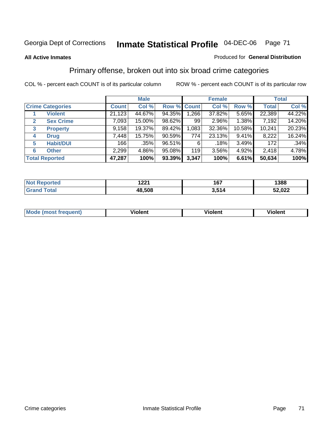#### **All Active Inmates**

#### Produced for **General Distribution**

# Primary offense, broken out into six broad crime categories

|                         |                                         | <b>Male</b>  |         |                    | <b>Female</b> |        |        | <b>Total</b> |        |
|-------------------------|-----------------------------------------|--------------|---------|--------------------|---------------|--------|--------|--------------|--------|
| <b>Crime Categories</b> |                                         | <b>Count</b> | Col %   | <b>Row % Count</b> |               | Col %  | Row %  | <b>Total</b> | Col %  |
|                         | <b>Violent</b>                          | 21,123       | 44.67%  | 94.35%             | 1,266         | 37.82% | 5.65%  | 22,389       | 44.22% |
| 2                       | <b>Sex Crime</b>                        | 7,093        | 15.00%  | 98.62%             | 99            | 2.96%  | 1.38%  | 7,192        | 14.20% |
| $\mathbf{3}$            | <b>Property</b>                         | 9,158        | 19.37%  | 89.42%             | 1,083         | 32.36% | 10.58% | 10,241       | 20.23% |
| 4                       | <b>Drug</b>                             | 7,448        | 15.75%  | $90.59\%$          | 774           | 23.13% | 9.41%  | 8,222        | 16.24% |
| 5                       | <b>Habit/DUI</b>                        | 166          | $.35\%$ | 96.51%             | 6             | .18%   | 3.49%  | 172          | .34%   |
| 6                       | <b>Other</b>                            | 2,299        | 4.86%   | 95.08%             | 119           | 3.56%  | 4.92%  | 2,418        | 4.78%  |
|                         | 47,287<br>100%<br><b>Total Reported</b> |              | 93.39%  | 3,347              | 100%          | 6.61%  | 50,634 | 100%         |        |

| 1 つつイ<br>1 Z.Z. I | 167<br>$  -$ | 1388       |
|-------------------|--------------|------------|
| 48.508            | 514          | nnn<br>WZZ |

| <b>Mou</b> | .<br>วient | วlent | ent |
|------------|------------|-------|-----|
|            |            |       |     |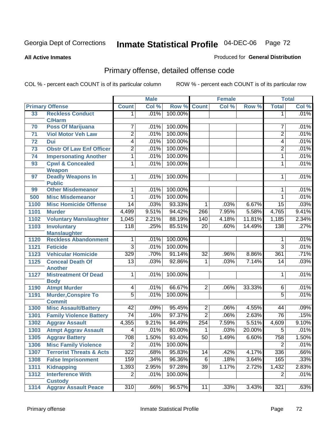**All Active Inmates**

#### Produced for **General Distribution**

# Primary offense, detailed offense code

|      |                                           | <b>Male</b>      |       | <b>Female</b> |                 |       | <b>Total</b> |                 |       |
|------|-------------------------------------------|------------------|-------|---------------|-----------------|-------|--------------|-----------------|-------|
|      | <b>Primary Offense</b>                    | <b>Count</b>     | Col % | Row %         | <b>Count</b>    | Col % | Row %        | <b>Total</b>    | Col % |
| 33   | <b>Reckless Conduct</b>                   | 1                | .01%  | 100.00%       |                 |       |              | 1               | .01%  |
|      | <b>C/Harm</b>                             |                  |       |               |                 |       |              |                 |       |
| 70   | <b>Poss Of Marijuana</b>                  | 7                | .01%  | 100.00%       |                 |       |              | 7               | .01%  |
| 71   | <b>Viol Motor Veh Law</b>                 | $\overline{2}$   | .01%  | 100.00%       |                 |       |              | $\overline{2}$  | .01%  |
| 72   | Dui                                       | $\overline{4}$   | .01%  | 100.00%       |                 |       |              | 4               | .01%  |
| 73   | <b>Obstr Of Law Enf Officer</b>           | 2                | .01%  | 100.00%       |                 |       |              | 2               | .01%  |
| 74   | <b>Impersonating Another</b>              | $\overline{1}$   | .01%  | 100.00%       |                 |       |              | $\mathbf{1}$    | .01%  |
| 93   | <b>Cpwl &amp; Concealed</b><br>Weapon     | 1                | .01%  | 100.00%       |                 |       |              | 1               | .01%  |
| 97   | <b>Deadly Weapons In</b><br><b>Public</b> | 1                | .01%  | 100.00%       |                 |       |              | 1               | .01%  |
| 99   | <b>Other Misdemeanor</b>                  | 1                | .01%  | 100.00%       |                 |       |              | 1               | .01%  |
| 500  | <b>Misc Misdemeanor</b>                   | 1                | .01%  | 100.00%       |                 |       |              | 1               | .01%  |
| 1100 | <b>Misc Homicide Offense</b>              | $\overline{14}$  | .03%  | 93.33%        | $\mathbf{1}$    | .03%  | 6.67%        | $\overline{15}$ | .03%  |
| 1101 | <b>Murder</b>                             | 4,499            | 9.51% | 94.42%        | 266             | 7.95% | 5.58%        | 4,765           | 9.41% |
| 1102 | <b>Voluntary Manslaughter</b>             | 1,045            | 2.21% | 88.19%        | 140             | 4.18% | 11.81%       | 1,185           | 2.34% |
| 1103 | <b>Involuntary</b>                        | $\overline{118}$ | .25%  | 85.51%        | $\overline{20}$ | .60%  | 14.49%       | 138             | .27%  |
|      | <b>Manslaughter</b>                       |                  |       |               |                 |       |              |                 |       |
| 1120 | <b>Reckless Abandonment</b>               | 1                | .01%  | 100.00%       |                 |       |              | 1               | .01%  |
| 1121 | <b>Feticide</b>                           | $\overline{3}$   | .01%  | 100.00%       |                 |       |              | 3               | .01%  |
| 1123 | <b>Vehicular Homicide</b>                 | 329              | .70%  | 91.14%        | 32              | .96%  | 8.86%        | 361             | .71%  |
| 1125 | <b>Conceal Death Of</b>                   | $\overline{13}$  | .03%  | 92.86%        | $\mathbf{1}$    | .03%  | 7.14%        | 14              | .03%  |
|      | <b>Another</b>                            |                  |       |               |                 |       |              |                 |       |
| 1127 | <b>Mistreatment Of Dead</b>               | $\overline{1}$   | .01%  | 100.00%       |                 |       |              | 1               | .01%  |
| 1190 | <b>Body</b><br><b>Atmpt Murder</b>        | $\overline{4}$   | .01%  | 66.67%        | $\overline{2}$  | .06%  | 33.33%       | $\overline{6}$  | .01%  |
| 1191 | <b>Murder, Conspire To</b>                | $\overline{5}$   | .01%  | 100.00%       |                 |       |              | $\overline{5}$  | .01%  |
|      | <b>Commit</b>                             |                  |       |               |                 |       |              |                 |       |
| 1300 | <b>Misc Assault/Battery</b>               | $\overline{42}$  | .09%  | 95.45%        | $\overline{2}$  | .06%  | 4.55%        | 44              | .09%  |
| 1301 | <b>Family Violence Battery</b>            | $\overline{74}$  | .16%  | 97.37%        | $\overline{2}$  | .06%  | 2.63%        | 76              | .15%  |
| 1302 | <b>Aggrav Assault</b>                     | 4,355            | 9.21% | 94.49%        | 254             | 7.59% | 5.51%        | 4,609           | 9.10% |
| 1303 | <b>Atmpt Aggrav Assault</b>               | 4                | .01%  | 80.00%        | 1               | .03%  | 20.00%       | $\overline{5}$  | .01%  |
| 1305 | <b>Aggrav Battery</b>                     | 708              | 1.50% | 93.40%        | 50              | 1.49% | 6.60%        | 758             | 1.50% |
| 1306 | <b>Misc Family Violence</b>               | $\overline{2}$   | .01%  | 100.00%       |                 |       |              | $\overline{2}$  | .01%  |
| 1307 | <b>Terrorist Threats &amp; Acts</b>       | $\overline{322}$ | .68%  | 95.83%        | 14              | .42%  | 4.17%        | 336             | .66%  |
| 1308 | <b>False Imprisonment</b>                 | 159              | .34%  | 96.36%        | 6               | .18%  | 3.64%        | 165             | .33%  |
| 1311 | <b>Kidnapping</b>                         | 1,393            | 2.95% | 97.28%        | $\overline{39}$ | 1.17% | 2.72%        | 1,432           | 2.83% |
| 1312 | <b>Interference With</b>                  | $\overline{2}$   | .01%  | 100.00%       |                 |       |              | $\overline{2}$  | .01%  |
|      | <b>Custody</b>                            |                  |       |               |                 |       |              |                 |       |
| 1314 | <b>Aggrav Assault Peace</b>               | 310              | .66%  | 96.57%        | 11              | .33%  | 3.43%        | 321             | .63%  |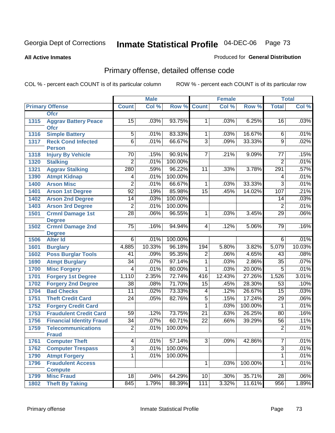#### **All Active Inmates**

### Produced for **General Distribution**

# Primary offense, detailed offense code

|      |                                            |                 | <b>Male</b> |         |                 | <b>Female</b> |         |                 | <b>Total</b> |
|------|--------------------------------------------|-----------------|-------------|---------|-----------------|---------------|---------|-----------------|--------------|
|      | <b>Primary Offense</b>                     | <b>Count</b>    | Col %       | Row %   | <b>Count</b>    | Col %         | Row %   | <b>Total</b>    | Col %        |
|      | <b>Ofcr</b>                                |                 |             |         |                 |               |         |                 |              |
| 1315 | <b>Aggrav Battery Peace</b><br><b>Ofcr</b> | 15              | .03%        | 93.75%  | 1 <sup>1</sup>  | .03%          | 6.25%   | 16              | .03%         |
| 1316 | <b>Simple Battery</b>                      | 5               | .01%        | 83.33%  | 1               | .03%          | 16.67%  | 6               | .01%         |
| 1317 | <b>Reck Cond Infected</b>                  | $\overline{6}$  | .01%        | 66.67%  | $\overline{3}$  | .09%          | 33.33%  | $\overline{9}$  | .02%         |
|      | <b>Person</b>                              |                 |             |         |                 |               |         |                 |              |
| 1318 | <b>Injury By Vehicle</b>                   | 70              | .15%        | 90.91%  | $\overline{7}$  | .21%          | 9.09%   | 77              | .15%         |
| 1320 | <b>Stalking</b>                            | $\overline{2}$  | .01%        | 100.00% |                 |               |         | $\overline{2}$  | .01%         |
| 1321 | <b>Aggrav Stalking</b>                     | 280             | .59%        | 96.22%  | 11              | .33%          | 3.78%   | 291             | .57%         |
| 1390 | <b>Atmpt Kidnap</b>                        | 4               | .01%        | 100.00% |                 |               |         | $\overline{4}$  | .01%         |
| 1400 | <b>Arson Misc</b>                          | $\overline{2}$  | .01%        | 66.67%  | 1               | .03%          | 33.33%  | $\overline{3}$  | .01%         |
| 1401 | <b>Arson 1st Degree</b>                    | $\overline{92}$ | .19%        | 85.98%  | $\overline{15}$ | .45%          | 14.02%  | 107             | .21%         |
| 1402 | <b>Arson 2nd Degree</b>                    | 14              | .03%        | 100.00% |                 |               |         | 14              | .03%         |
| 1403 | <b>Arson 3rd Degree</b>                    | $\overline{2}$  | .01%        | 100.00% |                 |               |         | $\overline{2}$  | .01%         |
| 1501 | <b>Crmnl Damage 1st</b>                    | $\overline{28}$ | .06%        | 96.55%  | 1               | .03%          | 3.45%   | 29              | .06%         |
|      | <b>Degree</b>                              |                 |             |         |                 |               |         |                 |              |
| 1502 | <b>Crmnl Damage 2nd</b>                    | $\overline{75}$ | .16%        | 94.94%  | 4               | .12%          | 5.06%   | 79              | .16%         |
|      | <b>Degree</b>                              | $\overline{6}$  | .01%        | 100.00% |                 |               |         |                 | .01%         |
| 1506 | <b>Alter Id</b>                            |                 |             | 96.18%  |                 |               |         | 6               | 10.03%       |
| 1601 | <b>Burglary</b>                            | 4,885           | 10.33%      |         | 194             | 5.80%<br>.06% | 3.82%   | 5,079           |              |
| 1602 | <b>Poss Burglar Tools</b>                  | 41              | .09%        | 95.35%  | $\overline{2}$  |               | 4.65%   | 43              | .08%         |
| 1690 | <b>Atmpt Burglary</b>                      | 34              | .07%        | 97.14%  | 1               | .03%          | 2.86%   | 35              | .07%         |
| 1700 | <b>Misc Forgery</b>                        | 4               | .01%        | 80.00%  | $\overline{1}$  | .03%          | 20.00%  | $\overline{5}$  | .01%         |
| 1701 | <b>Forgery 1st Degree</b>                  | 1,110           | 2.35%       | 72.74%  | 416             | 12.43%        | 27.26%  | 1,526           | 3.01%        |
| 1702 | <b>Forgery 2nd Degree</b>                  | 38              | .08%        | 71.70%  | 15              | .45%          | 28.30%  | 53              | .10%         |
| 1704 | <b>Bad Checks</b>                          | 11              | .02%        | 73.33%  | 4               | .12%          | 26.67%  | 15              | .03%         |
| 1751 | <b>Theft Credit Card</b>                   | $\overline{24}$ | .05%        | 82.76%  | $\overline{5}$  | .15%          | 17.24%  | $\overline{29}$ | .06%         |
| 1752 | <b>Forgery Credit Card</b>                 |                 |             |         | $\mathbf{1}$    | .03%          | 100.00% | 1               | .01%         |
| 1753 | <b>Fraudulent Credit Card</b>              | 59              | .12%        | 73.75%  | $\overline{21}$ | .63%          | 26.25%  | 80              | .16%         |
| 1756 | <b>Financial Identity Fraud</b>            | $\overline{34}$ | .07%        | 60.71%  | $\overline{22}$ | .66%          | 39.29%  | 56              | .11%         |
| 1759 | <b>Telecommunications</b>                  | $\overline{2}$  | .01%        | 100.00% |                 |               |         | $\overline{2}$  | .01%         |
|      | <b>Fraud</b>                               |                 |             |         | $\overline{3}$  |               | 42.86%  | $\overline{7}$  |              |
| 1761 | <b>Computer Theft</b>                      | $\overline{4}$  | .01%        | 57.14%  |                 | .09%          |         |                 | .01%         |
| 1762 | <b>Computer Trespass</b>                   | $\overline{3}$  | .01%        | 100.00% |                 |               |         | $\overline{3}$  | .01%         |
| 1790 | <b>Atmpt Forgery</b>                       | $\overline{1}$  | .01%        | 100.00% |                 |               |         | 1               | .01%         |
| 1796 | <b>Fraudulent Access</b>                   |                 |             |         | 1               | .03%          | 100.00% | 1               | .01%         |
| 1799 | <b>Compute</b><br><b>Misc Fraud</b>        | $\overline{18}$ | .04%        | 64.29%  | 10              | .30%          | 35.71%  | $\overline{28}$ | $.06\%$      |
| 1802 | <b>Theft By Taking</b>                     | 845             | 1.79%       | 88.39%  | 111             | 3.32%         | 11.61%  | 956             | 1.89%        |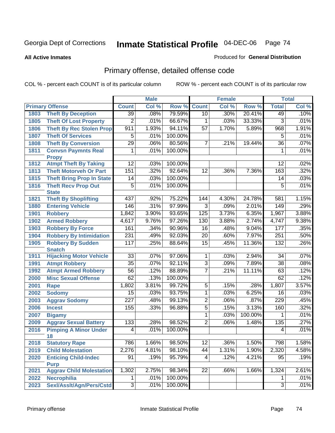**All Active Inmates**

### Produced for **General Distribution**

# Primary offense, detailed offense code

|      |                                            |                  | <b>Male</b> |         |                 | Female |         |                 | <b>Total</b> |
|------|--------------------------------------------|------------------|-------------|---------|-----------------|--------|---------|-----------------|--------------|
|      | <b>Primary Offense</b>                     | <b>Count</b>     | Col %       | Row %   | <b>Count</b>    | Col %  | Row %   | <b>Total</b>    | Col %        |
| 1803 | <b>Theft By Deception</b>                  | $\overline{39}$  | .08%        | 79.59%  | 10              | .30%   | 20.41%  | 49              | .10%         |
| 1805 | <b>Theft Of Lost Property</b>              | $\overline{2}$   | .01%        | 66.67%  | 1               | .03%   | 33.33%  | 3               | .01%         |
| 1806 | <b>Theft By Rec Stolen Prop</b>            | 911              | 1.93%       | 94.11%  | $\overline{57}$ | 1.70%  | 5.89%   | 968             | 1.91%        |
| 1807 | <b>Theft Of Services</b>                   | $\overline{5}$   | .01%        | 100.00% |                 |        |         | 5               | .01%         |
| 1808 | <b>Theft By Conversion</b>                 | $\overline{29}$  | .06%        | 80.56%  | $\overline{7}$  | .21%   | 19.44%  | $\overline{36}$ | .07%         |
| 1811 | <b>Convsn Paymnts Real</b>                 | 1                | .01%        | 100.00% |                 |        |         | 1               | .01%         |
|      | <b>Propy</b>                               |                  |             |         |                 |        |         |                 |              |
| 1812 | <b>Atmpt Theft By Taking</b>               | $\overline{12}$  | .03%        | 100.00% |                 |        |         | $\overline{12}$ | .02%         |
| 1813 | <b>Theft Motorveh Or Part</b>              | 151              | .32%        | 92.64%  | $\overline{12}$ | .36%   | 7.36%   | 163             | .32%         |
| 1815 | <b>Theft Bring Prop In State</b>           | 14               | .03%        | 100.00% |                 |        |         | 14              | .03%         |
| 1816 | <b>Theft Recv Prop Out</b><br><b>State</b> | $\overline{5}$   | .01%        | 100.00% |                 |        |         | 5               | .01%         |
| 1821 | <b>Theft By Shoplifting</b>                | 437              | .92%        | 75.22%  | 144             | 4.30%  | 24.78%  | 581             | 1.15%        |
| 1880 | <b>Entering Vehicle</b>                    | 146              | .31%        | 97.99%  | $\overline{3}$  | .09%   | 2.01%   | 149             | .29%         |
| 1901 | <b>Robbery</b>                             | 1,842            | 3.90%       | 93.65%  | 125             | 3.73%  | 6.35%   | 1,967           | 3.88%        |
| 1902 | <b>Armed Robbery</b>                       | 4,617            | 9.76%       | 97.26%  | 130             | 3.88%  | 2.74%   | 4,747           | 9.38%        |
| 1903 | <b>Robbery By Force</b>                    | 161              | .34%        | 90.96%  | 16              | .48%   | 9.04%   | 177             | .35%         |
| 1904 | <b>Robbery By Intimidation</b>             | 231              | .49%        | 92.03%  | $\overline{20}$ | .60%   | 7.97%   | 251             | .50%         |
| 1905 | <b>Robbery By Sudden</b>                   | 117              | .25%        | 88.64%  | $\overline{15}$ | .45%   | 11.36%  | 132             | .26%         |
|      | <b>Snatch</b>                              |                  |             |         |                 |        |         |                 |              |
| 1911 | <b>Hijacking Motor Vehicle</b>             | $\overline{33}$  | .07%        | 97.06%  | 1               | .03%   | 2.94%   | $\overline{34}$ | .07%         |
| 1991 | <b>Atmpt Robbery</b>                       | $\overline{35}$  | .07%        | 92.11%  | $\overline{3}$  | .09%   | 7.89%   | $\overline{38}$ | .08%         |
| 1992 | <b>Atmpt Armed Robbery</b>                 | $\overline{56}$  | .12%        | 88.89%  | 7               | .21%   | 11.11%  | 63              | .12%         |
| 2000 | <b>Misc Sexual Offense</b>                 | 62               | .13%        | 100.00% |                 |        |         | 62              | .12%         |
| 2001 | <b>Rape</b>                                | 1,802            | 3.81%       | 99.72%  | $\overline{5}$  | .15%   | .28%    | 1,807           | 3.57%        |
| 2002 | <b>Sodomy</b>                              | $\overline{15}$  | .03%        | 93.75%  | 1               | .03%   | 6.25%   | 16              | .03%         |
| 2003 | <b>Aggrav Sodomy</b>                       | $\overline{227}$ | .48%        | 99.13%  | $\overline{2}$  | .06%   | .87%    | 229             | .45%         |
| 2006 | <b>Incest</b>                              | 155              | .33%        | 96.88%  | $\overline{5}$  | .15%   | 3.13%   | 160             | .32%         |
| 2007 | <b>Bigamy</b>                              |                  |             |         | 1               | .03%   | 100.00% | 1               | .01%         |
| 2009 | <b>Aggrav Sexual Battery</b>               | $\overline{133}$ | .28%        | 98.52%  | $\overline{2}$  | .06%   | 1.48%   | 135             | .27%         |
| 2016 | <b>Pimping A Minor Under</b>               | $\overline{4}$   | .01%        | 100.00% |                 |        |         | $\overline{4}$  | .01%         |
|      | 18                                         |                  |             |         |                 |        |         |                 |              |
| 2018 | <b>Statutory Rape</b>                      | 786              | 1.66%       | 98.50%  | 12              | .36%   | 1.50%   | 798             | 1.58%        |
| 2019 | <b>Child Molestation</b>                   | 2,276            | 4.81%       | 98.10%  | 44              | 1.31%  | 1.90%   | 2,320           | 4.58%        |
| 2020 | <b>Enticing Child-Indec</b><br><b>Purp</b> | 91               | .19%        | 95.79%  | 4               | .12%   | 4.21%   | 95              | .19%         |
| 2021 | <b>Aggrav Child Molestation</b>            | 1,302            | 2.75%       | 98.34%  | $\overline{22}$ | .66%   | 1.66%   | 1,324           | 2.61%        |
| 2022 | <b>Necrophilia</b>                         |                  | .01%        | 100.00% |                 |        |         | 1               | .01%         |
| 2023 | Sexl/Asslt/Agn/Pers/Cstd                   | 3                | .01%        | 100.00% |                 |        |         | 3               | .01%         |
|      |                                            |                  |             |         |                 |        |         |                 |              |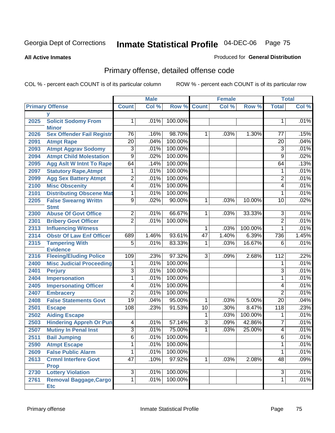**All Active Inmates**

#### Produced for **General Distribution**

# Primary offense, detailed offense code

|      |                                             |                 | <b>Male</b> |         |                 | <b>Female</b> |         |                  | <b>Total</b> |
|------|---------------------------------------------|-----------------|-------------|---------|-----------------|---------------|---------|------------------|--------------|
|      | <b>Primary Offense</b>                      | <b>Count</b>    | Col %       |         | Row % Count     | Col %         | Row %   | <b>Total</b>     | Col %        |
|      | v                                           |                 |             |         |                 |               |         |                  |              |
| 2025 | <b>Solicit Sodomy From</b><br><b>Minor</b>  | 1               | .01%        | 100.00% |                 |               |         | 1                | .01%         |
| 2026 | <b>Sex Offender Fail Registr</b>            | 76              | .16%        | 98.70%  | $\mathbf 1$     | .03%          | 1.30%   | 77               | .15%         |
| 2091 | <b>Atmpt Rape</b>                           | $\overline{20}$ | .04%        | 100.00% |                 |               |         | $\overline{20}$  | .04%         |
| 2093 | <b>Atmpt Aggrav Sodomy</b>                  | 3               | .01%        | 100.00% |                 |               |         | 3                | .01%         |
| 2094 | <b>Atmpt Child Molestation</b>              | $\overline{9}$  | .02%        | 100.00% |                 |               |         | $\overline{9}$   | .02%         |
| 2095 | <b>Agg Aslt W Intnt To Rape</b>             | 64              | .14%        | 100.00% |                 |               |         | 64               | .13%         |
| 2097 | <b>Statutory Rape, Atmpt</b>                | 1               | .01%        | 100.00% |                 |               |         | 1                | .01%         |
| 2099 | <b>Agg Sex Battery Atmpt</b>                | $\overline{2}$  | .01%        | 100.00% |                 |               |         | $\overline{2}$   | .01%         |
| 2100 | <b>Misc Obscenity</b>                       | $\overline{4}$  | .01%        | 100.00% |                 |               |         | 4                | .01%         |
| 2101 | <b>Distributing Obscene Mat</b>             | 1               | .01%        | 100.00% |                 |               |         | 1                | .01%         |
| 2205 | <b>False Swearng Writtn</b><br><b>Stmt</b>  | $\overline{9}$  | .02%        | 90.00%  | 1               | .03%          | 10.00%  | 10               | .02%         |
| 2300 | <b>Abuse Of Govt Office</b>                 | $\overline{2}$  | .01%        | 66.67%  | $\overline{1}$  | .03%          | 33.33%  | 3                | .01%         |
| 2301 | <b>Bribery Govt Officer</b>                 | $\overline{2}$  | .01%        | 100.00% |                 |               |         | $\overline{2}$   | .01%         |
| 2313 | <b>Influencing Witness</b>                  |                 |             |         | 1               | .03%          | 100.00% | $\mathbf{1}$     | .01%         |
| 2314 | <b>Obstr Of Law Enf Officer</b>             | 689             | 1.46%       | 93.61%  | $\overline{47}$ | 1.40%         | 6.39%   | 736              | 1.45%        |
| 2315 | <b>Tampering With</b><br><b>Evidence</b>    | $\overline{5}$  | .01%        | 83.33%  | 1               | .03%          | 16.67%  | 6                | .01%         |
| 2316 | <b>Fleeing/Eluding Police</b>               | 109             | .23%        | 97.32%  | $\overline{3}$  | .09%          | 2.68%   | $\overline{112}$ | .22%         |
| 2400 | <b>Misc Judicial Proceeding</b>             | 1               | .01%        | 100.00% |                 |               |         | 1                | .01%         |
| 2401 | <b>Perjury</b>                              | 3               | .01%        | 100.00% |                 |               |         | 3                | .01%         |
| 2404 | Impersonation                               | 1               | .01%        | 100.00% |                 |               |         | 1                | .01%         |
| 2405 | <b>Impersonating Officer</b>                | 4               | .01%        | 100.00% |                 |               |         | 4                | .01%         |
| 2407 | <b>Embracery</b>                            | $\overline{c}$  | .01%        | 100.00% |                 |               |         | $\overline{2}$   | .01%         |
| 2408 | <b>False Statements Govt</b>                | $\overline{19}$ | .04%        | 95.00%  | 1               | .03%          | 5.00%   | $\overline{20}$  | .04%         |
| 2501 | <b>Escape</b>                               | 108             | .23%        | 91.53%  | $\overline{10}$ | .30%          | 8.47%   | 118              | .23%         |
| 2502 | <b>Aiding Escape</b>                        |                 |             |         | 1               | .03%          | 100.00% | 1                | .01%         |
| 2503 | <b>Hindering Appreh Or Pun</b>              | 4               | .01%        | 57.14%  | $\overline{3}$  | .09%          | 42.86%  | 7                | .01%         |
| 2507 | <b>Mutiny In Penal Inst</b>                 | $\overline{3}$  | .01%        | 75.00%  | $\overline{1}$  | .03%          | 25.00%  | 4                | .01%         |
| 2511 | <b>Bail Jumping</b>                         | $\overline{6}$  | .01%        | 100.00% |                 |               |         | 6                | .01%         |
| 2590 | <b>Atmpt Escape</b>                         | $\overline{1}$  | .01%        | 100.00% |                 |               |         | 1                | .01%         |
| 2609 | <b>False Public Alarm</b>                   | $\mathbf{1}$    | .01%        | 100.00% |                 |               |         | 1                | .01%         |
| 2613 | <b>Crmnl Interfere Govt</b><br><b>Prop</b>  | 47              | .10%        | 97.92%  | 1               | .03%          | 2.08%   | 48               | .09%         |
| 2730 | <b>Lottery Violation</b>                    | $\overline{3}$  | .01%        | 100.00% |                 |               |         | $\overline{3}$   | .01%         |
| 2761 | <b>Removal Baggage, Cargo</b><br><b>Etc</b> | $\overline{1}$  | .01%        | 100.00% |                 |               |         | $\mathbf 1$      | .01%         |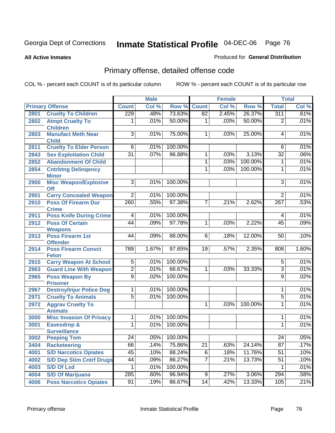**All Active Inmates**

### Produced for **General Distribution**

# Primary offense, detailed offense code

|              |                                                       |                                  | <b>Male</b>  |                    |                 | <b>Female</b> |         |                               | <b>Total</b> |
|--------------|-------------------------------------------------------|----------------------------------|--------------|--------------------|-----------------|---------------|---------|-------------------------------|--------------|
|              | <b>Primary Offense</b>                                | <b>Count</b>                     | Col %        | Row %              | <b>Count</b>    | Col %         | Row %   | <b>Total</b>                  | Col %        |
| 2801         | <b>Cruelty To Children</b>                            | 229                              | .48%         | 73.63%             | 82              | 2.45%         | 26.37%  | 311                           | .61%         |
| 2802         | <b>Atmpt Cruelty To</b><br><b>Children</b>            | 1                                | .01%         | 50.00%             | $\mathbf{1}$    | .03%          | 50.00%  | $\overline{2}$                | .01%         |
| 2803         | <b>Manufact Meth Near</b><br><b>Child</b>             | 3                                | .01%         | 75.00%             | $\mathbf{1}$    | .03%          | 25.00%  | 4                             | .01%         |
| 2811         | <b>Cruelty To Elder Person</b>                        | $6\overline{6}$                  | .01%         | 100.00%            |                 |               |         | 6                             | .01%         |
| 2843         | <b>Sex Exploitation Child</b>                         | $\overline{31}$                  | .07%         | 96.88%             | 1               | .03%          | 3.13%   | $\overline{32}$               | .06%         |
| 2852         | <b>Abandonment Of Child</b>                           |                                  |              |                    | 1               | .03%          | 100.00% | 1                             | .01%         |
| 2854         | <b>Cntrbtng Delingency</b><br><b>Minor</b>            |                                  |              |                    | $\overline{1}$  | .03%          | 100.00% | $\mathbf 1$                   | .01%         |
| 2900         | <b>Misc Weapon/Explosive</b><br>Off                   | $\overline{3}$                   | .01%         | 100.00%            |                 |               |         | $\overline{3}$                | .01%         |
| 2901         | <b>Carry Concealed Weapon</b>                         | $\overline{2}$                   | .01%         | 100.00%            |                 |               |         | $\overline{2}$                | .01%         |
| 2910         | <b>Poss Of Firearm Dur</b><br><b>Crime</b>            | 260                              | .55%         | 97.38%             | $\overline{7}$  | .21%          | 2.62%   | 267                           | .53%         |
| 2911         | <b>Poss Knife During Crime</b>                        | $\overline{4}$                   | .01%         | 100.00%            |                 |               |         | $\overline{4}$                | .01%         |
| 2912         | <b>Poss Of Certain</b>                                | $\overline{44}$                  | .09%         | 97.78%             | $\overline{1}$  | .03%          | 2.22%   | 45                            | .09%         |
|              | <b>Weapons</b>                                        |                                  |              |                    |                 |               |         |                               |              |
| 2913         | <b>Poss Firearm 1st</b><br><b>Offender</b>            | 44                               | .09%         | 88.00%             | $\overline{6}$  | .18%          | 12.00%  | 50                            | .10%         |
| 2914         | <b>Poss Firearm Convct</b><br><b>Felon</b>            | 789                              | 1.67%        | 97.65%             | 19              | .57%          | 2.35%   | 808                           | 1.60%        |
| 2915         | <b>Carry Weapon At School</b>                         | $\overline{5}$                   | .01%         | 100.00%            |                 |               |         | $\overline{5}$                | .01%         |
| 2963         | <b>Guard Line With Weapon</b>                         | $\overline{2}$                   | .01%         | 66.67%             | 1               | .03%          | 33.33%  | $\overline{3}$                | .01%         |
| 2965         | <b>Poss Weapon By</b>                                 | $\overline{9}$                   | .02%         | 100.00%            |                 |               |         | $\overline{9}$                | .02%         |
|              | <b>Prisoner</b>                                       |                                  |              |                    |                 |               |         |                               |              |
| 2967<br>2971 | <b>Destroy/Injur Police Dog</b>                       | $\overline{1}$<br>$\overline{5}$ | .01%<br>.01% | 100.00%<br>100.00% |                 |               |         | $\mathbf 1$<br>$\overline{5}$ | .01%<br>.01% |
| 2972         | <b>Cruelty To Animals</b><br><b>Aggrav Cruelty To</b> |                                  |              |                    | 1               | .03%          | 100.00% | 1                             | .01%         |
|              | <b>Animals</b>                                        |                                  |              |                    |                 |               |         |                               |              |
| 3000         | <b>Misc Invasion Of Privacy</b>                       | $\overline{1}$                   | .01%         | 100.00%            |                 |               |         | 1                             | .01%         |
| 3001         | Eavesdrop &                                           | $\overline{1}$                   | .01%         | 100.00%            |                 |               |         | $\mathbf{1}$                  | .01%         |
|              | <b>Surveillance</b>                                   |                                  |              | 100.00%            |                 |               |         |                               | .05%         |
| 3002         | <b>Peeping Tom</b>                                    | 24                               | .05%         |                    |                 |               |         | 24                            |              |
| 3404         | <b>Racketeering</b>                                   | 66                               | .14%         | 75.86%             | $\overline{21}$ | .63%          | 24.14%  | $\overline{87}$               | .17%         |
| 4001         | <b>S/D Narcotics Opiates</b>                          | 45                               | .10%         | 88.24%             | 6               | .18%          | 11.76%  | 51                            | .10%         |
| 4002         | <b>S/D Dep Stim Cntrf Drugs</b>                       | 44                               | .09%         | 86.27%             | $\overline{7}$  | .21%          | 13.73%  | $\overline{51}$               | .10%         |
| 4003         | <b>S/D Of Lsd</b>                                     | 1                                | .01%         | 100.00%            |                 |               |         | 1                             | .01%         |
| 4004         | <b>S/D Of Marijuana</b>                               | 285                              | .60%         | 96.94%             | 9               | .27%          | 3.06%   | 294                           | .58%         |
| 4006         | <b>Poss Narcotics Opiates</b>                         | 91                               | .19%         | 86.67%             | 14              | .42%          | 13.33%  | 105                           | .21%         |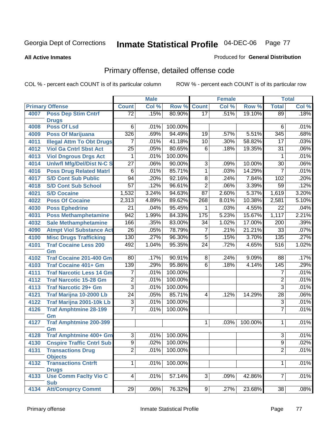#### **All Active Inmates**

### Produced for **General Distribution**

# Primary offense, detailed offense code

|      |                                                              | <b>Male</b>         |       | <b>Female</b>      |                 |       | <b>Total</b> |                     |              |
|------|--------------------------------------------------------------|---------------------|-------|--------------------|-----------------|-------|--------------|---------------------|--------------|
|      | <b>Primary Offense</b>                                       | <b>Count</b>        | Col % | Row %              | <b>Count</b>    | Col % | Row %        | <b>Total</b>        | Col %        |
| 4007 | <b>Poss Dep Stim Cntrf</b>                                   | $\overline{72}$     | .15%  | 80.90%             | $\overline{17}$ | .51%  | 19.10%       | 89                  | .18%         |
|      | <b>Drugs</b>                                                 |                     |       |                    |                 |       |              |                     |              |
| 4008 | <b>Poss Of Lsd</b>                                           | 6                   | .01%  | 100.00%            |                 |       |              | 6                   | .01%         |
| 4009 | <b>Poss Of Marijuana</b>                                     | 326                 | .69%  | 94.49%             | $\overline{19}$ | .57%  | 5.51%        | 345                 | .68%         |
| 4011 | <b>Illegal Attm To Obt Drugs</b>                             | 7                   | .01%  | 41.18%             | $\overline{10}$ | .30%  | 58.82%       | $\overline{17}$     | .03%         |
| 4012 | <b>Viol Ga Cntrl Sbst Act</b>                                | $\overline{25}$     | .05%  | 80.65%             | 6               | .18%  | 19.35%       | $\overline{31}$     | .06%         |
| 4013 | <b>Viol Dngrous Drgs Act</b>                                 | 1                   | .01%  | 100.00%            |                 |       |              | 1                   | .01%         |
| 4014 | <b>Uniwfl Mfg/Del/Dist N-C S</b>                             | $\overline{27}$     | .06%  | 90.00%             | $\overline{3}$  | .09%  | 10.00%       | $\overline{30}$     | .06%         |
| 4016 | <b>Poss Drug Related Matri</b>                               | $\overline{6}$      | .01%  | 85.71%             | 1               | .03%  | 14.29%       | $\overline{7}$      | .01%         |
| 4017 | <b>S/D Cont Sub Public</b>                                   | 94                  | .20%  | 92.16%             | 8               | .24%  | 7.84%        | 102                 | .20%         |
| 4018 | <b>S/D Cont Sub School</b>                                   | $\overline{57}$     | .12%  | 96.61%             | $\overline{2}$  | .06%  | 3.39%        | $\overline{59}$     | .12%         |
| 4021 | <b>S/D Cocaine</b>                                           | 1,532               | 3.24% | 94.63%             | $\overline{87}$ | 2.60% | 5.37%        | 1,619               | 3.20%        |
| 4022 | <b>Poss Of Cocaine</b>                                       | 2,313               | 4.89% | 89.62%             | 268             | 8.01% | 10.38%       | 2,581               | 5.10%        |
| 4030 | <b>Poss Ephedrine</b>                                        | $\overline{21}$     | .04%  | 95.45%             | 1               | .03%  | 4.55%        | $\overline{22}$     | .04%         |
| 4031 | <b>Poss Methamphetamine</b>                                  | 942                 | 1.99% | 84.33%             | 175             | 5.23% | 15.67%       | 1,117               | 2.21%        |
| 4032 | <b>Sale Methamphetamine</b>                                  | 166                 | .35%  | 83.00%             | $\overline{34}$ | 1.02% | 17.00%       | $\overline{200}$    | .39%         |
| 4090 | <b>Atmpt Viol Substance Act</b>                              | $\overline{26}$     | .05%  | 78.79%             | 7               | .21%  | 21.21%       | 33                  | .07%         |
| 4100 | <b>Misc Drugs Trafficking</b>                                | 130                 | .27%  | 96.30%             | $\overline{5}$  | .15%  | 3.70%        | 135                 | .27%         |
| 4101 | <b>Traf Cocaine Less 200</b>                                 | 492                 | 1.04% | 95.35%             | $\overline{24}$ | .72%  | 4.65%        | $\overline{516}$    | 1.02%        |
|      | Gm                                                           |                     |       |                    |                 |       |              |                     |              |
| 4102 | <b>Traf Cocaine 201-400 Gm</b>                               | 80                  | .17%  | 90.91%             | $\overline{8}$  | .24%  | 9.09%        | 88                  | .17%         |
| 4103 | <b>Traf Cocaine 401+ Gm</b>                                  | 139                 | .29%  | 95.86%             | $\overline{6}$  | .18%  | 4.14%        | 145                 | .29%         |
| 4111 | <b>Traf Narcotic Less 14 Gm</b>                              | 7                   | .01%  | 100.00%            |                 |       |              | 7                   | .01%         |
| 4112 | <b>Traf Narcotic 15-28 Gm</b>                                | $\overline{2}$      | .01%  | 100.00%            |                 |       |              | $\overline{2}$      | .01%         |
| 4113 | <b>Traf Narcotic 29+ Gm</b>                                  | $\overline{3}$      | .01%  | 100.00%            |                 |       |              | $\overline{3}$      | .01%         |
| 4121 | Traf Marijna 10-2000 Lb                                      | $\overline{24}$     | .05%  | 85.71%             | 4               | .12%  | 14.29%       | $\overline{28}$     | .06%         |
| 4122 | Traf Marijna 2001-10k Lb                                     | $\overline{3}$      | .01%  | 100.00%            |                 |       |              | $\overline{3}$      | .01%         |
| 4126 | <b>Traf Amphtmine 28-199</b>                                 | 7                   | .01%  | 100.00%            |                 |       |              | $\overline{7}$      | .01%         |
|      | Gm                                                           |                     |       |                    |                 |       |              |                     |              |
| 4127 | <b>Traf Amphtmine 200-399</b>                                |                     |       |                    | 1               | .03%  | 100.00%      | 1                   | .01%         |
| 4128 | Gm<br><b>Traf Amphtmine 400+ Gm</b>                          | $\overline{3}$      | .01%  | 100.00%            |                 |       |              | $\overline{3}$      | .01%         |
| 4130 |                                                              |                     | .02%  |                    |                 |       |              |                     |              |
| 4131 | <b>Cnspire Traffic Cntrl Sub</b><br><b>Transactions Drug</b> | 9<br>$\overline{2}$ | .01%  | 100.00%<br>100.00% |                 |       |              | 9<br>$\overline{2}$ | .02%<br>.01% |
|      | <b>Objects</b>                                               |                     |       |                    |                 |       |              |                     |              |
| 4132 | <b>Transactions Cntrft</b>                                   | $\overline{1}$      | .01%  | 100.00%            |                 |       |              | $\mathbf{1}$        | .01%         |
|      | <b>Drugs</b>                                                 |                     |       |                    |                 |       |              |                     |              |
| 4133 | <b>Use Comm Facity Vio C</b>                                 | $\overline{4}$      | .01%  | 57.14%             | $\overline{3}$  | .09%  | 42.86%       | 7                   | .01%         |
|      | <b>Sub</b>                                                   |                     |       |                    |                 |       |              |                     |              |
| 4134 | <b>Att/Consprcy Commt</b>                                    | 29                  | .06%  | 76.32%             | 9               | .27%  | 23.68%       | $\overline{38}$     | .08%         |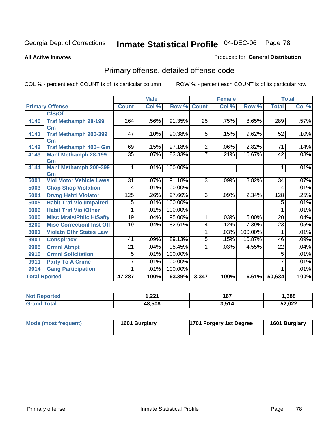**All Active Inmates**

### Produced for **General Distribution**

# Primary offense, detailed offense code

|                      |                                  |              | <b>Male</b> |         | <b>Female</b>  |       |         | <b>Total</b>    |       |
|----------------------|----------------------------------|--------------|-------------|---------|----------------|-------|---------|-----------------|-------|
|                      | <b>Primary Offense</b>           | <b>Count</b> | Col %       | Row %   | <b>Count</b>   | Col % | Row %   | <b>Total</b>    | Col % |
|                      | C/S/Of                           |              |             |         |                |       |         |                 |       |
| 4140                 | <b>Traf Methamph 28-199</b>      | 264          | .56%        | 91.35%  | 25             | .75%  | 8.65%   | 289             | .57%  |
|                      | Gm                               |              |             |         |                |       |         |                 |       |
| 4141                 | Traf Methamph 200-399            | 47           | .10%        | 90.38%  | 5              | .15%  | 9.62%   | 52              | .10%  |
|                      | Gm                               |              |             |         |                |       |         |                 |       |
| 4142                 | Traf Methamph 400+ Gm            | 69           | .15%        | 97.18%  | $\overline{2}$ | .06%  | 2.82%   | 71              | .14%  |
| 4143                 | <b>Manf Methamph 28-199</b>      | 35           | .07%        | 83.33%  | 7              | .21%  | 16.67%  | 42              | .08%  |
|                      | Gm                               |              |             |         |                |       |         |                 |       |
| 4144                 | <b>Manf Methamph 200-399</b>     | 1            | .01%        | 100.00% |                |       |         | 1               | .01%  |
|                      | Gm                               |              |             |         |                |       |         |                 |       |
| 5001                 | <b>Viol Motor Vehicle Laws</b>   | 31           | .07%        | 91.18%  | $\overline{3}$ | .09%  | 8.82%   | 34              | .07%  |
| 5003                 | <b>Chop Shop Violation</b>       | 4            | .01%        | 100.00% |                |       |         | 4               | .01%  |
| 5004                 | <b>Drvng Habtl Violator</b>      | 125          | .26%        | 97.66%  | 3              | .09%  | 2.34%   | 128             | .25%  |
| 5005                 | <b>Habit Traf Viol/Impaired</b>  | 5            | .01%        | 100.00% |                |       |         | 5               | .01%  |
| 5006                 | <b>Habit Traf Viol/Other</b>     | 1            | .01%        | 100.00% |                |       |         | 1               | .01%  |
| 6000                 | <b>Misc Mrals/Pblic H/Safty</b>  | 19           | .04%        | 95.00%  | 1              | .03%  | 5.00%   | 20              | .04%  |
| 6200                 | <b>Misc CorrectionI Inst Off</b> | 19           | .04%        | 82.61%  | 4              | .12%  | 17.39%  | $\overline{23}$ | .05%  |
| 8001                 | <b>Violatn Othr States Law</b>   |              |             |         | 1              | .03%  | 100.00% | 1               | .01%  |
| 9901                 | <b>Conspiracy</b>                | 41           | .09%        | 89.13%  | 5              | .15%  | 10.87%  | 46              | .09%  |
| 9905                 | <b>Crmnl Atmpt</b>               | 21           | .04%        | 95.45%  | 1              | .03%  | 4.55%   | 22              | .04%  |
| 9910                 | <b>Crmnl Solicitation</b>        | 5            | .01%        | 100.00% |                |       |         | 5               | .01%  |
| 9911                 | <b>Party To A Crime</b>          | 7            | .01%        | 100.00% |                |       |         | 7               | .01%  |
| 9914                 | <b>Gang Participation</b>        | 1            | .01%        | 100.00% |                |       |         |                 | .01%  |
| <b>Total Rported</b> |                                  | 47,287       | 100%        | 93.39%  | 3,347          | 100%  | 6.61%   | 50,634          | 100%  |

| rted<br>N<br>. | ຸດດເ<br>ا عمرا | 167                     | .388   |
|----------------|----------------|-------------------------|--------|
| ota.           | 48,508         | ) E <i>a i</i><br>3.514 | 52,022 |

| Mode (most frequent) | 1601 Burglary | 1701 Forgery 1st Degree | 1601 Burglary |
|----------------------|---------------|-------------------------|---------------|
|----------------------|---------------|-------------------------|---------------|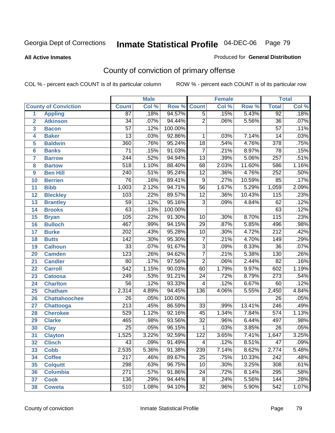**All Active Inmates**

### Produced for **General Distribution**

# County of conviction of primary offense

|                         |                             |                  | <b>Male</b> |         | <b>Female</b>   |       |        | <b>Total</b>     |         |
|-------------------------|-----------------------------|------------------|-------------|---------|-----------------|-------|--------|------------------|---------|
|                         | <b>County of Conviction</b> | <b>Count</b>     | Col %       | Row %   | <b>Count</b>    | Col % | Row %  | <b>Total</b>     | Col %   |
| 1                       | <b>Appling</b>              | $\overline{87}$  | .18%        | 94.57%  | $\overline{5}$  | .15%  | 5.43%  | 92               | .18%    |
| $\overline{2}$          | <b>Atkinson</b>             | $\overline{34}$  | .07%        | 94.44%  | $\overline{2}$  | .06%  | 5.56%  | $\overline{36}$  | .07%    |
| $\overline{\mathbf{3}}$ | <b>Bacon</b>                | $\overline{57}$  | .12%        | 100.00% |                 |       |        | $\overline{57}$  | .11%    |
| 4                       | <b>Baker</b>                | $\overline{13}$  | .03%        | 92.86%  | 1               | .03%  | 7.14%  | 14               | .03%    |
| 5                       | <b>Baldwin</b>              | 360              | .76%        | 95.24%  | $\overline{18}$ | .54%  | 4.76%  | $\overline{378}$ | .75%    |
| 6                       | <b>Banks</b>                | $\overline{71}$  | .15%        | 91.03%  | $\overline{7}$  | .21%  | 8.97%  | 78               | .15%    |
| 7                       | <b>Barrow</b>               | $\overline{244}$ | .52%        | 94.94%  | $\overline{13}$ | .39%  | 5.06%  | $\overline{257}$ | .51%    |
| 8                       | <b>Bartow</b>               | $\overline{518}$ | 1.10%       | 88.40%  | 68              | 2.03% | 11.60% | 586              | 1.16%   |
| 9                       | <b>Ben Hill</b>             | $\overline{240}$ | .51%        | 95.24%  | $\overline{12}$ | .36%  | 4.76%  | 252              | .50%    |
| 10                      | <b>Berrien</b>              | $\overline{76}$  | .16%        | 89.41%  | $\overline{9}$  | .27%  | 10.59% | 85               | .17%    |
| 11                      | <b>Bibb</b>                 | 1,003            | 2.12%       | 94.71%  | $\overline{56}$ | 1.67% | 5.29%  | 1,059            | 2.09%   |
| 12                      | <b>Bleckley</b>             | 103              | .22%        | 89.57%  | $\overline{12}$ | .36%  | 10.43% | $\overline{115}$ | .23%    |
| $\overline{13}$         | <b>Brantley</b>             | $\overline{59}$  | .12%        | 95.16%  | $\overline{3}$  | .09%  | 4.84%  | 62               | .12%    |
| 14                      | <b>Brooks</b>               | $\overline{63}$  | .13%        | 100.00% |                 |       |        | 63               | .12%    |
| 15                      | <b>Bryan</b>                | 105              | .22%        | 91.30%  | 10              | .30%  | 8.70%  | $\overline{115}$ | .23%    |
| 16                      | <b>Bulloch</b>              | 467              | .99%        | 94.15%  | $\overline{29}$ | .87%  | 5.85%  | 496              | .98%    |
| 17                      | <b>Burke</b>                | $\overline{202}$ | .43%        | 95.28%  | $\overline{10}$ | .30%  | 4.72%  | $\overline{212}$ | .42%    |
| 18                      | <b>Butts</b>                | 142              | .30%        | 95.30%  | $\overline{7}$  | .21%  | 4.70%  | $\overline{149}$ | .29%    |
| 19                      | <b>Calhoun</b>              | $\overline{33}$  | .07%        | 91.67%  | $\overline{3}$  | .09%  | 8.33%  | $\overline{36}$  | .07%    |
| 20                      | <b>Camden</b>               | 123              | .26%        | 94.62%  | $\overline{7}$  | .21%  | 5.38%  | 130              | .26%    |
| 21                      | <b>Candler</b>              | $\overline{80}$  | .17%        | 97.56%  | $\overline{2}$  | .06%  | 2.44%  | $\overline{82}$  | .16%    |
| 22                      | <b>Carroll</b>              | $\overline{542}$ | 1.15%       | 90.03%  | $\overline{60}$ | 1.79% | 9.97%  | 602              | 1.19%   |
| 23                      | <b>Catoosa</b>              | 249              | .53%        | 91.21%  | $\overline{24}$ | .72%  | 8.79%  | 273              | .54%    |
| 24                      | <b>Charlton</b>             | $\overline{56}$  | .12%        | 93.33%  | 4               | .12%  | 6.67%  | 60               | .12%    |
| 25                      | <b>Chatham</b>              | 2,314            | 4.89%       | 94.45%  | 136             | 4.06% | 5.55%  | 2,450            | 4.84%   |
| 26                      | <b>Chattahoochee</b>        | $\overline{26}$  | .05%        | 100.00% |                 |       |        | $\overline{26}$  | .05%    |
| 27                      | <b>Chattooga</b>            | $\overline{213}$ | .45%        | 86.59%  | $\overline{33}$ | .99%  | 13.41% | $\overline{246}$ | .49%    |
| 28                      | <b>Cherokee</b>             | 529              | 1.12%       | 92.16%  | 45              | 1.34% | 7.84%  | $\overline{574}$ | 1.13%   |
| 29                      | <b>Clarke</b>               | 465              | .98%        | 93.56%  | $\overline{32}$ | .96%  | 6.44%  | 497              | .98%    |
| 30                      | <b>Clay</b>                 | $\overline{25}$  | .05%        | 96.15%  | $\mathbf{1}$    | .03%  | 3.85%  | $\overline{26}$  | .05%    |
| 31                      | <b>Clayton</b>              | 1,525            | 3.22%       | 92.59%  | 122             | 3.65% | 7.41%  | 1,647            | 3.25%   |
| 32                      | <b>Clinch</b>               | 43               | .09%        | 91.49%  | 4               | .12%  | 8.51%  | 47               | $.09\%$ |
| 33                      | <b>Cobb</b>                 | 2,535            | 5.36%       | 91.38%  | 239             | 7.14% | 8.62%  | 2,774            | 5.48%   |
| 34                      | <b>Coffee</b>               | 217              | .46%        | 89.67%  | 25              | .75%  | 10.33% | 242              | .48%    |
| 35                      | <b>Colquitt</b>             | 298              | .63%        | 96.75%  | 10              | .30%  | 3.25%  | 308              | .61%    |
| 36                      | <b>Columbia</b>             | 271              | .57%        | 91.86%  | 24              | .72%  | 8.14%  | 295              | .58%    |
| 37                      | <b>Cook</b>                 | 136              | .29%        | 94.44%  | $\overline{8}$  | .24%  | 5.56%  | 144              | .28%    |
| 38                      | <b>Coweta</b>               | 510              | 1.08%       | 94.10%  | $\overline{32}$ | .96%  | 5.90%  | 542              | 1.07%   |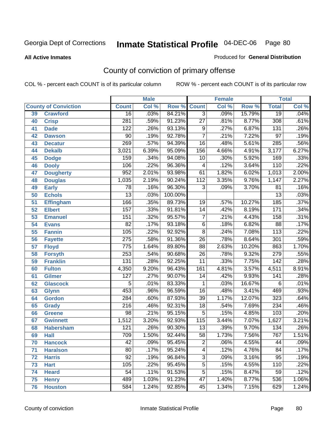**All Active Inmates**

#### Produced for **General Distribution**

# County of conviction of primary offense

|    |                             |                  | <b>Male</b> |         |                 | <b>Female</b> |        |                  | <b>Total</b> |
|----|-----------------------------|------------------|-------------|---------|-----------------|---------------|--------|------------------|--------------|
|    | <b>County of Conviction</b> | <b>Count</b>     | Col %       | Row %   | <b>Count</b>    | Col %         | Row %  | <b>Total</b>     | Col %        |
| 39 | <b>Crawford</b>             | $\overline{16}$  | .03%        | 84.21%  | $\overline{3}$  | .09%          | 15.79% | $\overline{19}$  | .04%         |
| 40 | <b>Crisp</b>                | 281              | .59%        | 91.23%  | $\overline{27}$ | .81%          | 8.77%  | 308              | .61%         |
| 41 | <b>Dade</b>                 | 122              | .26%        | 93.13%  | 9               | .27%          | 6.87%  | $\overline{131}$ | .26%         |
| 42 | <b>Dawson</b>               | 90               | .19%        | 92.78%  | $\overline{7}$  | .21%          | 7.22%  | $\overline{97}$  | .19%         |
| 43 | <b>Decatur</b>              | 269              | .57%        | 94.39%  | $\overline{16}$ | .48%          | 5.61%  | 285              | .56%         |
| 44 | <b>Dekalb</b>               | 3,021            | 6.39%       | 95.09%  | 156             | 4.66%         | 4.91%  | 3,177            | 6.27%        |
| 45 | <b>Dodge</b>                | 159              | .34%        | 94.08%  | 10              | .30%          | 5.92%  | 169              | .33%         |
| 46 | <b>Dooly</b>                | 106              | .22%        | 96.36%  | 4               | .12%          | 3.64%  | 110              | .22%         |
| 47 | <b>Dougherty</b>            | 952              | 2.01%       | 93.98%  | 61              | 1.82%         | 6.02%  | 1,013            | 2.00%        |
| 48 | <b>Douglas</b>              | 1,035            | 2.19%       | 90.24%  | 112             | 3.35%         | 9.76%  | 1,147            | 2.27%        |
| 49 | <b>Early</b>                | 78               | .16%        | 96.30%  | 3               | .09%          | 3.70%  | $\overline{81}$  | .16%         |
| 50 | <b>Echols</b>               | $\overline{13}$  | .03%        | 100.00% |                 |               |        | $\overline{13}$  | .03%         |
| 51 | <b>Effingham</b>            | 166              | .35%        | 89.73%  | 19              | .57%          | 10.27% | 185              | .37%         |
| 52 | <b>Elbert</b>               | 157              | .33%        | 91.81%  | 14              | .42%          | 8.19%  | 171              | .34%         |
| 53 | <b>Emanuel</b>              | 151              | .32%        | 95.57%  | $\overline{7}$  | .21%          | 4.43%  | 158              | .31%         |
| 54 | <b>Evans</b>                | $\overline{82}$  | .17%        | 93.18%  | 6               | .18%          | 6.82%  | $\overline{88}$  | .17%         |
| 55 | <b>Fannin</b>               | 105              | .22%        | 92.92%  | $\overline{8}$  | .24%          | 7.08%  | $\overline{113}$ | .22%         |
| 56 | <b>Fayette</b>              | $\overline{275}$ | .58%        | 91.36%  | $\overline{26}$ | .78%          | 8.64%  | $\overline{301}$ | .59%         |
| 57 | <b>Floyd</b>                | 775              | 1.64%       | 89.80%  | $\overline{88}$ | 2.63%         | 10.20% | 863              | 1.70%        |
| 58 | <b>Forsyth</b>              | 253              | .54%        | 90.68%  | 26              | .78%          | 9.32%  | $\overline{279}$ | .55%         |
| 59 | <b>Franklin</b>             | 131              | .28%        | 92.25%  | $\overline{11}$ | .33%          | 7.75%  | $\overline{142}$ | .28%         |
| 60 | <b>Fulton</b>               | 4,350            | 9.20%       | 96.43%  | 161             | 4.81%         | 3.57%  | 4,511            | 8.91%        |
| 61 | Gilmer                      | 127              | .27%        | 90.07%  | 14              | .42%          | 9.93%  | 141              | .28%         |
| 62 | <b>Glascock</b>             | 5                | .01%        | 83.33%  | 1               | .03%          | 16.67% | 6                | .01%         |
| 63 | <b>Glynn</b>                | 453              | .96%        | 96.59%  | 16              | .48%          | 3.41%  | 469              | .93%         |
| 64 | <b>Gordon</b>               | 284              | .60%        | 87.93%  | $\overline{39}$ | 1.17%         | 12.07% | 323              | .64%         |
| 65 | <b>Grady</b>                | $\overline{216}$ | .46%        | 92.31%  | $\overline{18}$ | .54%          | 7.69%  | 234              | .46%         |
| 66 | <b>Greene</b>               | $\overline{98}$  | .21%        | 95.15%  | 5               | .15%          | 4.85%  | 103              | .20%         |
| 67 | <b>Gwinnett</b>             | 1,512            | 3.20%       | 92.93%  | 115             | 3.44%         | 7.07%  | 1,627            | 3.21%        |
| 68 | <b>Habersham</b>            | 121              | .26%        | 90.30%  | 13              | .39%          | 9.70%  | $\overline{134}$ | .26%         |
| 69 | <b>Hall</b>                 | 709              | 1.50%       | 92.44%  | 58              | 1.73%         | 7.56%  | 767              | 1.51%        |
| 70 | <b>Hancock</b>              | 42               | .09%        | 95.45%  | 2               | .06%          | 4.55%  | 44               | $.09\%$      |
| 71 | <b>Haralson</b>             | $\overline{80}$  | .17%        | 95.24%  | $\overline{4}$  | .12%          | 4.76%  | $\overline{84}$  | .17%         |
| 72 | <b>Harris</b>               | $\overline{92}$  | .19%        | 96.84%  | $\overline{3}$  | .09%          | 3.16%  | 95               | .19%         |
| 73 | <b>Hart</b>                 | 105              | .22%        | 95.45%  | $\overline{5}$  | .15%          | 4.55%  | 110              | .22%         |
| 74 | <b>Heard</b>                | 54               | .11%        | 91.53%  | 5               | .15%          | 8.47%  | 59               | .12%         |
| 75 | <b>Henry</b>                | 489              | 1.03%       | 91.23%  | $\overline{47}$ | 1.40%         | 8.77%  | 536              | 1.06%        |
| 76 | <b>Houston</b>              | 584              | 1.24%       | 92.85%  | 45              | 1.34%         | 7.15%  | 629              | 1.24%        |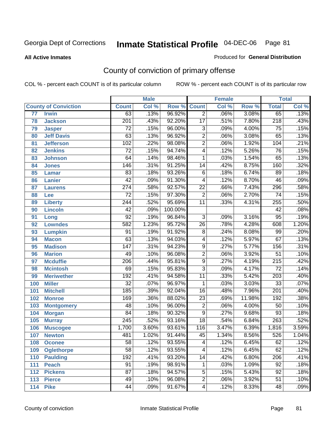#### **All Active Inmates**

#### Produced for **General Distribution**

# County of conviction of primary offense

|                 |                             |                  | <b>Male</b> |         |                 | <b>Female</b> |        |                  | <b>Total</b> |
|-----------------|-----------------------------|------------------|-------------|---------|-----------------|---------------|--------|------------------|--------------|
|                 | <b>County of Conviction</b> | <b>Count</b>     | Col %       | Row %   | <b>Count</b>    | Col %         | Row %  | <b>Total</b>     | Col %        |
| $\overline{77}$ | <b>Irwin</b>                | 63               | .13%        | 96.92%  | $\overline{2}$  | .06%          | 3.08%  | 65               | .13%         |
| 78              | <b>Jackson</b>              | $\overline{201}$ | .43%        | 92.20%  | $\overline{17}$ | .51%          | 7.80%  | $\overline{218}$ | .43%         |
| 79              | <b>Jasper</b>               | $\overline{72}$  | .15%        | 96.00%  | $\overline{3}$  | .09%          | 4.00%  | $\overline{75}$  | .15%         |
| 80              | <b>Jeff Davis</b>           | 63               | .13%        | 96.92%  | $\overline{2}$  | .06%          | 3.08%  | 65               | .13%         |
| 81              | <b>Jefferson</b>            | 102              | .22%        | 98.08%  | $\overline{2}$  | .06%          | 1.92%  | 104              | .21%         |
| 82              | <b>Jenkins</b>              | $\overline{72}$  | .15%        | 94.74%  | $\overline{4}$  | .12%          | 5.26%  | $\overline{76}$  | .15%         |
| 83              | <b>Johnson</b>              | 64               | .14%        | 98.46%  | 1               | .03%          | 1.54%  | 65               | .13%         |
| 84              | <b>Jones</b>                | 146              | .31%        | 91.25%  | 14              | .42%          | 8.75%  | 160              | .32%         |
| 85              | <b>Lamar</b>                | 83               | .18%        | 93.26%  | $\overline{6}$  | .18%          | 6.74%  | 89               | .18%         |
| 86              | <b>Lanier</b>               | $\overline{42}$  | .09%        | 91.30%  | 4               | .12%          | 8.70%  | 46               | .09%         |
| 87              | <b>Laurens</b>              | $\overline{274}$ | .58%        | 92.57%  | $\overline{22}$ | .66%          | 7.43%  | 296              | .58%         |
| 88              | Lee                         | $\overline{72}$  | .15%        | 97.30%  | $\overline{2}$  | .06%          | 2.70%  | 74               | .15%         |
| 89              | <b>Liberty</b>              | $\overline{244}$ | .52%        | 95.69%  | $\overline{11}$ | .33%          | 4.31%  | 255              | .50%         |
| 90              | <b>Lincoln</b>              | $\overline{42}$  | .09%        | 100.00% |                 |               |        | 42               | .08%         |
| 91              | Long                        | $\overline{92}$  | .19%        | 96.84%  | $\overline{3}$  | .09%          | 3.16%  | $\overline{95}$  | .19%         |
| 92              | <b>Lowndes</b>              | 582              | 1.23%       | 95.72%  | 26              | .78%          | 4.28%  | 608              | 1.20%        |
| 93              | <b>Lumpkin</b>              | $\overline{91}$  | .19%        | 91.92%  | $\overline{8}$  | .24%          | 8.08%  | 99               | .20%         |
| 94              | <b>Macon</b>                | 63               | .13%        | 94.03%  | 4               | .12%          | 5.97%  | $\overline{67}$  | .13%         |
| 95              | <b>Madison</b>              | $\overline{147}$ | .31%        | 94.23%  | $\overline{9}$  | .27%          | 5.77%  | 156              | .31%         |
| 96              | <b>Marion</b>               | 49               | .10%        | 96.08%  | $\overline{2}$  | .06%          | 3.92%  | $\overline{51}$  | .10%         |
| 97              | <b>Mcduffie</b>             | $\overline{206}$ | .44%        | 95.81%  | $\overline{9}$  | .27%          | 4.19%  | $\overline{215}$ | .42%         |
| 98              | <b>Mcintosh</b>             | 69               | .15%        | 95.83%  | $\overline{3}$  | .09%          | 4.17%  | $\overline{72}$  | .14%         |
| 99              | <b>Meriwether</b>           | 192              | .41%        | 94.58%  | 11              | .33%          | 5.42%  | $\overline{203}$ | .40%         |
| 100             | <b>Miller</b>               | $\overline{32}$  | .07%        | 96.97%  | 1               | .03%          | 3.03%  | $\overline{33}$  | .07%         |
| 101             | <b>Mitchell</b>             | 185              | .39%        | 92.04%  | $\overline{16}$ | .48%          | 7.96%  | $\overline{201}$ | .40%         |
| 102             | <b>Monroe</b>               | 169              | .36%        | 88.02%  | $\overline{23}$ | .69%          | 11.98% | 192              | .38%         |
| 103             | <b>Montgomery</b>           | 48               | .10%        | 96.00%  | $\overline{2}$  | .06%          | 4.00%  | 50               | .10%         |
| 104             | <b>Morgan</b>               | $\overline{84}$  | .18%        | 90.32%  | $\overline{9}$  | .27%          | 9.68%  | 93               | .18%         |
| 105             | <b>Murray</b>               | $\overline{245}$ | .52%        | 93.16%  | $\overline{18}$ | .54%          | 6.84%  | 263              | .52%         |
| 106             | <b>Muscogee</b>             | 1,700            | 3.60%       | 93.61%  | 116             | 3.47%         | 6.39%  | 1,816            | 3.59%        |
| 107             | <b>Newton</b>               | 481              | 1.02%       | 91.44%  | 45              | 1.34%         | 8.56%  | 526              | 1.04%        |
| 108             | <b>Oconee</b>               | 58               | .12%        | 93.55%  | 4               | .12%          | 6.45%  | 62               | .12%         |
| 109             | <b>Oglethorpe</b>           | $\overline{58}$  | .12%        | 93.55%  | $\overline{4}$  | .12%          | 6.45%  | 62               | .12%         |
| 110             | Paulding                    | 192              | .41%        | 93.20%  | 14              | .42%          | 6.80%  | 206              | .41%         |
| 111             | <b>Peach</b>                | 91               | .19%        | 98.91%  | 1               | .03%          | 1.09%  | 92               | .18%         |
| 112             | <b>Pickens</b>              | $\overline{87}$  | .18%        | 94.57%  | 5               | .15%          | 5.43%  | 92               | .18%         |
| 113             | <b>Pierce</b>               | 49               | .10%        | 96.08%  | $\overline{2}$  | .06%          | 3.92%  | $\overline{51}$  | .10%         |
| 114             | <b>Pike</b>                 | 44               | .09%        | 91.67%  | 4               | .12%          | 8.33%  | 48               | .09%         |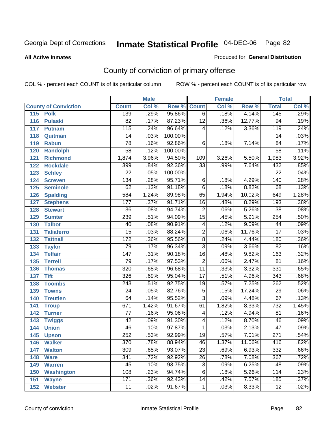**All Active Inmates**

### Produced for **General Distribution**

# County of conviction of primary offense

| <b>Male</b><br><b>Female</b> |                             |                  |       |                    | <b>Total</b>             |       |        |                  |       |
|------------------------------|-----------------------------|------------------|-------|--------------------|--------------------------|-------|--------|------------------|-------|
|                              | <b>County of Conviction</b> | <b>Count</b>     | Col % | <b>Row % Count</b> |                          | Col % | Row %  | <b>Total</b>     | Col % |
| 115                          | <b>Polk</b>                 | 139              | .29%  | 95.86%             | $\overline{6}$           | .18%  | 4.14%  | 145              | .29%  |
| 116                          | <b>Pulaski</b>              | 82               | .17%  | 87.23%             | $\overline{12}$          | .36%  | 12.77% | 94               | .19%  |
| 117                          | <b>Putnam</b>               | 115              | .24%  | 96.64%             | $\overline{\mathcal{A}}$ | .12%  | 3.36%  | $\overline{119}$ | .24%  |
| 118                          | Quitman                     | 14               | .03%  | 100.00%            |                          |       |        | 14               | .03%  |
| 119                          | <b>Rabun</b>                | 78               | .16%  | 92.86%             | $\overline{6}$           | .18%  | 7.14%  | $\overline{84}$  | .17%  |
| 120                          | <b>Randolph</b>             | $\overline{58}$  | .12%  | 100.00%            |                          |       |        | $\overline{58}$  | .11%  |
| 121                          | <b>Richmond</b>             | 1,874            | 3.96% | 94.50%             | 109                      | 3.26% | 5.50%  | 1,983            | 3.92% |
| 122                          | <b>Rockdale</b>             | 399              | .84%  | 92.36%             | 33                       | .99%  | 7.64%  | 432              | .85%  |
| 123                          | <b>Schley</b>               | $\overline{22}$  | .05%  | 100.00%            |                          |       |        | $\overline{22}$  | .04%  |
| 124                          | <b>Screven</b>              | 134              | .28%  | 95.71%             | 6                        | .18%  | 4.29%  | 140              | .28%  |
| 125                          | <b>Seminole</b>             | 62               | .13%  | 91.18%             | $\overline{6}$           | .18%  | 8.82%  | 68               | .13%  |
| 126                          | <b>Spalding</b>             | $\overline{584}$ | 1.24% | 89.98%             | 65                       | 1.94% | 10.02% | 649              | 1.28% |
| 127                          | <b>Stephens</b>             | 177              | .37%  | 91.71%             | 16                       | .48%  | 8.29%  | 193              | .38%  |
| 128                          | <b>Stewart</b>              | $\overline{36}$  | .08%  | 94.74%             | $\overline{2}$           | .06%  | 5.26%  | $\overline{38}$  | .08%  |
| 129                          | <b>Sumter</b>               | 239              | .51%  | 94.09%             | $\overline{15}$          | .45%  | 5.91%  | 254              | .50%  |
| 130                          | <b>Talbot</b>               | 40               | .08%  | 90.91%             | 4                        | .12%  | 9.09%  | 44               | .09%  |
| 131                          | <b>Taliaferro</b>           | $\overline{15}$  | .03%  | 88.24%             | $\overline{2}$           | .06%  | 11.76% | $\overline{17}$  | .03%  |
| 132                          | <b>Tattnall</b>             | 172              | .36%  | 95.56%             | $\overline{8}$           | .24%  | 4.44%  | 180              | .36%  |
| 133                          | <b>Taylor</b>               | 79               | .17%  | 96.34%             | $\overline{3}$           | .09%  | 3.66%  | $\overline{82}$  | .16%  |
| 134                          | <b>Telfair</b>              | $\overline{147}$ | .31%  | 90.18%             | $\overline{16}$          | .48%  | 9.82%  | 163              | .32%  |
| 135                          | <b>Terrell</b>              | $\overline{79}$  | .17%  | 97.53%             | $\overline{2}$           | .06%  | 2.47%  | $\overline{81}$  | .16%  |
| 136                          | <b>Thomas</b>               | 320              | .68%  | 96.68%             | $\overline{11}$          | .33%  | 3.32%  | 331              | .65%  |
| 137                          | <b>Tift</b>                 | 326              | .69%  | 95.04%             | $\overline{17}$          | .51%  | 4.96%  | $\overline{343}$ | .68%  |
| 138                          | <b>Toombs</b>               | 243              | .51%  | 92.75%             | 19                       | .57%  | 7.25%  | 262              | .52%  |
| 139                          | <b>Towns</b>                | $\overline{24}$  | .05%  | 82.76%             | $\overline{5}$           | .15%  | 17.24% | 29               | .06%  |
| 140                          | <b>Treutlen</b>             | 64               | .14%  | 95.52%             | $\overline{3}$           | .09%  | 4.48%  | 67               | .13%  |
| 141                          | <b>Troup</b>                | 671              | 1.42% | 91.67%             | 61                       | 1.82% | 8.33%  | 732              | 1.45% |
| 142                          | <b>Turner</b>               | 77               | .16%  | 95.06%             | 4                        | .12%  | 4.94%  | 81               | .16%  |
| 143                          | <b>Twiggs</b>               | 42               | .09%  | 91.30%             | $\overline{4}$           | .12%  | 8.70%  | 46               | .09%  |
| 144                          | <b>Union</b>                | 46               | .10%  | 97.87%             | $\mathbf{1}$             | .03%  | 2.13%  | $\overline{47}$  | .09%  |
| 145                          | <b>Upson</b>                | 252              | .53%  | 92.99%             | 19                       | .57%  | 7.01%  | $\overline{271}$ | .54%  |
| 146                          | <b>Walker</b>               | 370              | .78%  | 88.94%             | 46                       | 1.37% | 11.06% | 416              | .82%  |
| 147                          | <b>Walton</b>               | $\overline{309}$ | .65%  | 93.07%             | $\overline{23}$          | .69%  | 6.93%  | 332              | .66%  |
| 148                          | <b>Ware</b>                 | 341              | .72%  | 92.92%             | 26                       | .78%  | 7.08%  | 367              | .72%  |
| 149                          | <b>Warren</b>               | 45               | .10%  | 93.75%             | 3                        | .09%  | 6.25%  | 48               | .09%  |
| 150                          | <b>Washington</b>           | 108              | .23%  | 94.74%             | 6                        | .18%  | 5.26%  | 114              | .23%  |
| 151                          | <b>Wayne</b>                | 171              | .36%  | 92.43%             | 14                       | .42%  | 7.57%  | 185              | .37%  |
| 152                          | <b>Webster</b>              | 11               | .02%  | 91.67%             | $\mathbf{1}$             | .03%  | 8.33%  | 12               | .02%  |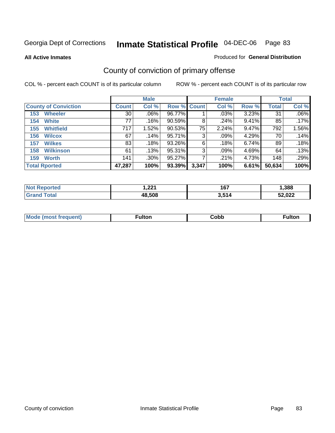**All Active Inmates**

### Produced for **General Distribution**

# County of conviction of primary offense

|                             |              | <b>Male</b> |             |       | <b>Female</b> |       |              | <b>Total</b> |
|-----------------------------|--------------|-------------|-------------|-------|---------------|-------|--------------|--------------|
| <b>County of Conviction</b> | <b>Count</b> | Col %       | Row % Count |       | Col %         | Row % | <b>Total</b> | Col %        |
| <b>Wheeler</b><br>153       | 30           | $.06\%$     | 96.77%      |       | .03%          | 3.23% | 31           | $.06\%$      |
| <b>White</b><br>154         | 77           | .16%        | $90.59\%$   | 8     | .24%          | 9.41% | 85           | .17%         |
| <b>Whitfield</b><br>155     | 717          | 1.52%       | $90.53\%$   | 75    | 2.24%         | 9.47% | 792          | 1.56%        |
| 156<br><b>Wilcox</b>        | 67           | .14%        | 95.71%      | 3     | $.09\%$       | 4.29% | 70           | .14%         |
| <b>Wilkes</b><br>157        | 83           | .18%        | 93.26%      | 6     | .18%          | 6.74% | 89           | .18%         |
| <b>Wilkinson</b><br>158     | 61           | .13%        | 95.31%      | 3     | .09%          | 4.69% | 64           | .13%         |
| <b>Worth</b><br>159         | 141          | $.30\%$     | $95.27\%$   |       | .21%          | 4.73% | 148          | .29%         |
| <b>Total Rported</b>        | 47,287       | 100%        | 93.39%      | 3,347 | 100%          | 6.61% | 50,634       | 100%         |

| тео<br>'N ( | つつイ<br>I . <i>ll</i> | 167   | ,388           |
|-------------|----------------------|-------|----------------|
|             | 48.508               | 3,514 | EO OOO<br>.UZZ |

| <b>Mo</b><br>uent) | ™ulton<br>_____ | obb∶ |  |
|--------------------|-----------------|------|--|
|                    |                 |      |  |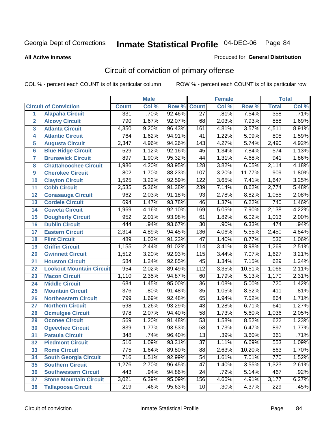#### **All Active Inmates**

#### Produced for **General Distribution**

# Circuit of conviction of primary offense

|                         |                                 |                  | <b>Male</b> |        |                  | <b>Female</b> |        |                  | <b>Total</b> |
|-------------------------|---------------------------------|------------------|-------------|--------|------------------|---------------|--------|------------------|--------------|
|                         | <b>Circuit of Conviction</b>    | <b>Count</b>     | CoI%        | Row %  | <b>Count</b>     | Col %         | Row %  | <b>Total</b>     | Col %        |
| 1                       | <b>Alapaha Circuit</b>          | 331              | .70%        | 92.46% | $\overline{27}$  | .81%          | 7.54%  | 358              | .71%         |
| $\overline{2}$          | <b>Alcovy Circuit</b>           | 790              | 1.67%       | 92.07% | 68               | 2.03%         | 7.93%  | 858              | 1.69%        |
| $\overline{\mathbf{3}}$ | <b>Atlanta Circuit</b>          | 4,350            | 9.20%       | 96.43% | 161              | 4.81%         | 3.57%  | 4,511            | 8.91%        |
| 4                       | <b>Atlantic Circuit</b>         | 764              | 1.62%       | 94.91% | 41               | 1.22%         | 5.09%  | 805              | 1.59%        |
| 5                       | <b>Augusta Circuit</b>          | 2,347            | 4.96%       | 94.26% | 143              | 4.27%         | 5.74%  | 2,490            | 4.92%        |
| $6\phantom{a}$          | <b>Blue Ridge Circuit</b>       | 529              | 1.12%       | 92.16% | $\overline{45}$  | 1.34%         | 7.84%  | $\overline{574}$ | 1.13%        |
| $\overline{7}$          | <b>Brunswick Circuit</b>        | 897              | 1.90%       | 95.32% | 44               | 1.31%         | 4.68%  | 941              | 1.86%        |
| 8                       | <b>Chattahoochee Circuit</b>    | 1,986            | 4.20%       | 93.95% | 128              | 3.82%         | 6.05%  | 2,114            | 4.18%        |
| 9                       | <b>Cherokee Circuit</b>         | 802              | 1.70%       | 88.23% | 107              | 3.20%         | 11.77% | 909              | 1.80%        |
| 10                      | <b>Clayton Circuit</b>          | 1,525            | 3.22%       | 92.59% | 122              | 3.65%         | 7.41%  | 1,647            | 3.25%        |
| 11                      | <b>Cobb Circuit</b>             | 2,535            | 5.36%       | 91.38% | 239              | 7.14%         | 8.62%  | 2,774            | 5.48%        |
| 12                      | <b>Conasauga Circuit</b>        | 962              | 2.03%       | 91.18% | 93               | 2.78%         | 8.82%  | 1,055            | 2.08%        |
| 13                      | <b>Cordele Circuit</b>          | 694              | 1.47%       | 93.78% | $\overline{46}$  | 1.37%         | 6.22%  | 740              | 1.46%        |
| 14                      | <b>Coweta Circuit</b>           | 1,969            | 4.16%       | 92.10% | 169              | 5.05%         | 7.90%  | 2,138            | 4.22%        |
| 15                      | <b>Dougherty Circuit</b>        | 952              | 2.01%       | 93.98% | 61               | 1.82%         | 6.02%  | 1,013            | 2.00%        |
| 16                      | <b>Dublin Circuit</b>           | 444              | .94%        | 93.67% | $\overline{30}$  | .90%          | 6.33%  | 474              | .94%         |
| 17                      | <b>Eastern Circuit</b>          | 2,314            | 4.89%       | 94.45% | 136              | 4.06%         | 5.55%  | 2,450            | 4.84%        |
| 18                      | <b>Flint Circuit</b>            | 489              | 1.03%       | 91.23% | $\overline{47}$  | 1.40%         | 8.77%  | 536              | 1.06%        |
| 19                      | <b>Griffin Circuit</b>          | 1,155            | 2.44%       | 91.02% | 114              | 3.41%         | 8.98%  | 1,269            | 2.51%        |
| 20                      | <b>Gwinnett Circuit</b>         | 1,512            | 3.20%       | 92.93% | 115              | 3.44%         | 7.07%  | 1,627            | 3.21%        |
| 21                      | <b>Houston Circuit</b>          | 584              | 1.24%       | 92.85% | 45               | 1.34%         | 7.15%  | 629              | 1.24%        |
| 22                      | <b>Lookout Mountain Circuit</b> | 954              | 2.02%       | 89.49% | $\overline{112}$ | 3.35%         | 10.51% | 1,066            | 2.11%        |
| 23                      | <b>Macon Circuit</b>            | 1,110            | 2.35%       | 94.87% | 60               | 1.79%         | 5.13%  | 1,170            | 2.31%        |
| 24                      | <b>Middle Circuit</b>           | 684              | 1.45%       | 95.00% | 36               | 1.08%         | 5.00%  | $\overline{720}$ | 1.42%        |
| 25                      | <b>Mountain Circuit</b>         | $\overline{376}$ | .80%        | 91.48% | $\overline{35}$  | 1.05%         | 8.52%  | 411              | .81%         |
| 26                      | <b>Northeastern Circuit</b>     | 799              | 1.69%       | 92.48% | 65               | 1.94%         | 7.52%  | 864              | 1.71%        |
| 27                      | <b>Northern Circuit</b>         | 598              | 1.26%       | 93.29% | 43               | 1.28%         | 6.71%  | 641              | 1.27%        |
| 28                      | <b>Ocmulgee Circuit</b>         | 978              | 2.07%       | 94.40% | 58               | 1.73%         | 5.60%  | 1,036            | 2.05%        |
| 29                      | <b>Oconee Circuit</b>           | 569              | 1.20%       | 91.48% | $\overline{53}$  | 1.58%         | 8.52%  | 622              | 1.23%        |
| 30                      | <b>Ogeechee Circuit</b>         | 839              | 1.77%       | 93.53% | $\overline{58}$  | 1.73%         | 6.47%  | 897              | 1.77%        |
| 31                      | <b>Pataula Circuit</b>          | 348              | .74%        | 96.40% | 13               | .39%          | 3.60%  | 361              | .71%         |
| 32                      | <b>Piedmont Circuit</b>         | $\overline{516}$ | 1.09%       | 93.31% | $\overline{37}$  | 1.11%         | 6.69%  | 553              | 1.09%        |
| 33                      | <b>Rome Circuit</b>             | 775              | 1.64%       | 89.80% | 88               | 2.63%         | 10.20% | 863              | 1.70%        |
| 34                      | <b>South Georgia Circuit</b>    | $\overline{716}$ | 1.51%       | 92.99% | $\overline{54}$  | 1.61%         | 7.01%  | 770              | 1.52%        |
| 35                      | <b>Southern Circuit</b>         | 1,276            | 2.70%       | 96.45% | 47               | 1.40%         | 3.55%  | 1,323            | 2.61%        |
| 36                      | <b>Southwestern Circuit</b>     | 443              | .94%        | 94.86% | 24               | .72%          | 5.14%  | 467              | .92%         |
| 37                      | <b>Stone Mountain Circuit</b>   | 3,021            | 6.39%       | 95.09% | 156              | 4.66%         | 4.91%  | 3,177            | 6.27%        |
| 38                      | <b>Tallapoosa Circuit</b>       | $\overline{219}$ | .46%        | 95.63% | 10               | .30%          | 4.37%  | 229              | .45%         |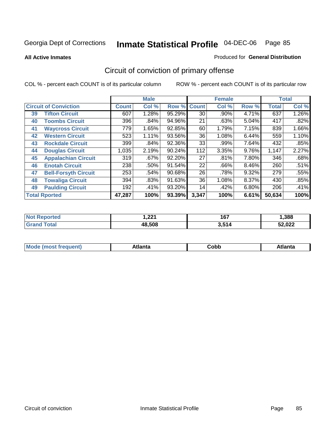**All Active Inmates**

#### Produced for **General Distribution**

# Circuit of conviction of primary offense

|    |                              |              | <b>Male</b> |        |              | <b>Female</b> |          |              | <b>Total</b> |
|----|------------------------------|--------------|-------------|--------|--------------|---------------|----------|--------------|--------------|
|    | <b>Circuit of Conviction</b> | <b>Count</b> | Col %       | Row %  | <b>Count</b> | Col %         | Row %    | <b>Total</b> | Col %        |
| 39 | <b>Tifton Circuit</b>        | 607          | 1.28%       | 95.29% | 30           | .90%          | 4.71%    | 637          | 1.26%        |
| 40 | <b>Toombs Circuit</b>        | 396          | .84%        | 94.96% | 21           | .63%          | 5.04%    | 417          | .82%         |
| 41 | <b>Waycross Circuit</b>      | 779          | 1.65%       | 92.85% | 60           | 1.79%         | 7.15%    | 839          | 1.66%        |
| 42 | <b>Western Circuit</b>       | 523          | 1.11%       | 93.56% | 36           | 1.08%         | 6.44%    | 559          | 1.10%        |
| 43 | <b>Rockdale Circuit</b>      | 399          | .84%        | 92.36% | 33           | .99%          | 7.64%    | 432          | .85%         |
| 44 | <b>Douglas Circuit</b>       | 1,035        | 2.19%       | 90.24% | 112          | 3.35%         | 9.76%    | 1,147        | 2.27%        |
| 45 | <b>Appalachian Circuit</b>   | 319          | .67%        | 92.20% | 27           | .81%          | 7.80%    | 346          | .68%         |
| 46 | <b>Enotah Circuit</b>        | 238          | .50%        | 91.54% | 22           | .66%          | $8.46\%$ | 260          | .51%         |
| 47 | <b>Bell-Forsyth Circuit</b>  | 253          | .54%        | 90.68% | 26           | .78%          | 9.32%    | 279          | .55%         |
| 48 | <b>Towaliga Circuit</b>      | 394          | .83%        | 91.63% | 36           | 1.08%         | $8.37\%$ | 430          | .85%         |
| 49 | <b>Paulding Circuit</b>      | 192          | .41%        | 93.20% | 14           | .42%          | 6.80%    | 206          | .41%         |
|    | <b>Total Rported</b>         | 47,287       | 100%        | 93.39% | 3,347        | 100%          | 6.61%    | 50,634       | 100%         |

| тес | ່າາ<br>ا عم، ا | 167   | ,388   |
|-----|----------------|-------|--------|
|     | 48.508         | 3,514 | 52,022 |

| M, | $+1 - - + -$<br>annu -<br>uu | ∶obb<br>- - - - - | .<br>чна<br>- --------- |
|----|------------------------------|-------------------|-------------------------|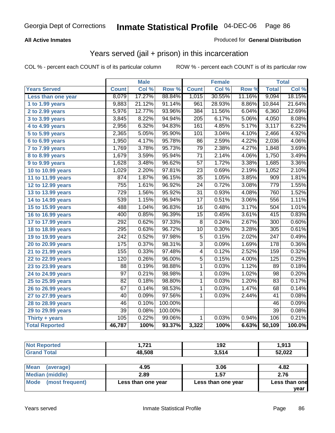### **All Active Inmates**

### Produced for **General Distribution**

### Years served (jail + prison) in this incarceration

|                       |                  | <b>Male</b> |         |                  | <b>Female</b> |        |                  | <b>Total</b> |
|-----------------------|------------------|-------------|---------|------------------|---------------|--------|------------------|--------------|
| <b>Years Served</b>   | <b>Count</b>     | Col %       | Row %   | <b>Count</b>     | Col %         | Row %  | <b>Total</b>     | Col %        |
| Less than one year    | 8,079            | 17.27%      | 88.84%  | 1,015            | 30.55%        | 11.16% | 9,094            | 18.15%       |
| 1 to 1.99 years       | 9,883            | 21.12%      | 91.14%  | 961              | 28.93%        | 8.86%  | 10,844           | 21.64%       |
| 2 to 2.99 years       | 5,976            | 12.77%      | 93.96%  | 384              | 11.56%        | 6.04%  | 6,360            | 12.69%       |
| 3 to 3.99 years       | 3,845            | 8.22%       | 94.94%  | $\overline{205}$ | 6.17%         | 5.06%  | 4,050            | 8.08%        |
| 4 to 4.99 years       | 2,956            | 6.32%       | 94.83%  | 161              | 4.85%         | 5.17%  | 3,117            | 6.22%        |
| 5 to 5.99 years       | 2,365            | 5.05%       | 95.90%  | 101              | 3.04%         | 4.10%  | 2,466            | 4.92%        |
| 6 to 6.99 years       | 1,950            | 4.17%       | 95.78%  | $\overline{86}$  | 2.59%         | 4.22%  | 2,036            | 4.06%        |
| 7 to 7.99 years       | 1,769            | 3.78%       | 95.73%  | 79               | 2.38%         | 4.27%  | 1,848            | 3.69%        |
| 8 to 8.99 years       | 1,679            | 3.59%       | 95.94%  | $\overline{71}$  | 2.14%         | 4.06%  | 1,750            | 3.49%        |
| 9 to 9.99 years       | 1,628            | 3.48%       | 96.62%  | 57               | 1.72%         | 3.38%  | 1,685            | 3.36%        |
| 10 to 10.99 years     | 1,029            | 2.20%       | 97.81%  | 23               | 0.69%         | 2.19%  | 1,052            | 2.10%        |
| 11 to 11.99 years     | 874              | 1.87%       | 96.15%  | $\overline{35}$  | 1.05%         | 3.85%  | $\overline{909}$ | 1.81%        |
| 12 to 12.99 years     | 755              | 1.61%       | 96.92%  | $\overline{24}$  | 0.72%         | 3.08%  | 779              | 1.55%        |
| 13 to 13.99 years     | 729              | 1.56%       | 95.92%  | $\overline{31}$  | 0.93%         | 4.08%  | 760              | 1.52%        |
| 14 to 14.99 years     | 539              | 1.15%       | 96.94%  | $\overline{17}$  | 0.51%         | 3.06%  | 556              | 1.11%        |
| 15 to 15.99 years     | 488              | 1.04%       | 96.83%  | $\overline{16}$  | 0.48%         | 3.17%  | 504              | 1.01%        |
| 16 to 16.99 years     | 400              | 0.85%       | 96.39%  | $\overline{15}$  | 0.45%         | 3.61%  | 415              | 0.83%        |
| 17 to 17.99 years     | 292              | 0.62%       | 97.33%  | $\overline{8}$   | 0.24%         | 2.67%  | 300              | 0.60%        |
| 18 to 18.99 years     | $\overline{295}$ | 0.63%       | 96.72%  | 10               | 0.30%         | 3.28%  | 305              | 0.61%        |
| 19 to 19.99 years     | $\overline{242}$ | 0.52%       | 97.98%  | $\overline{5}$   | 0.15%         | 2.02%  | $\overline{247}$ | 0.49%        |
| 20 to 20.99 years     | 175              | 0.37%       | 98.31%  | $\overline{3}$   | 0.09%         | 1.69%  | 178              | 0.36%        |
| 21 to 21.99 years     | 155              | 0.33%       | 97.48%  | 4                | 0.12%         | 2.52%  | 159              | 0.32%        |
| 22 to 22.99 years     | 120              | 0.26%       | 96.00%  | $\overline{5}$   | 0.15%         | 4.00%  | 125              | 0.25%        |
| 23 to 23.99 years     | 88               | 0.19%       | 98.88%  | $\mathbf{1}$     | 0.03%         | 1.12%  | 89               | 0.18%        |
| 24 to 24.99 years     | $\overline{97}$  | 0.21%       | 98.98%  | 1                | 0.03%         | 1.02%  | $\overline{98}$  | 0.20%        |
| 25 to 25.99 years     | 82               | 0.18%       | 98.80%  | 1                | 0.03%         | 1.20%  | 83               | 0.17%        |
| 26 to 26.99 years     | 67               | 0.14%       | 98.53%  | $\mathbf 1$      | 0.03%         | 1.47%  | 68               | 0.14%        |
| 27 to 27.99 years     | 40               | 0.09%       | 97.56%  | $\mathbf{1}$     | 0.03%         | 2.44%  | $\overline{41}$  | 0.08%        |
| 28 to 28.99 years     | $\overline{46}$  | 0.10%       | 100.00% |                  |               |        | 46               | 0.09%        |
| 29 to 29.99 years     | $\overline{39}$  | 0.08%       | 100.00% |                  |               |        | $\overline{39}$  | 0.08%        |
| Thirty + years        | 105              | 0.22%       | 99.06%  | $\overline{1}$   | 0.03%         | 0.94%  | 106              | 0.21%        |
| <b>Total Reported</b> | 46,787           | 100%        | 93.37%  | 3,322            | 100%          | 6.63%  | 50,109           | 100.0%       |

| <b>Not Reported</b> | 721<br>14 L | 192   | 1,913  |
|---------------------|-------------|-------|--------|
| <b>Grand Total</b>  | 48,508      | 3,514 | 52,022 |
|                     |             |       |        |

| <b>Mean</b><br>(average) | 4.95               | 3.06               | 4.82          |
|--------------------------|--------------------|--------------------|---------------|
| Median (middle)          | 2.89               | 1.57               | 2.76          |
| Mode (most frequent)     | Less than one year | Less than one year | Less than one |
|                          |                    |                    | vear          |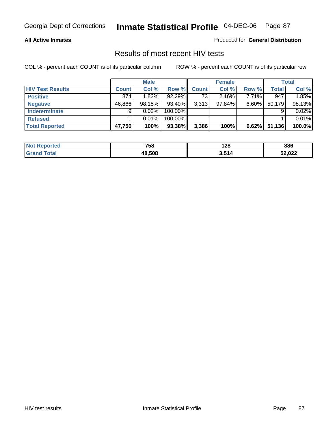#### **All Active Inmates**

Produced for **General Distribution**

### Results of most recent HIV tests

|                         |              | <b>Male</b> |         |              | <b>Female</b> |          |        | <b>Total</b> |
|-------------------------|--------------|-------------|---------|--------------|---------------|----------|--------|--------------|
| <b>HIV Test Results</b> | <b>Count</b> | Col %       | Row %   | <b>Count</b> | Col %         | Row %    | Total  | Col %        |
| <b>Positive</b>         | 874          | 1.83%       | 92.29%  | 73           | 2.16%         | 7.71%    | 947    | 1.85%        |
| <b>Negative</b>         | 46,866       | 98.15%      | 93.40%  | 3,313        | $97.84\%$     | $6.60\%$ | 50,179 | 98.13%       |
| Indeterminate           | 9            | 0.02%       | 100.00% |              |               |          |        | 0.02%        |
| <b>Refused</b>          |              | 0.01%       | 100.00% |              |               |          |        | 0.01%        |
| <b>Total Reported</b>   | 47,750       | 100%        | 93.38%  | 3,386        | 100%          | 6.62%    | 51,136 | 100.0%       |

| Not<br>Reported | 758    | 128   | 886    |
|-----------------|--------|-------|--------|
| ∣Grand<br>Гоtal | 48.508 | 3,514 | 52,022 |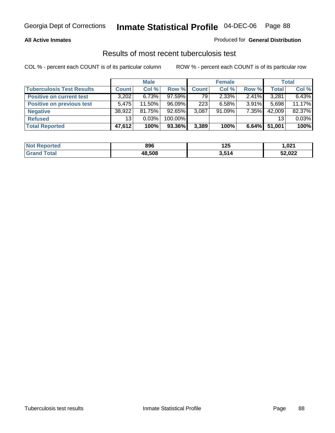### **All Active Inmates**

### Produced for **General Distribution**

### Results of most recent tuberculosis test

|                                  |              | <b>Male</b> |           |              | <b>Female</b> |          |              | Total  |
|----------------------------------|--------------|-------------|-----------|--------------|---------------|----------|--------------|--------|
| <b>Tuberculosis Test Results</b> | <b>Count</b> | Col %       | Row %     | <b>Count</b> | Col %         | Row %    | <b>Total</b> | Col %  |
| <b>Positive on current test</b>  | 3,202        | 6.73%       | $97.59\%$ | 79           | $2.33\%$      | 2.41%    | 3,281        | 6.43%  |
| <b>Positive on previous test</b> | 5.475        | $11.50\%$   | 96.09%    | 223          | 6.58%         | $3.91\%$ | 5,698        | 11.17% |
| <b>Negative</b>                  | 38,922       | 81.75%      | 92.65%    | 3,087        | 91.09%        | 7.35%    | 42,009       | 82.37% |
| <b>Refused</b>                   | 13           | 0.03%       | 100.00%   |              |               |          | 13           | 0.03%  |
| <b>Total Reported</b>            | 47,612       | 100%        | 93.36%    | 3,389        | 100%          | 6.64%    | 51,001       | 100%   |

| <b>Not</b><br><b>Reported</b> | 896    | 195<br>ט בו<br>__ | ,021   |
|-------------------------------|--------|-------------------|--------|
| <b>Grand</b><br>™otal         | 48.508 | 3,514             | 52,022 |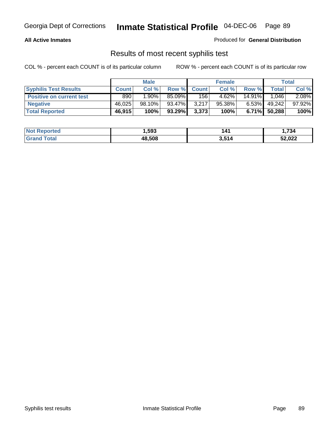#### **All Active Inmates**

Produced for **General Distribution**

### Results of most recent syphilis test

|                                 | <b>Male</b>  |          | <b>Female</b> |              |           | Total     |        |        |
|---------------------------------|--------------|----------|---------------|--------------|-----------|-----------|--------|--------|
| <b>Syphilis Test Results</b>    | <b>Count</b> | Col %    | Row %         | <b>Count</b> | Col %     | Row %     | Total  | Col %  |
| <b>Positive on current test</b> | 890          | $1.90\%$ | 85.09%I       | 156          | 4.62%     | $14.91\%$ | 1.046  | 2.08%  |
| <b>Negative</b>                 | 46,025       | 98.10%   | 93.47%        | 3,217        | $95.38\%$ | $6.53\%$  | 49,242 | 97.92% |
| <b>Total Reported</b>           | 46,915       | 100%     | 93.29%        | 3,373        | 100%      | 6.71%     | 50,288 | 100%   |

| <b>Not Reported</b> | 593. ا | 14٬   | 734.   |
|---------------------|--------|-------|--------|
| <b>Grand Total</b>  | 48,508 | 3,514 | 52,022 |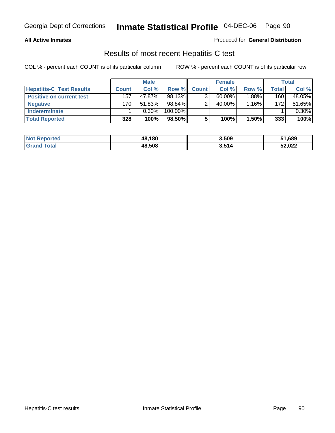#### **All Active Inmates**

### Produced for **General Distribution**

### Results of most recent Hepatitis-C test

|                                 |              | <b>Male</b> |           |              | <b>Female</b> |          |       | Total  |
|---------------------------------|--------------|-------------|-----------|--------------|---------------|----------|-------|--------|
| <b>Hepatitis-C Test Results</b> | <b>Count</b> | Col %       | Row %I    | <b>Count</b> | Col %         | Row %    | Total | Col %  |
| <b>Positive on current test</b> | 157          | 47.87%      | 98.13%    |              | $60.00\%$     | $1.88\%$ | 160   | 48.05% |
| <b>Negative</b>                 | 170          | 51.83%      | 98.84%    |              | 40.00%        | 1.16%    | 172   | 51.65% |
| <b>Indeterminate</b>            |              | $0.30\%$    | 100.00%   |              |               |          |       | 0.30%  |
| <b>Total Reported</b>           | 328          | 100%        | $98.50\%$ |              | 100%          | 1.50%    | 333   | 100%   |

| <b>Not Reported</b> | 48,180 | 3,509 | 51,689 |
|---------------------|--------|-------|--------|
| Total               | 48,508 | 3,514 | 52,022 |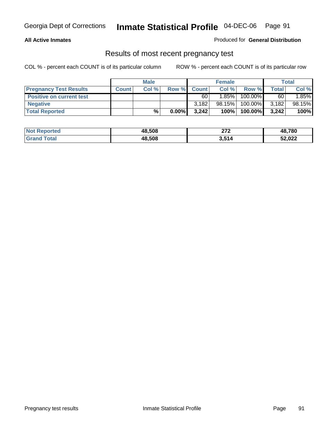#### **All Active Inmates**

### Produced for **General Distribution**

### Results of most recent pregnancy test

|                                 | <b>Male</b>  |       | <b>Female</b> |              |          | Total   |       |        |
|---------------------------------|--------------|-------|---------------|--------------|----------|---------|-------|--------|
| <b>Pregnancy Test Results</b>   | <b>Count</b> | Col % | Row %         | <b>Count</b> | Col %    | Row %   | Total | Col %  |
| <b>Positive on current test</b> |              |       |               | 60           | $1.85\%$ | 100.00% | 60    | 1.85%  |
| <b>Negative</b>                 |              |       |               | 3.182        | 98.15%   | 100.00% | 3,182 | 98.15% |
| <b>Total Reported</b>           |              | %     | $0.00\%$      | 3.242        | 100%     | 100.00% | 3,242 | 100%   |

| <b>Not Reported</b> | 48,508 | 270<br>21 Z | 48,780 |
|---------------------|--------|-------------|--------|
| <b>Grand Total</b>  | 48,508 | 3,514       | 52,022 |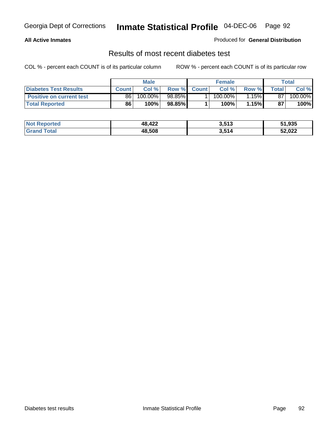### **All Active Inmates**

### Produced for **General Distribution**

### Results of most recent diabetes test

|                                 | <b>Male</b>  |         |           | <b>Female</b> |                       |         | Total |         |
|---------------------------------|--------------|---------|-----------|---------------|-----------------------|---------|-------|---------|
| <b>Diabetes Test Results</b>    | <b>Count</b> | Col %   | Row %     | <b>Count</b>  | Col %                 | Row %I  | Total | Col %   |
| <b>Positive on current test</b> | 86           | 100.00% | $98.85\%$ |               | $100.\overline{00\%}$ | $.15\%$ | 87    | 100.00% |
| <b>Total Reported</b>           | 86           | 100%    | 98.85%    |               | 100%                  | 1.15%   | 87    | 100%    |

| <b>Not Reported</b>       | 48,422 | 3,513 | 51,935 |
|---------------------------|--------|-------|--------|
| <b>Total</b><br>$l$ Grano | 48.508 | 3,514 | 52,022 |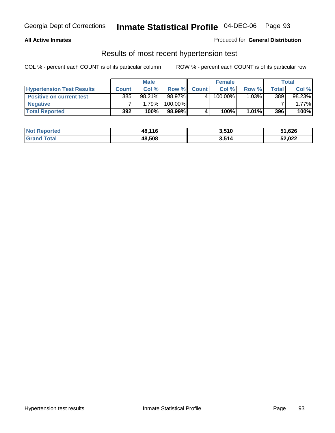#### **All Active Inmates**

### Produced for **General Distribution**

### Results of most recent hypertension test

|                                  | <b>Male</b>  |           |         | <b>Female</b> |         |          | Total |          |
|----------------------------------|--------------|-----------|---------|---------------|---------|----------|-------|----------|
| <b>Hypertension Test Results</b> | <b>Count</b> | Col %     | Row %   | <b>Count</b>  | Col%    | Row %    | Total | Col %    |
| <b>Positive on current test</b>  | 385          | $98.21\%$ | 98.97%  |               | 100.00% | $1.03\%$ | 389   | 98.23%   |
| <b>Negative</b>                  |              | 1.79%     | 100.00% |               |         |          |       | $1.77\%$ |
| <b>Total Reported</b>            | 392          | 100%      | 98.99%  |               | 100%    | $1.01\%$ | 396   | 100%     |

| <b>Not Reported</b> | 48,116 | 3,510 | 51,626 |
|---------------------|--------|-------|--------|
| <b>Grand Total</b>  | 48,508 | 3,514 | 52,022 |